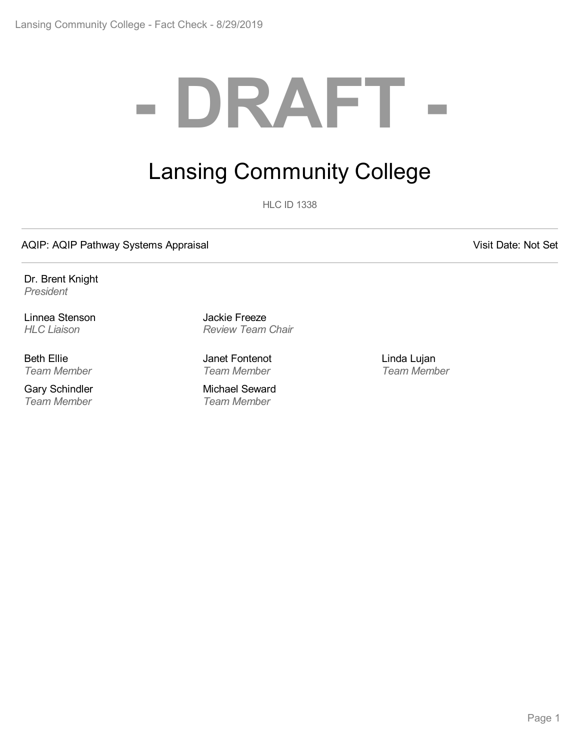# **- DRAFT -**

# Lansing Community College

**HLC ID 1338** 

AQIP: AQIP Pathway Systems Appraisal and According the Contract of Contract Contract Contract Contract Contract Contract Contract Contract Contract Contract Contract Contract Contract Contract Contract Contract Contract Co

Dr. Brent Knight *President*

Linnea Stenson *HLC Liaison*

Beth Ellie *Team Member*

Gary Schindler *Team Member*

Jackie Freeze *Review Team Chair*

Janet Fontenot *Team Member*

Michael Seward *Team Member*

Linda Lujan *Team Member*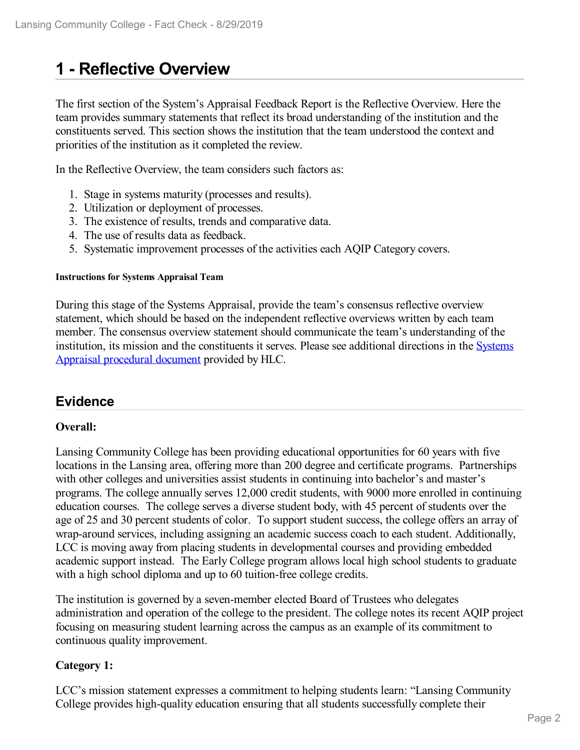# **1 -Reflective Overview**

The first section of the System's Appraisal Feedback Report is the Reflective Overview. Here the team provides summary statements that reflect its broad understanding of the institution and the constituents served. This section shows the institution that the team understood the context and priorities of the institution as it completed the review.

In the Reflective Overview, the team considers such factors as:

- 1. Stage in systems maturity (processes and results).
- 2. Utilization or deployment of processes.
- 3. The existence of results, trends and comparative data.
- 4. The use of results data as feedback.
- 5. Systematic improvement processes of the activities each AQIP Category covers.

#### **Instructions for Systems Appraisal Team**

During this stage of the Systems Appraisal, provide the team's consensus reflective overview statement, which should be based on the independent reflective overviews written by each team member. The consensus overview statement should communicate the team's understanding of the institution, its mission and the [constituents](https://www.hlcommission.org/Accreditation/aqip-portfolio.html) it serves. Please see additional directions in the Systems Appraisal procedural document provided by HLC.

# **Evidence**

# **Overall:**

Lansing Community College has been providing educational opportunities for 60 years with five locations in the Lansing area, offering more than 200 degree and certificate programs. Partnerships with other colleges and universities assist students in continuing into bachelor's and master's programs. The college annually serves 12,000 credit students, with 9000 more enrolled in continuing education courses. The college serves a diverse student body, with 45 percent of students over the age of 25 and 30 percent students of color. To support student success, the college offers an array of wrap-around services, including assigning an academic success coach to each student. Additionally, LCC is moving away from placing students in developmental courses and providing embedded academic support instead. The Early College program allows local high school students to graduate with a high school diploma and up to 60 tuition-free college credits.

The institution is governed by a seven-member elected Board of Trustees who delegates administration and operation of the college to the president. The college notes its recent AQIP project focusing on measuring student learning across the campus as an example of its commitment to continuous quality improvement.

#### **Category 1:**

LCC's mission statement expresses a commitment to helping students learn: "Lansing Community College provides high-quality education ensuring that all students successfully complete their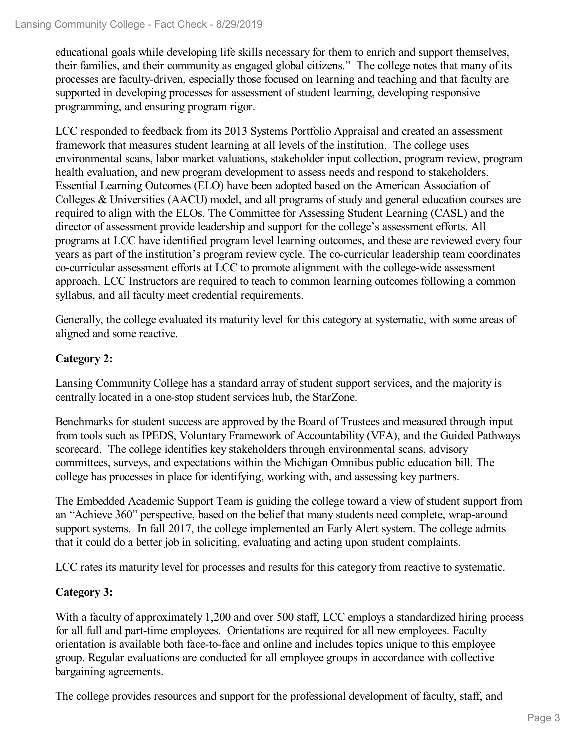educational goals while developing life skills necessary for them to enrich and support themselves, their families, and their community as engaged global citizens." The college notes that many of its processes are faculty-driven, especially those focused on learning and teaching and that faculty are supported in developing processes for assessment of student learning, developing responsive programming, and ensuring program rigor.

LCC responded to feedback from its 2013 Systems Portfolio Appraisal and created an assessment framework that measures student learning at all levels of the institution. The college uses environmental scans, labor market valuations, stakeholder input collection, program review, program health evaluation, and new program development to assess needs and respond to stakeholders. Essential Learning Outcomes (ELO) have been adopted based on the American Association of Colleges & Universities (AACU) model, and all programs of study and general education courses are required to align with the ELOs. The Committee for Assessing Student Learning (CASL) and the director of assessment provide leadership and support for the college's assessment efforts. All programs at LCC have identified program level learning outcomes, and these are reviewed every four years as part of the institution's program review cycle. The co-curricular leadership team coordinates co-curricular assessment efforts at LCC to promote alignment with the college-wide assessment approach. LCC Instructors are required to teach to common learning outcomes following a common syllabus, and all faculty meet credential requirements.

Generally, the college evaluated its maturity level for this category at systematic, with some areas of aligned and some reactive.

# **Category 2:**

Lansing Community College has a standard array of student support services, and the majority is centrally located in a one-stop student services hub, the StarZone.

Benchmarks for student success are approved by the Board of Trustees and measured through input from tools such as IPEDS, Voluntary Framework of Accountability (VFA), and the Guided Pathways scorecard. The college identifies key stakeholders through environmental scans, advisory committees, surveys, and expectations within the Michigan Omnibus public education bill. The college has processes in place for identifying, working with, and assessing key partners.

The Embedded Academic Support Team is guiding the college toward a view of student support from an "Achieve 360" perspective, based on the belief that many students need complete, wrap-around support systems. In fall 2017, the college implemented an Early Alert system. The college admits that it could do a better job in soliciting, evaluating and acting upon student complaints.

LCC rates its maturity level for processes and results for this category from reactive to systematic.

# **Category 3:**

With a faculty of approximately 1,200 and over 500 staff, LCC employs a standardized hiring process for all full and part-time employees. Orientations are required for all new employees. Faculty orientation is available both face-to-face and online and includes topics unique to this employee group. Regular evaluations are conducted for all employee groups in accordance with collective bargaining agreements.

The college provides resources and support for the professional development of faculty, staff, and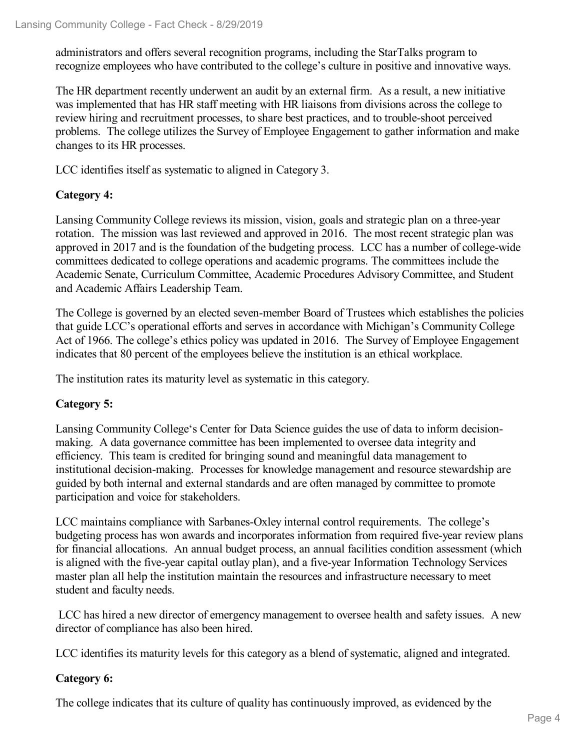administrators and offers several recognition programs, including the StarTalks program to recognize employees who have contributed to the college's culture in positive and innovative ways.

The HR department recently underwent an audit by an external firm. As a result, a new initiative was implemented that has HR staff meeting with HR liaisons from divisions across the college to review hiring and recruitment processes, to share best practices, and to trouble-shoot perceived problems. The college utilizes the Survey of Employee Engagement to gather information and make changes to its HR processes.

LCC identifies itself as systematic to aligned in Category 3.

# **Category 4:**

Lansing Community College reviews its mission, vision, goals and strategic plan on a three-year rotation. The mission was last reviewed and approved in 2016. The most recent strategic plan was approved in 2017 and is the foundation of the budgeting process. LCC has a number of college-wide committees dedicated to college operations and academic programs. The committees include the Academic Senate, Curriculum Committee, Academic Procedures Advisory Committee, and Student and Academic Affairs Leadership Team.

The College is governed by an elected seven-member Board of Trustees which establishes the policies that guide LCC's operational efforts and serves in accordance with Michigan's Community College Act of 1966. The college's ethics policy was updated in 2016. The Survey of Employee Engagement indicates that 80 percent of the employees believe the institution is an ethical workplace.

The institution rates its maturity level as systematic in this category.

# **Category 5:**

Lansing Community College's Center for Data Science guides the use of data to inform decision making. A data governance committee has been implemented to oversee data integrity and efficiency. This team is credited for bringing sound and meaningful data management to institutional decision-making. Processes for knowledge management and resource stewardship are guided by both internal and external standards and are often managed by committee to promote participation and voice for stakeholders.

LCC maintains compliance with Sarbanes-Oxley internal control requirements. The college's budgeting process has won awards and incorporates information from required five-year review plans for financial allocations. An annual budget process, an annual facilities condition assessment (which is aligned with the five-year capital outlay plan), and a five-year Information Technology Services master plan all help the institution maintain the resources and infrastructure necessary to meet student and faculty needs.

LCC has hired a new director of emergency management to oversee health and safety issues. A new director of compliance has also been hired.

LCC identifies its maturity levels for this category as a blend of systematic, aligned and integrated.

# **Category 6:**

The college indicates that its culture of quality has continuously improved, as evidenced by the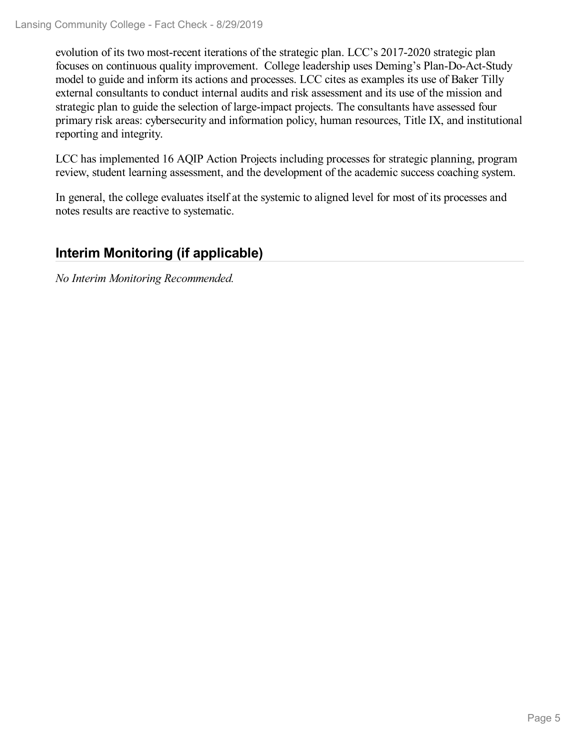evolution of its two most-recent iterations of the strategic plan. LCC's 2017-2020 strategic plan focuses on continuous quality improvement. College leadership uses Deming's Plan-Do-Act-Study model to guide and inform its actions and processes. LCC cites as examples its use of Baker Tilly external consultants to conduct internal audits and risk assessment and its use of the mission and strategic plan to guide the selection of large-impact projects. The consultants have assessed four primary risk areas: cybersecurity and information policy, human resources, Title IX, and institutional reporting and integrity.

LCC has implemented 16 AQIP Action Projects including processes for strategic planning, program review, student learning assessment, and the development of the academic success coaching system.

In general, the college evaluates itself at the systemic to aligned level for most of its processes and notes results are reactive to systematic.

# **Interim Monitoring (if applicable)**

*No Interim Monitoring Recommended.*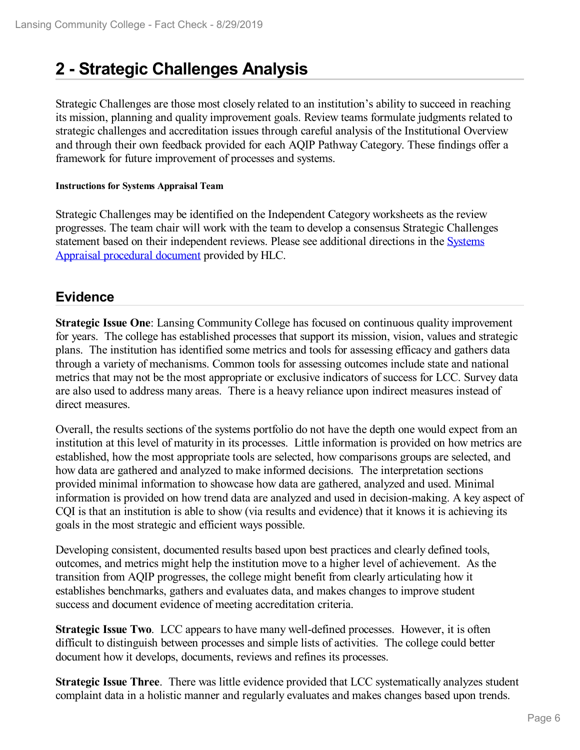# **2 -Strategic Challenges Analysis**

Strategic Challenges are those most closely related to an institution's ability to succeed in reaching its mission, planning and quality improvement goals. Review teams formulate judgments related to strategic challenges and accreditation issues through careful analysis of the Institutional Overview and through their own feedback provided for each AQIP Pathway Category. These findings offer a framework for future improvement of processes and systems.

#### **Instructions for Systems Appraisal Team**

Strategic Challenges may be identified on the Independent Category worksheets as the review progresses. The team chair will work with the team to develop a consensus Strategic Challenges statement based on their [independent](https://www.hlcommission.org/Accreditation/aqip-portfolio.html) reviews. Please see additional directions in the Systems Appraisal procedural document provided by HLC.

# **Evidence**

**Strategic Issue One**: Lansing Community College has focused on continuous quality improvement for years. The college has established processes that support its mission, vision, values and strategic plans. The institution has identified some metrics and tools for assessing efficacy and gathers data through a variety of mechanisms. Common tools for assessing outcomes include state and national metrics that may not be the most appropriate or exclusive indicators of success for LCC. Survey data are also used to address many areas. There is a heavy reliance upon indirect measures instead of direct measures.

Overall, the results sections of the systems portfolio do not have the depth one would expect from an institution at this level of maturity in its processes. Little information is provided on how metrics are established, how the most appropriate tools are selected, how comparisons groups are selected, and how data are gathered and analyzed to make informed decisions. The interpretation sections provided minimal information to showcase how data are gathered, analyzed and used. Minimal information is provided on how trend data are analyzed and used in decision-making. A key aspect of CQI is that an institution is able to show (via results and evidence) that it knows it is achieving its goals in the most strategic and efficient ways possible.

Developing consistent, documented results based upon best practices and clearly defined tools, outcomes, and metrics might help the institution move to a higher level of achievement. As the transition from AQIP progresses, the college might benefit from clearly articulating how it establishes benchmarks, gathers and evaluates data, and makes changes to improve student success and document evidence of meeting accreditation criteria.

**Strategic Issue Two**. LCC appears to have many well-defined processes. However, it is often difficult to distinguish between processes and simple lists of activities. The college could better document how it develops, documents, reviews and refines its processes.

**Strategic Issue Three**. There was little evidence provided that LCC systematically analyzes student complaint data in a holistic manner and regularly evaluates and makes changes based upon trends.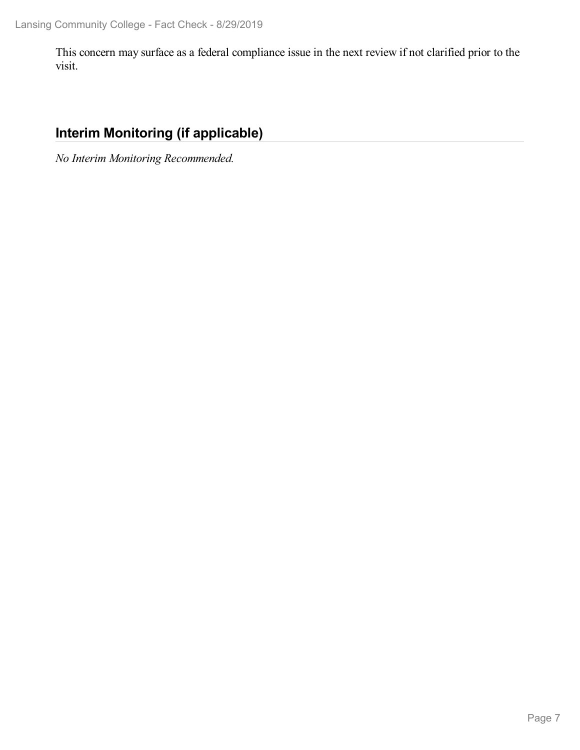This concern may surface as a federal compliance issue in the next review if not clarified prior to the visit.

# **Interim Monitoring (if applicable)**

*No Interim Monitoring Recommended.*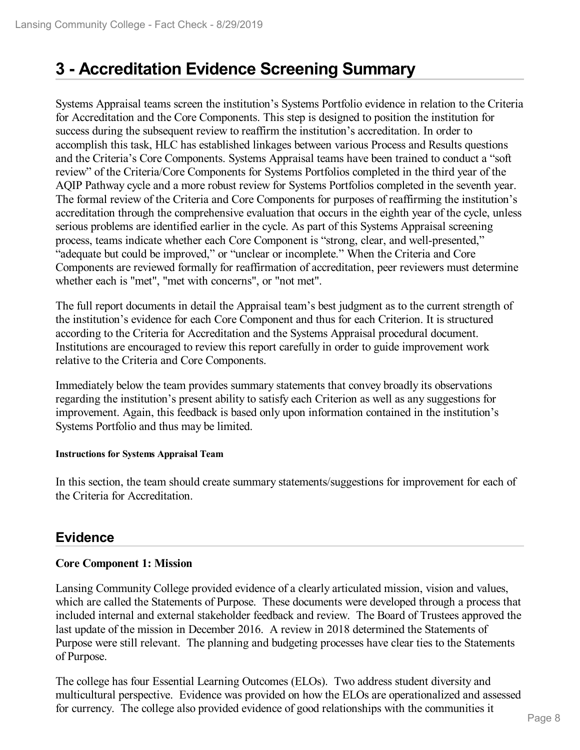# **3 -Accreditation Evidence Screening Summary**

Systems Appraisal teams screen the institution's Systems Portfolio evidence in relation to the Criteria for Accreditation and the Core Components. This step is designed to position the institution for success during the subsequent review to reaffirm the institution's accreditation. In order to accomplish this task, HLC has established linkages between various Process and Results questions and the Criteria's Core Components. Systems Appraisal teams have been trained to conduct a "soft review" of the Criteria/Core Components for Systems Portfolios completed in the third year of the AQIP Pathway cycle and a more robust review for Systems Portfolios completed in the seventh year. The formal review of the Criteria and Core Components for purposes of reaffirming the institution's accreditation through the comprehensive evaluation that occurs in the eighth year of the cycle, unless serious problems are identified earlier in the cycle. As part of this Systems Appraisal screening process, teams indicate whether each Core Component is "strong, clear, and well-presented," "adequate but could be improved," or "unclear or incomplete." When the Criteria and Core Components are reviewed formally for reaffirmation of accreditation, peer reviewers must determine whether each is "met", "met with concerns", or "not met".

The full report documents in detail the Appraisal team's best judgment as to the current strength of the institution's evidence for each Core Component and thus for each Criterion. It is structured according to the Criteria for Accreditation and the Systems Appraisal procedural document. Institutions are encouraged to review this report carefully in order to guide improvement work relative to the Criteria and Core Components.

Immediately below the team provides summary statements that convey broadly its observations regarding the institution's present ability to satisfy each Criterion as well as any suggestions for improvement. Again, this feedback is based only upon information contained in the institution's Systems Portfolio and thus may be limited.

#### **Instructions for Systems Appraisal Team**

In this section, the team should create summary statements/suggestions for improvement for each of the Criteria for Accreditation.

# **Evidence**

# **Core Component 1: Mission**

Lansing Community College provided evidence of a clearly articulated mission, vision and values, which are called the Statements of Purpose. These documents were developed through a process that included internal and external stakeholder feedback and review. The Board of Trustees approved the last update of the mission in December 2016. A review in 2018 determined the Statements of Purpose were still relevant. The planning and budgeting processes have clear ties to the Statements of Purpose.

The college has four Essential Learning Outcomes (ELOs). Two address student diversity and multicultural perspective. Evidence was provided on how the ELOs are operationalized and assessed for currency. The college also provided evidence of good relationships with the communities it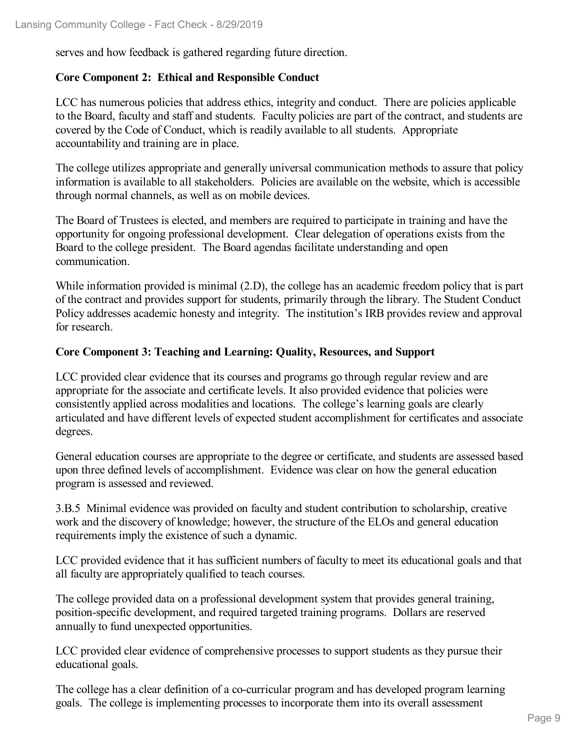serves and how feedback is gathered regarding future direction.

# **Core Component 2: Ethical and Responsible Conduct**

LCC has numerous policies that address ethics, integrity and conduct. There are policies applicable to the Board, faculty and staff and students. Faculty policies are part of the contract, and students are covered by the Code of Conduct, which is readily available to all students. Appropriate accountability and training are in place.

The college utilizes appropriate and generally universal communication methods to assure that policy information is available to all stakeholders. Policies are available on the website, which is accessible through normal channels, as well as on mobile devices.

The Board of Trustees is elected, and members are required to participate in training and have the opportunity for ongoing professional development. Clear delegation of operations exists from the Board to the college president. The Board agendas facilitate understanding and open communication.

While information provided is minimal (2.D), the college has an academic freedom policy that is part of the contract and provides support for students, primarily through the library. The Student Conduct Policy addresses academic honesty and integrity. The institution's IRB provides review and approval for research.

# **Core Component 3: Teaching and Learning: Quality, Resources, and Support**

LCC provided clear evidence that its courses and programs go through regular review and are appropriate for the associate and certificate levels. It also provided evidence that policies were consistently applied across modalities and locations. The college's learning goals are clearly articulated and have different levels of expected student accomplishment for certificates and associate degrees.

General education courses are appropriate to the degree or certificate, and students are assessed based upon three defined levels of accomplishment. Evidence was clear on how the general education program is assessed and reviewed.

3.B.5 Minimal evidence was provided on faculty and student contribution to scholarship, creative work and the discovery of knowledge; however, the structure of the ELOs and general education requirements imply the existence of such a dynamic.

LCC provided evidence that it has sufficient numbers of faculty to meet its educational goals and that all faculty are appropriately qualified to teach courses.

The college provided data on a professional development system that provides general training, position-specific development, and required targeted training programs. Dollars are reserved annually to fund unexpected opportunities.

LCC provided clear evidence of comprehensive processes to support students as they pursue their educational goals.

The college has a clear definition of a co-curricular program and has developed program learning goals. The college is implementing processes to incorporate them into its overall assessment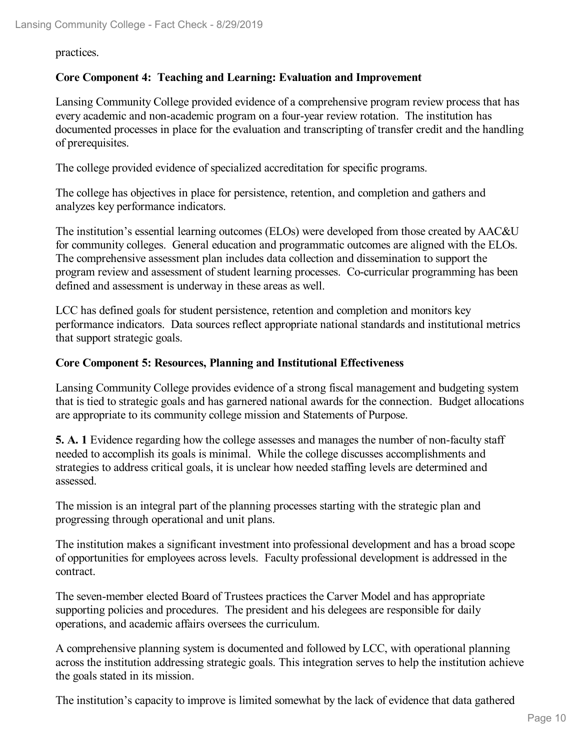practices.

# **Core Component 4: Teaching and Learning: Evaluation and Improvement**

Lansing Community College provided evidence of a comprehensive program review process that has every academic and non-academic program on a four-year review rotation. The institution has documented processes in place for the evaluation and transcripting of transfer credit and the handling of prerequisites.

The college provided evidence of specialized accreditation for specific programs.

The college has objectives in place for persistence, retention, and completion and gathers and analyzes key performance indicators.

The institution's essential learning outcomes (ELOs) were developed from those created by AAC&U for community colleges. General education and programmatic outcomes are aligned with the ELOs. The comprehensive assessment plan includes data collection and dissemination to support the program review and assessment of student learning processes. Co-curricular programming has been defined and assessment is underway in these areas as well.

LCC has defined goals for student persistence, retention and completion and monitors key performance indicators. Data sources reflect appropriate national standards and institutional metrics that support strategic goals.

# **Core Component 5: Resources, Planning and Institutional Effectiveness**

Lansing Community College provides evidence of a strong fiscal management and budgeting system that is tied to strategic goals and has garnered national awards for the connection. Budget allocations are appropriate to its community college mission and Statements of Purpose.

**5. A. 1** Evidence regarding how the college assesses and manages the number of non-faculty staff needed to accomplish its goals is minimal. While the college discusses accomplishments and strategies to address critical goals, it is unclear how needed staffing levels are determined and assessed.

The mission is an integral part of the planning processes starting with the strategic plan and progressing through operational and unit plans.

The institution makes a significant investment into professional development and has a broad scope of opportunities for employees across levels. Faculty professional development is addressed in the contract.

The seven-member elected Board of Trustees practices the Carver Model and has appropriate supporting policies and procedures. The president and his delegees are responsible for daily operations, and academic affairs oversees the curriculum.

A comprehensive planning system is documented and followed by LCC, with operational planning across the institution addressing strategic goals. This integration serves to help the institution achieve the goals stated in its mission.

The institution's capacity to improve is limited somewhat by the lack of evidence that data gathered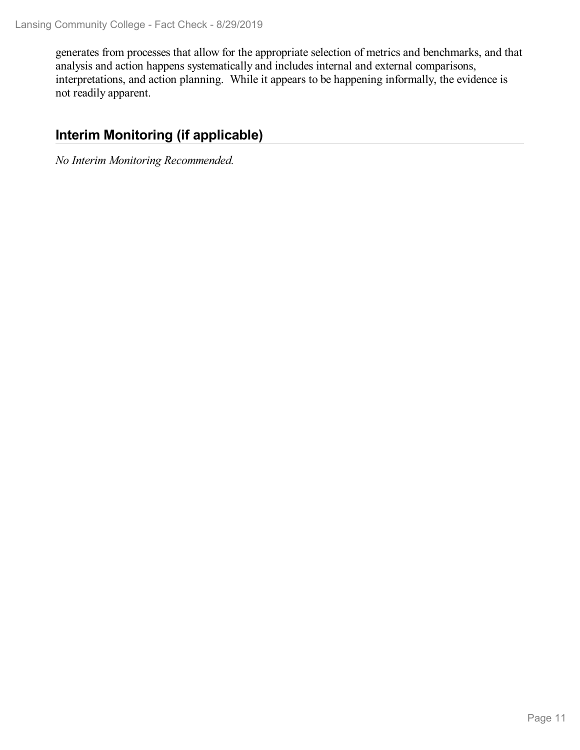generates from processes that allow for the appropriate selection of metrics and benchmarks, and that analysis and action happens systematically and includes internal and external comparisons, interpretations, and action planning. While it appears to be happening informally, the evidence is not readily apparent.

# **Interim Monitoring (if applicable)**

*No Interim Monitoring Recommended.*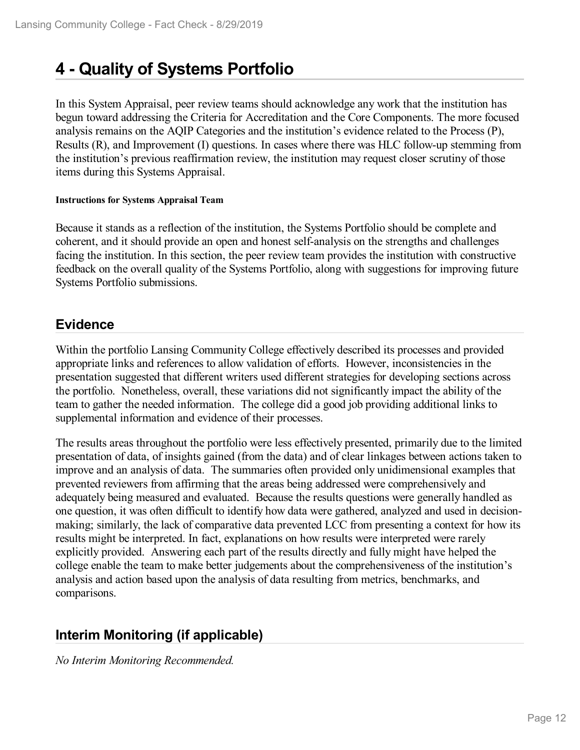# **4 -Quality of Systems Portfolio**

In this System Appraisal, peer review teams should acknowledge any work that the institution has begun toward addressing the Criteria for Accreditation and the Core Components. The more focused analysis remains on the AQIP Categories and the institution's evidence related to the Process (P), Results (R), and Improvement (I) questions. In cases where there was HLC follow-up stemming from the institution's previous reaffirmation review, the institution may request closer scrutiny of those items during this Systems Appraisal.

#### **Instructions for Systems Appraisal Team**

Because it stands as a reflection of the institution, the Systems Portfolio should be complete and coherent, and it should provide an open and honest self-analysis on the strengths and challenges facing the institution. In this section, the peer review team provides the institution with constructive feedback on the overall quality of the Systems Portfolio, along with suggestions for improving future Systems Portfolio submissions.

# **Evidence**

Within the portfolio Lansing Community College effectively described its processes and provided appropriate links and references to allow validation of efforts. However, inconsistencies in the presentation suggested that different writers used different strategies for developing sections across the portfolio. Nonetheless, overall, these variations did not significantly impact the ability of the team to gather the needed information. The college did a good job providing additional links to supplemental information and evidence of their processes.

The results areas throughout the portfolio were less effectively presented, primarily due to the limited presentation of data, of insights gained (from the data) and of clear linkages between actions taken to improve and an analysis of data. The summaries often provided only unidimensional examples that prevented reviewers from affirming that the areas being addressed were comprehensively and adequately being measured and evaluated. Because the results questions were generally handled as one question, it was often difficult to identify how data were gathered, analyzed and used in decision making; similarly, the lack of comparative data prevented LCC from presenting a context for how its results might be interpreted. In fact, explanations on how results were interpreted were rarely explicitly provided. Answering each part of the results directly and fully might have helped the college enable the team to make better judgements about the comprehensiveness of the institution's analysis and action based upon the analysis of data resulting from metrics, benchmarks, and comparisons.

# **Interim Monitoring (if applicable)**

*No Interim Monitoring Recommended.*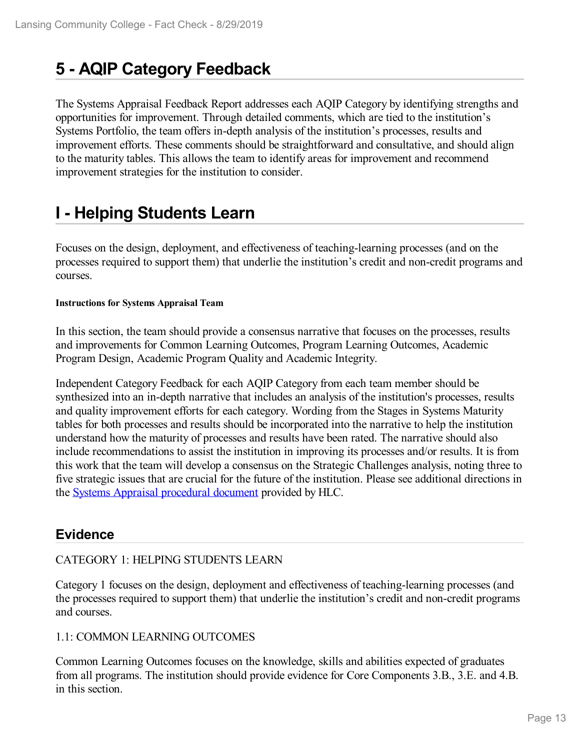# **5 -AQIP Category Feedback**

The Systems Appraisal Feedback Report addresses each AQIP Category by identifying strengths and opportunities for improvement. Through detailed comments, which are tied to the institution's Systems Portfolio, the team offers in-depth analysis of the institution's processes, results and improvement efforts. These comments should be straightforward and consultative, and should align to the maturity tables. This allows the team to identify areas for improvement and recommend improvement strategies for the institution to consider.

# **I - Helping Students Learn**

Focuses on the design, deployment, and effectiveness of teaching-learning processes (and on the processes required to support them) that underlie the institution's credit and non-credit programs and courses.

#### **Instructions for Systems Appraisal Team**

In this section, the team should provide a consensus narrative that focuses on the processes, results and improvements for Common Learning Outcomes, Program Learning Outcomes, Academic Program Design, Academic Program Quality and Academic Integrity.

Independent Category Feedback for each AQIP Category from each team member should be synthesized into an in-depth narrative that includes an analysis of the institution's processes, results and quality improvement efforts for each category. Wording from the Stages in Systems Maturity tables for both processes and results should be incorporated into the narrative to help the institution understand how the maturity of processes and results have been rated. The narrative should also include recommendations to assist the institution in improving its processes and/or results. It is from this work that the team will develop a consensus on the Strategic Challenges analysis, noting three to five strategic issues that are crucial for the future of the institution. Please see additional directions in the Systems Appraisal [procedural](https://www.hlcommission.org/Accreditation/aqip-portfolio.html) document provided by HLC.

# **Evidence**

# CATEGORY 1: HELPING STUDENTS LEARN

Category 1 focuses on the design, deployment and effectiveness of teaching-learning processes (and the processes required to support them) that underlie the institution's credit and non-credit programs and courses.

# 1.1: COMMON LEARNING OUTCOMES

Common Learning Outcomes focuses on the knowledge, skills and abilities expected of graduates from all programs. The institution should provide evidence for Core Components 3.B., 3.E. and 4.B. in this section.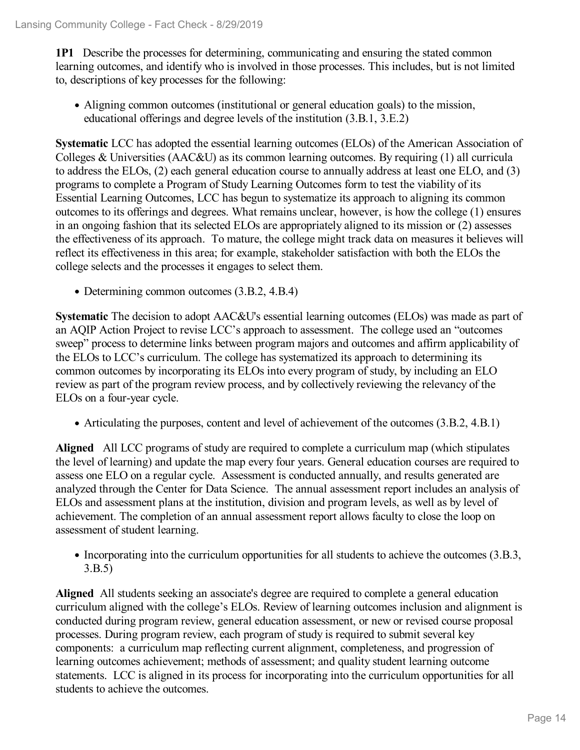**1P1** Describe the processes for determining, communicating and ensuring the stated common learning outcomes, and identify who is involved in those processes. This includes, but is not limited to, descriptions of key processes for the following:

Aligning common outcomes (institutional or general education goals) to the mission, educational offerings and degree levels of the institution (3.B.1, 3.E.2)

**Systematic** LCC has adopted the essential learning outcomes (ELOs) of the American Association of Colleges & Universities (AAC&U) as its common learning outcomes. By requiring (1) all curricula to address the ELOs, (2) each general education course to annually address at least one ELO, and (3) programs to complete a Program of Study Learning Outcomes form to test the viability of its Essential Learning Outcomes, LCC has begun to systematize its approach to aligning its common outcomes to its offerings and degrees. What remains unclear, however, is how the college (1) ensures in an ongoing fashion that its selected ELOs are appropriately aligned to its mission or (2) assesses the effectiveness of its approach. To mature, the college might track data on measures it believes will reflect its effectiveness in this area; for example, stakeholder satisfaction with both the ELOs the college selects and the processes it engages to select them.

• Determining common outcomes  $(3.B.2, 4.B.4)$ 

**Systematic** The decision to adopt AAC&U's essential learning outcomes (ELOs) was made as part of an AQIP Action Project to revise LCC's approach to assessment. The college used an "outcomes sweep" process to determine links between program majors and outcomes and affirm applicability of the ELOs to LCC's curriculum. The college has systematized its approach to determining its common outcomes by incorporating its ELOs into every program of study, by including an ELO review as part of the program review process, and by collectively reviewing the relevancy of the ELOs on a four-year cycle.

Articulating the purposes, content and level of achievement of the outcomes (3.B.2, 4.B.1)

**Aligned** All LCC programs of study are required to complete a curriculum map (which stipulates the level of learning) and update the map every four years. General education courses are required to assess one ELO on a regular cycle. Assessment is conducted annually, and results generated are analyzed through the Center for Data Science. The annual assessment report includes an analysis of ELOs and assessment plans at the institution, division and program levels, as well as by level of achievement. The completion of an annual assessment report allows faculty to close the loop on assessment of student learning.

Incorporating into the curriculum opportunities for all students to achieve the outcomes (3.B.3, 3.B.5)

**Aligned** All students seeking an associate's degree are required to complete a general education curriculum aligned with the college's ELOs. Review of learning outcomes inclusion and alignment is conducted during program review, general education assessment, or new or revised course proposal processes. During program review, each program of study is required to submit several key components: a curriculum map reflecting current alignment, completeness, and progression of learning outcomes achievement; methods of assessment; and quality student learning outcome statements. LCC is aligned in its process for incorporating into the curriculum opportunities for all students to achieve the outcomes.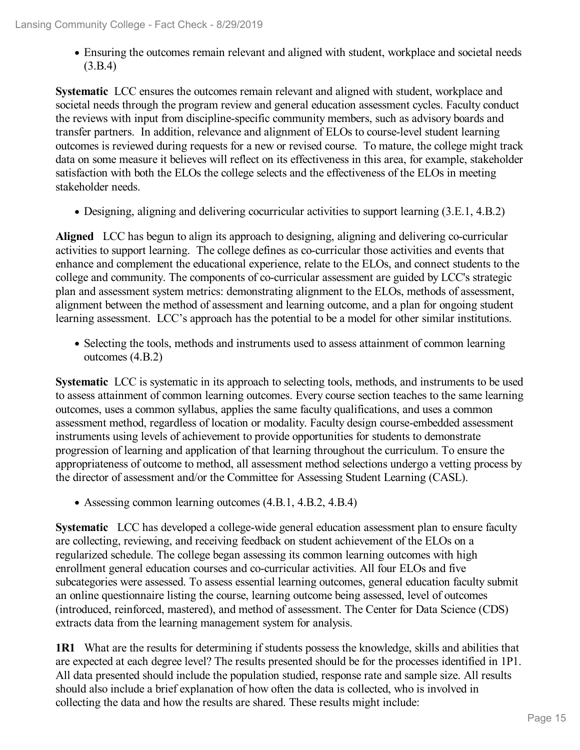Ensuring the outcomes remain relevant and aligned with student, workplace and societal needs (3.B.4)

**Systematic** LCC ensures the outcomes remain relevant and aligned with student, workplace and societal needs through the program review and general education assessment cycles. Faculty conduct the reviews with input from discipline-specific community members, such as advisory boards and transfer partners. In addition, relevance and alignment of ELOs to course-level student learning outcomes is reviewed during requests for a new or revised course. To mature, the college might track data on some measure it believes will reflect on its effectiveness in this area, for example, stakeholder satisfaction with both the ELOs the college selects and the effectiveness of the ELOs in meeting stakeholder needs.

Designing, aligning and delivering cocurricular activities to support learning (3.E.1, 4.B.2)

**Aligned** LCC has begun to align its approach to designing, aligning and delivering co-curricular activities to support learning. The college defines as co-curricular those activities and events that enhance and complement the educational experience, relate to the ELOs, and connect students to the college and community. The components of co-curricular assessment are guided by LCC's strategic plan and assessment system metrics: demonstrating alignment to the ELOs, methods of assessment, alignment between the method of assessment and learning outcome, and a plan for ongoing student learning assessment. LCC's approach has the potential to be a model for other similar institutions.

Selecting the tools, methods and instruments used to assess attainment of common learning outcomes (4.B.2)

**Systematic** LCC is systematic in its approach to selecting tools, methods, and instruments to be used to assess attainment of common learning outcomes. Every course section teaches to the same learning outcomes, uses a common syllabus, applies the same faculty qualifications, and uses a common assessment method, regardless of location or modality. Faculty design course-embedded assessment instruments using levels of achievement to provide opportunities for students to demonstrate progression of learning and application of that learning throughout the curriculum. To ensure the appropriateness of outcome to method, all assessment method selections undergo a vetting process by the director of assessment and/or the Committee for Assessing Student Learning (CASL).

Assessing common learning outcomes (4.B.1, 4.B.2, 4.B.4)

**Systematic** LCC has developed a college-wide general education assessment plan to ensure faculty are collecting, reviewing, and receiving feedback on student achievement of the ELOs on a regularized schedule. The college began assessing its common learning outcomes with high enrollment general education courses and co-curricular activities. All four ELOs and five subcategories were assessed. To assess essential learning outcomes, general education faculty submit an online questionnaire listing the course, learning outcome being assessed, level of outcomes (introduced, reinforced, mastered), and method of assessment. The Center for Data Science (CDS) extracts data from the learning management system for analysis.

**1R1** What are the results for determining if students possess the knowledge, skills and abilities that are expected at each degree level? The results presented should be for the processes identified in 1P1. All data presented should include the population studied, response rate and sample size. All results should also include a brief explanation of how often the data is collected, who is involved in collecting the data and how the results are shared. These results might include: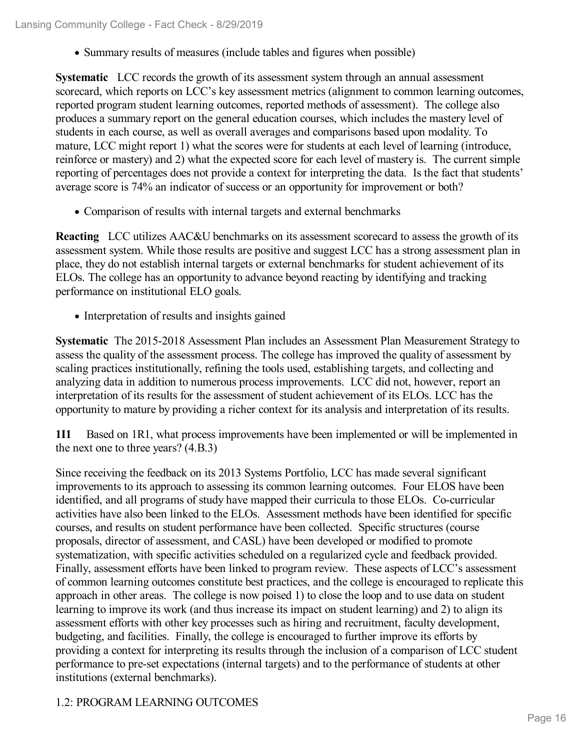• Summary results of measures (include tables and figures when possible)

**Systematic** LCC records the growth of its assessment system through an annual assessment scorecard, which reports on LCC's key assessment metrics (alignment to common learning outcomes, reported program student learning outcomes, reported methods of assessment). The college also produces a summary report on the general education courses, which includes the mastery level of students in each course, as well as overall averages and comparisons based upon modality. To mature, LCC might report 1) what the scores were for students at each level of learning (introduce, reinforce or mastery) and 2) what the expected score for each level of mastery is. The current simple reporting of percentages does not provide a context for interpreting the data. Is the fact that students' average score is 74% an indicator of success or an opportunity for improvement or both?

Comparison of results with internal targets and external benchmarks

**Reacting** LCC utilizes AAC&U benchmarks on its assessment scorecard to assess the growth of its assessment system. While those results are positive and suggest LCC has a strong assessment plan in place, they do not establish internal targets or external benchmarks for student achievement of its ELOs. The college has an opportunity to advance beyond reacting by identifying and tracking performance on institutional ELO goals.

• Interpretation of results and insights gained

**Systematic** The 2015-2018 Assessment Plan includes an Assessment Plan Measurement Strategy to assess the quality of the assessment process. The college has improved the quality of assessment by scaling practices institutionally, refining the tools used, establishing targets, and collecting and analyzing data in addition to numerous process improvements. LCC did not, however, report an interpretation of its results for the assessment of student achievement of its ELOs. LCC has the opportunity to mature by providing a richer context for its analysis and interpretation of its results.

**1I1** Based on 1R1, what process improvements have been implemented or will be implemented in the next one to three years? (4.B.3)

Since receiving the feedback on its 2013 Systems Portfolio, LCC has made several significant improvements to its approach to assessing its common learning outcomes. Four ELOS have been identified, and all programs of study have mapped their curricula to those ELOs. Co-curricular activities have also been linked to the ELOs. Assessment methods have been identified for specific courses, and results on student performance have been collected. Specific structures (course proposals, director of assessment, and CASL) have been developed or modified to promote systematization, with specific activities scheduled on a regularized cycle and feedback provided. Finally, assessment efforts have been linked to program review. These aspects of LCC's assessment of common learning outcomes constitute best practices, and the college is encouraged to replicate this approach in other areas. The college is now poised 1) to close the loop and to use data on student learning to improve its work (and thus increase its impact on student learning) and 2) to align its assessment efforts with other key processes such as hiring and recruitment, faculty development, budgeting, and facilities. Finally, the college is encouraged to further improve its efforts by providing a context for interpreting its results through the inclusion of a comparison of LCC student performance to pre-set expectations (internal targets) and to the performance of students at other institutions (external benchmarks).

# 1.2: PROGRAM LEARNING OUTCOMES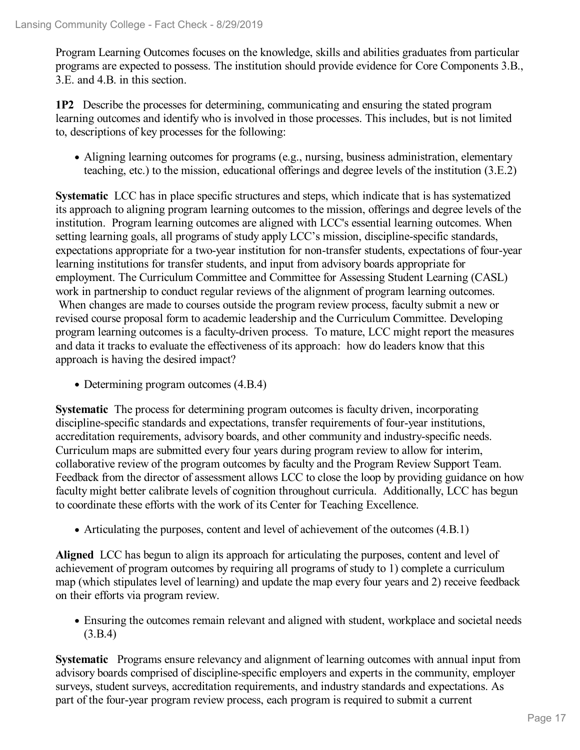Program Learning Outcomes focuses on the knowledge, skills and abilities graduates from particular programs are expected to possess. The institution should provide evidence for Core Components 3.B., 3.E. and 4.B. in this section.

**1P2** Describe the processes for determining, communicating and ensuring the stated program learning outcomes and identify who is involved in those processes. This includes, but is not limited to, descriptions of key processes for the following:

Aligning learning outcomes for programs (e.g., nursing, business administration, elementary teaching, etc.) to the mission, educational offerings and degree levels of the institution (3.E.2)

**Systematic** LCC has in place specific structures and steps, which indicate that is has systematized its approach to aligning program learning outcomes to the mission, offerings and degree levels of the institution. Program learning outcomes are aligned with LCC's essential learning outcomes. When setting learning goals, all programs of study apply LCC's mission, discipline-specific standards, expectations appropriate for a two-year institution for non-transfer students, expectations of four-year learning institutions for transfer students, and input from advisory boards appropriate for employment. The Curriculum Committee and Committee for Assessing Student Learning (CASL) work in partnership to conduct regular reviews of the alignment of program learning outcomes. When changes are made to courses outside the program review process, faculty submit a new or revised course proposal form to academic leadership and the Curriculum Committee. Developing program learning outcomes is a faculty-driven process. To mature, LCC might report the measures and data it tracks to evaluate the effectiveness of its approach: how do leaders know that this approach is having the desired impact?

• Determining program outcomes  $(4.B.4)$ 

**Systematic** The process for determining program outcomes is faculty driven, incorporating discipline-specific standards and expectations, transfer requirements of four-year institutions, accreditation requirements, advisory boards, and other community and industry-specific needs. Curriculum maps are submitted every four years during program review to allow for interim, collaborative review of the program outcomes by faculty and the Program Review Support Team. Feedback from the director of assessment allows LCC to close the loop by providing guidance on how faculty might better calibrate levels of cognition throughout curricula. Additionally, LCC has begun to coordinate these efforts with the work of its Center for Teaching Excellence.

Articulating the purposes, content and level of achievement of the outcomes (4.B.1)

**Aligned** LCC has begun to align its approach for articulating the purposes, content and level of achievement of program outcomes by requiring all programs of study to 1) complete a curriculum map (which stipulates level of learning) and update the map every four years and 2) receive feedback on their efforts via program review.

Ensuring the outcomes remain relevant and aligned with student, workplace and societal needs (3.B.4)

**Systematic** Programs ensure relevancy and alignment of learning outcomes with annual input from advisory boards comprised of discipline-specific employers and experts in the community, employer surveys, student surveys, accreditation requirements, and industry standards and expectations. As part of the four-year program review process, each program is required to submit a current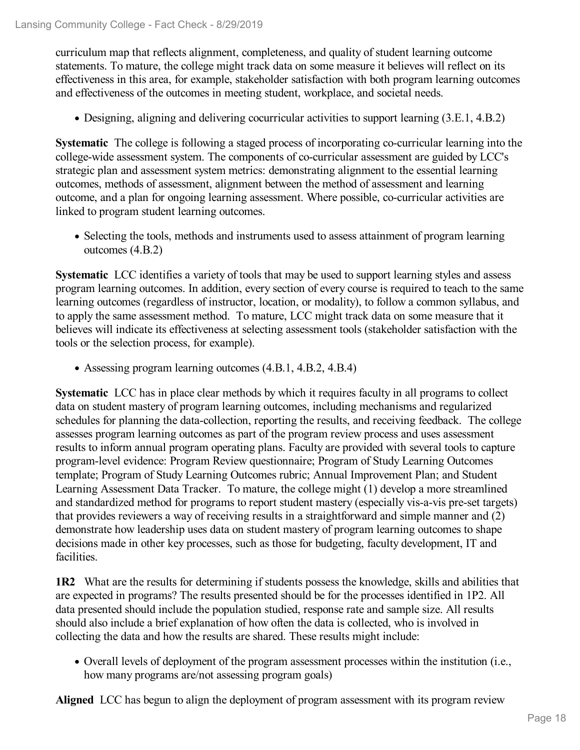curriculum map that reflects alignment, completeness, and quality of student learning outcome statements. To mature, the college might track data on some measure it believes will reflect on its effectiveness in this area, for example, stakeholder satisfaction with both program learning outcomes and effectiveness of the outcomes in meeting student, workplace, and societal needs.

Designing, aligning and delivering cocurricular activities to support learning (3.E.1, 4.B.2)

**Systematic** The college is following a staged process of incorporating co-curricular learning into the college-wide assessment system. The components of co-curricular assessment are guided by LCC's strategic plan and assessment system metrics: demonstrating alignment to the essential learning outcomes, methods of assessment, alignment between the method of assessment and learning outcome, and a plan for ongoing learning assessment. Where possible, co-curricular activities are linked to program student learning outcomes.

• Selecting the tools, methods and instruments used to assess attainment of program learning outcomes (4.B.2)

**Systematic** LCC identifies a variety of tools that may be used to support learning styles and assess program learning outcomes. In addition, every section of every course is required to teach to the same learning outcomes (regardless of instructor, location, or modality), to follow a common syllabus, and to apply the same assessment method. To mature, LCC might track data on some measure that it believes will indicate its effectiveness at selecting assessment tools (stakeholder satisfaction with the tools or the selection process, for example).

Assessing program learning outcomes (4.B.1, 4.B.2, 4.B.4)

**Systematic** LCC has in place clear methods by which it requires faculty in all programs to collect data on student mastery of program learning outcomes, including mechanisms and regularized schedules for planning the data-collection, reporting the results, and receiving feedback. The college assesses program learning outcomes as part of the program review process and uses assessment results to inform annual program operating plans. Faculty are provided with several tools to capture program-level evidence: Program Review questionnaire; Program of Study Learning Outcomes template; Program of Study Learning Outcomes rubric; Annual Improvement Plan; and Student Learning Assessment Data Tracker. To mature, the college might (1) develop a more streamlined and standardized method for programs to report student mastery (especially vis-a-vis pre-set targets) that provides reviewers a way of receiving results in a straightforward and simple manner and (2) demonstrate how leadership uses data on student mastery of program learning outcomes to shape decisions made in other key processes, such as those for budgeting, faculty development, IT and facilities.

**1R2** What are the results for determining if students possess the knowledge, skills and abilities that are expected in programs? The results presented should be for the processes identified in 1P2. All data presented should include the population studied, response rate and sample size. All results should also include a brief explanation of how often the data is collected, who is involved in collecting the data and how the results are shared. These results might include:

Overall levels of deployment of the program assessment processes within the institution (i.e., how many programs are/not assessing program goals)

**Aligned** LCC has begun to align the deployment of program assessment with its program review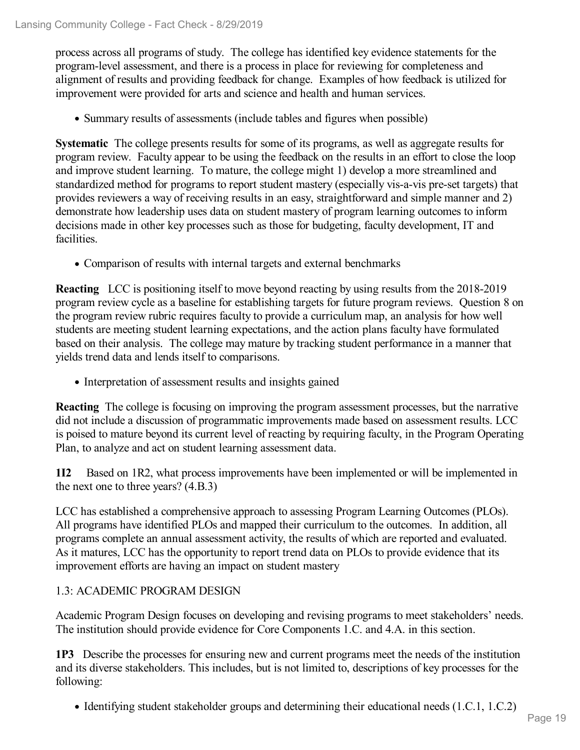process across all programs of study. The college has identified key evidence statements for the program-level assessment, and there is a process in place for reviewing for completeness and alignment of results and providing feedback for change. Examples of how feedback is utilized for improvement were provided for arts and science and health and human services.

• Summary results of assessments (include tables and figures when possible)

**Systematic** The college presents results for some of its programs, as well as aggregate results for program review. Faculty appear to be using the feedback on the results in an effort to close the loop and improve student learning. To mature, the college might 1) develop a more streamlined and standardized method for programs to report student mastery (especially vis-a-vis pre-set targets) that provides reviewers a way of receiving results in an easy, straightforward and simple manner and 2) demonstrate how leadership uses data on student mastery of program learning outcomes to inform decisions made in other key processes such as those for budgeting, faculty development, IT and facilities.

Comparison of results with internal targets and external benchmarks

**Reacting** LCC is positioning itself to move beyond reacting by using results from the 2018-2019 program review cycle as a baseline for establishing targets for future program reviews. Question 8 on the program review rubric requires faculty to provide a curriculum map, an analysis for how well students are meeting student learning expectations, and the action plans faculty have formulated based on their analysis. The college may mature by tracking student performance in a manner that yields trend data and lends itself to comparisons.

• Interpretation of assessment results and insights gained

**Reacting** The college is focusing on improving the program assessment processes, but the narrative did not include a discussion of programmatic improvements made based on assessment results. LCC is poised to mature beyond its current level of reacting by requiring faculty, in the Program Operating Plan, to analyze and act on student learning assessment data.

**1I2** Based on 1R2, what process improvements have been implemented or will be implemented in the next one to three years? (4.B.3)

LCC has established a comprehensive approach to assessing Program Learning Outcomes (PLOs). All programs have identified PLOs and mapped their curriculum to the outcomes. In addition, all programs complete an annual assessment activity, the results of which are reported and evaluated. As it matures, LCC has the opportunity to report trend data on PLOs to provide evidence that its improvement efforts are having an impact on student mastery

# 1.3: ACADEMIC PROGRAM DESIGN

Academic Program Design focuses on developing and revising programs to meet stakeholders' needs. The institution should provide evidence for Core Components 1.C. and 4.A. in this section.

**1P3** Describe the processes for ensuring new and current programs meet the needs of the institution and its diverse stakeholders. This includes, but is not limited to, descriptions of key processes for the following:

• Identifying student stakeholder groups and determining their educational needs (1.C.1, 1.C.2)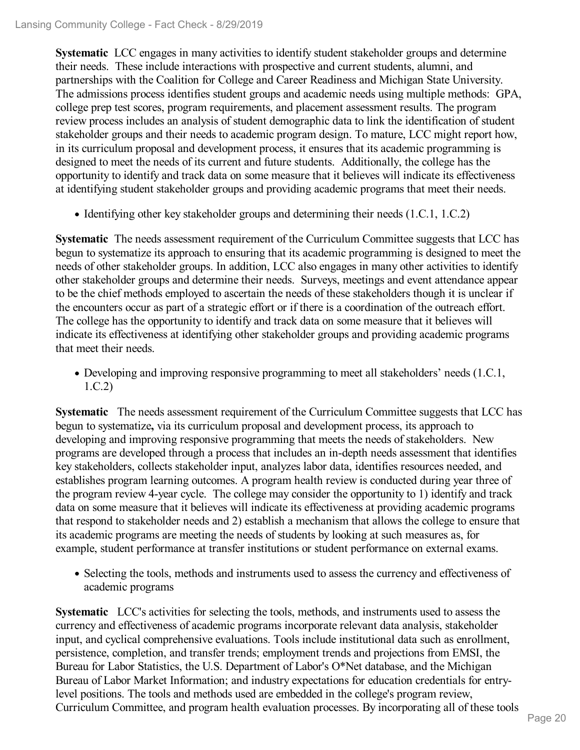**Systematic** LCC engages in many activities to identify student stakeholder groups and determine their needs. These include interactions with prospective and current students, alumni, and partnerships with the Coalition for College and Career Readiness and Michigan State University. The admissions process identifies student groups and academic needs using multiple methods: GPA, college prep test scores, program requirements, and placement assessment results. The program review process includes an analysis of student demographic data to link the identification of student stakeholder groups and their needs to academic program design. To mature, LCC might report how, in its curriculum proposal and development process, it ensures that its academic programming is designed to meet the needs of its current and future students. Additionally, the college has the opportunity to identify and track data on some measure that it believes will indicate its effectiveness at identifying student stakeholder groups and providing academic programs that meet their needs.

• Identifying other key stakeholder groups and determining their needs (1.C.1, 1.C.2)

**Systematic** The needs assessment requirement of the Curriculum Committee suggests that LCC has begun to systematize its approach to ensuring that its academic programming is designed to meet the needs of other stakeholder groups. In addition, LCC also engages in many other activities to identify other stakeholder groups and determine their needs. Surveys, meetings and event attendance appear to be the chief methods employed to ascertain the needs of these stakeholders though it is unclear if the encounters occur as part of a strategic effort or if there is a coordination of the outreach effort. The college has the opportunity to identify and track data on some measure that it believes will indicate its effectiveness at identifying other stakeholder groups and providing academic programs that meet their needs.

Developing and improving responsive programming to meet all stakeholders' needs (1.C.1, 1.C.2)

**Systematic** The needs assessment requirement of the Curriculum Committee suggests that LCC has begun to systematize**,** via its curriculum proposal and development process, its approach to developing and improving responsive programming that meets the needs of stakeholders. New programs are developed through a process that includes an in-depth needs assessment that identifies key stakeholders, collects stakeholder input, analyzes labor data, identifies resources needed, and establishes program learning outcomes. A program health review is conducted during year three of the program review 4-year cycle. The college may consider the opportunity to 1) identify and track data on some measure that it believes will indicate its effectiveness at providing academic programs that respond to stakeholder needs and 2) establish a mechanism that allows the college to ensure that its academic programs are meeting the needs of students by looking at such measures as, for example, student performance at transfer institutions or student performance on external exams.

• Selecting the tools, methods and instruments used to assess the currency and effectiveness of academic programs

**Systematic** LCC's activities for selecting the tools, methods, and instruments used to assess the currency and effectiveness of academic programs incorporate relevant data analysis, stakeholder input, and cyclical comprehensive evaluations. Tools include institutional data such as enrollment, persistence, completion, and transfer trends; employment trends and projections from EMSI, the Bureau for Labor Statistics, the U.S. Department of Labor's O\*Net database, and the Michigan Bureau of Labor Market Information; and industry expectations for education credentials for entrylevel positions. The tools and methods used are embedded in the college's program review, Curriculum Committee, and program health evaluation processes. By incorporating all of these tools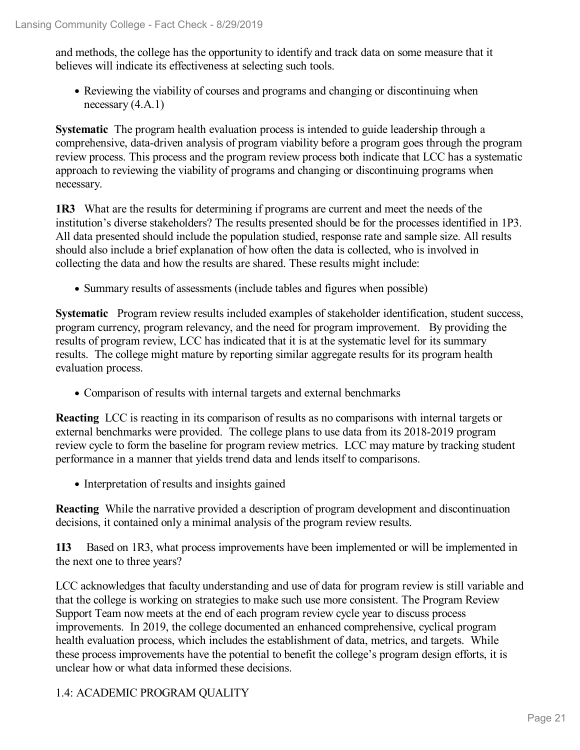and methods, the college has the opportunity to identify and track data on some measure that it believes will indicate its effectiveness at selecting such tools.

Reviewing the viability of courses and programs and changing or discontinuing when necessary (4.A.1)

**Systematic** The program health evaluation process is intended to guide leadership through a comprehensive, data-driven analysis of program viability before a program goes through the program review process. This process and the program review process both indicate that LCC has a systematic approach to reviewing the viability of programs and changing or discontinuing programs when necessary.

**1R3** What are the results for determining if programs are current and meet the needs of the institution's diverse stakeholders? The results presented should be for the processes identified in 1P3. All data presented should include the population studied, response rate and sample size. All results should also include a brief explanation of how often the data is collected, who is involved in collecting the data and how the results are shared. These results might include:

• Summary results of assessments (include tables and figures when possible)

**Systematic** Program review results included examples of stakeholder identification, student success, program currency, program relevancy, and the need for program improvement. By providing the results of program review, LCC has indicated that it is at the systematic level for its summary results. The college might mature by reporting similar aggregate results for its program health evaluation process.

Comparison of results with internal targets and external benchmarks

**Reacting** LCC is reacting in its comparison of results as no comparisons with internal targets or external benchmarks were provided. The college plans to use data from its 2018-2019 program review cycle to form the baseline for program review metrics. LCC may mature by tracking student performance in a manner that yields trend data and lends itself to comparisons.

• Interpretation of results and insights gained

**Reacting** While the narrative provided a description of program development and discontinuation decisions, it contained only a minimal analysis of the program review results.

**1I3** Based on 1R3, what process improvements have been implemented or will be implemented in the next one to three years?

LCC acknowledges that faculty understanding and use of data for program review is still variable and that the college is working on strategies to make such use more consistent. The Program Review Support Team now meets at the end of each program review cycle year to discuss process improvements. In 2019, the college documented an enhanced comprehensive, cyclical program health evaluation process, which includes the establishment of data, metrics, and targets. While these process improvements have the potential to benefit the college's program design efforts, it is unclear how or what data informed these decisions.

# 1.4: ACADEMIC PROGRAM QUALITY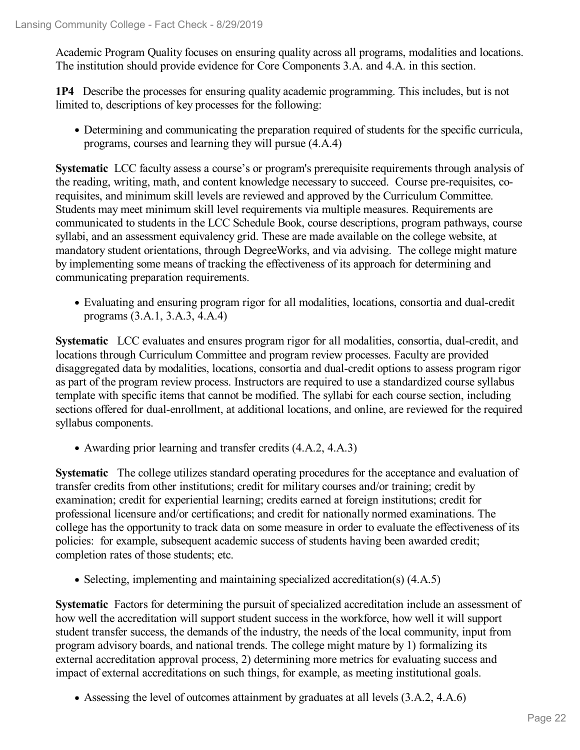Academic Program Quality focuses on ensuring quality across all programs, modalities and locations. The institution should provide evidence for Core Components 3.A. and 4.A. in this section.

**1P4** Describe the processes for ensuring quality academic programming. This includes, but is not limited to, descriptions of key processes for the following:

Determining and communicating the preparation required of students for the specific curricula, programs, courses and learning they will pursue (4.A.4)

**Systematic** LCC faculty assess a course's or program's prerequisite requirements through analysis of the reading, writing, math, and content knowledge necessary to succeed. Course pre-requisites, corequisites, and minimum skill levels are reviewed and approved by the Curriculum Committee. Students may meet minimum skill level requirements via multiple measures. Requirements are communicated to students in the LCC Schedule Book, course descriptions, program pathways, course syllabi, and an assessment equivalency grid. These are made available on the college website, at mandatory student orientations, through DegreeWorks, and via advising. The college might mature by implementing some means of tracking the effectiveness of its approach for determining and communicating preparation requirements.

Evaluating and ensuring program rigor for all modalities, locations, consortia and dual-credit programs (3.A.1, 3.A.3, 4.A.4)

**Systematic** LCC evaluates and ensures program rigor for all modalities, consortia, dual-credit, and locations through Curriculum Committee and program review processes. Faculty are provided disaggregated data by modalities, locations, consortia and dual-credit options to assess program rigor as part of the program review process. Instructors are required to use a standardized course syllabus template with specific items that cannot be modified. The syllabi for each course section, including sections offered for dual-enrollment, at additional locations, and online, are reviewed for the required syllabus components.

Awarding prior learning and transfer credits (4.A.2, 4.A.3)

**Systematic** The college utilizes standard operating procedures for the acceptance and evaluation of transfer credits from other institutions; credit for military courses and/or training; credit by examination; credit for experiential learning; credits earned at foreign institutions; credit for professional licensure and/or certifications; and credit for nationally normed examinations. The college has the opportunity to track data on some measure in order to evaluate the effectiveness of its policies: for example, subsequent academic success of students having been awarded credit; completion rates of those students; etc.

• Selecting, implementing and maintaining specialized accreditation(s) (4.A.5)

**Systematic** Factors for determining the pursuit of specialized accreditation include an assessment of how well the accreditation will support student success in the workforce, how well it will support student transfer success, the demands of the industry, the needs of the local community, input from program advisory boards, and national trends. The college might mature by 1) formalizing its external accreditation approval process, 2) determining more metrics for evaluating success and impact of external accreditations on such things, for example, as meeting institutional goals.

Assessing the level of outcomes attainment by graduates at all levels (3.A.2, 4.A.6)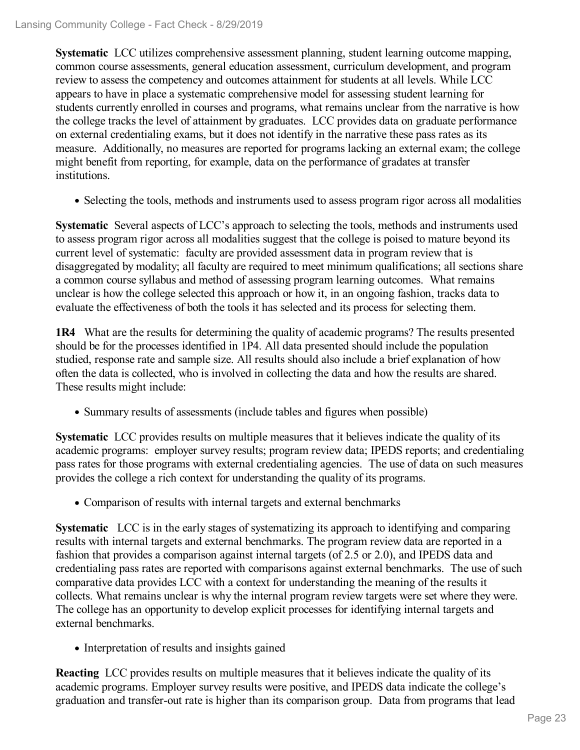**Systematic** LCC utilizes comprehensive assessment planning, student learning outcome mapping, common course assessments, general education assessment, curriculum development, and program review to assess the competency and outcomes attainment for students at all levels. While LCC appears to have in place a systematic comprehensive model for assessing student learning for students currently enrolled in courses and programs, what remains unclear from the narrative is how the college tracks the level of attainment by graduates. LCC provides data on graduate performance on external credentialing exams, but it does not identify in the narrative these pass rates as its measure. Additionally, no measures are reported for programs lacking an external exam; the college might benefit from reporting, for example, data on the performance of gradates at transfer institutions.

• Selecting the tools, methods and instruments used to assess program rigor across all modalities

**Systematic** Several aspects of LCC's approach to selecting the tools, methods and instruments used to assess program rigor across all modalities suggest that the college is poised to mature beyond its current level of systematic: faculty are provided assessment data in program review that is disaggregated by modality; all faculty are required to meet minimum qualifications; all sections share a common course syllabus and method of assessing program learning outcomes. What remains unclear is how the college selected this approach or how it, in an ongoing fashion, tracks data to evaluate the effectiveness of both the tools it has selected and its process for selecting them.

**1R4** What are the results for determining the quality of academic programs? The results presented should be for the processes identified in 1P4. All data presented should include the population studied, response rate and sample size. All results should also include a brief explanation of how often the data is collected, who is involved in collecting the data and how the results are shared. These results might include:

• Summary results of assessments (include tables and figures when possible)

**Systematic** LCC provides results on multiple measures that it believes indicate the quality of its academic programs: employer survey results; program review data; IPEDS reports; and credentialing pass rates for those programs with external credentialing agencies. The use of data on such measures provides the college a rich context for understanding the quality of its programs.

• Comparison of results with internal targets and external benchmarks

**Systematic** LCC is in the early stages of systematizing its approach to identifying and comparing results with internal targets and external benchmarks. The program review data are reported in a fashion that provides a comparison against internal targets (of 2.5 or 2.0), and IPEDS data and credentialing pass rates are reported with comparisons against external benchmarks. The use of such comparative data provides LCC with a context for understanding the meaning of the results it collects. What remains unclear is why the internal program review targets were set where they were. The college has an opportunity to develop explicit processes for identifying internal targets and external benchmarks.

• Interpretation of results and insights gained

**Reacting** LCC provides results on multiple measures that it believes indicate the quality of its academic programs. Employer survey results were positive, and IPEDS data indicate the college's graduation and transfer-out rate is higher than its comparison group. Data from programs that lead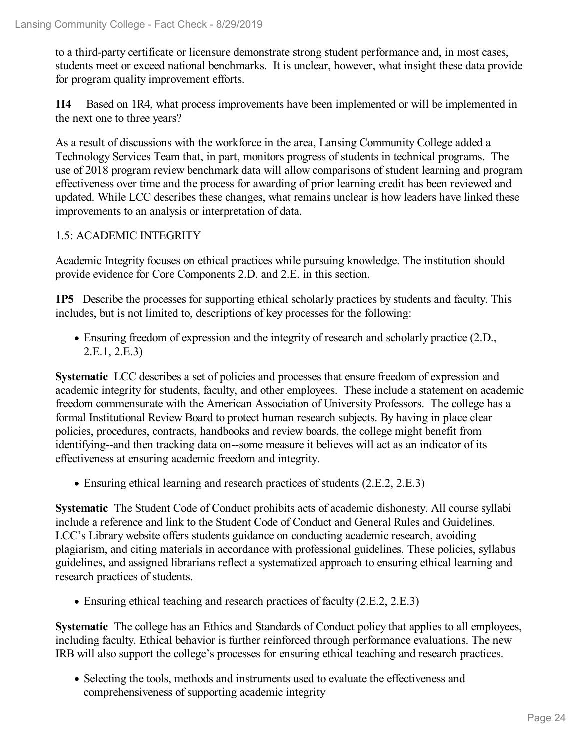to a third-party certificate or licensure demonstrate strong student performance and, in most cases, students meet or exceed national benchmarks. It is unclear, however, what insight these data provide for program quality improvement efforts.

**1I4** Based on 1R4, what process improvements have been implemented or will be implemented in the next one to three years?

As a result of discussions with the workforce in the area, Lansing Community College added a Technology Services Team that, in part, monitors progress of students in technical programs. The use of 2018 program review benchmark data will allow comparisons of student learning and program effectiveness over time and the process for awarding of prior learning credit has been reviewed and updated. While LCC describes these changes, what remains unclear is how leaders have linked these improvements to an analysis or interpretation of data.

# 1.5: ACADEMIC INTEGRITY

Academic Integrity focuses on ethical practices while pursuing knowledge. The institution should provide evidence for Core Components 2.D. and 2.E. in this section.

**1P5** Describe the processes for supporting ethical scholarly practices by students and faculty. This includes, but is not limited to, descriptions of key processes for the following:

Ensuring freedom of expression and the integrity of research and scholarly practice (2.D., 2.E.1, 2.E.3)

**Systematic** LCC describes a set of policies and processes that ensure freedom of expression and academic integrity for students, faculty, and other employees. These include a statement on academic freedom commensurate with the American Association of University Professors. The college has a formal Institutional Review Board to protect human research subjects. By having in place clear policies, procedures, contracts, handbooks and review boards, the college might benefit from identifying--and then tracking data on--some measure it believes will act as an indicator of its effectiveness at ensuring academic freedom and integrity.

• Ensuring ethical learning and research practices of students (2.E.2, 2.E.3)

**Systematic** The Student Code of Conduct prohibits acts of academic dishonesty. All course syllabi include a reference and link to the Student Code of Conduct and General Rules and Guidelines. LCC's Library website offers students guidance on conducting academic research, avoiding plagiarism, and citing materials in accordance with professional guidelines. These policies, syllabus guidelines, and assigned librarians reflect a systematized approach to ensuring ethical learning and research practices of students.

• Ensuring ethical teaching and research practices of faculty (2.E.2, 2.E.3)

**Systematic** The college has an Ethics and Standards of Conduct policy that applies to all employees, including faculty. Ethical behavior is further reinforced through performance evaluations. The new IRB will also support the college's processes for ensuring ethical teaching and research practices.

Selecting the tools, methods and instruments used to evaluate the effectiveness and comprehensiveness of supporting academic integrity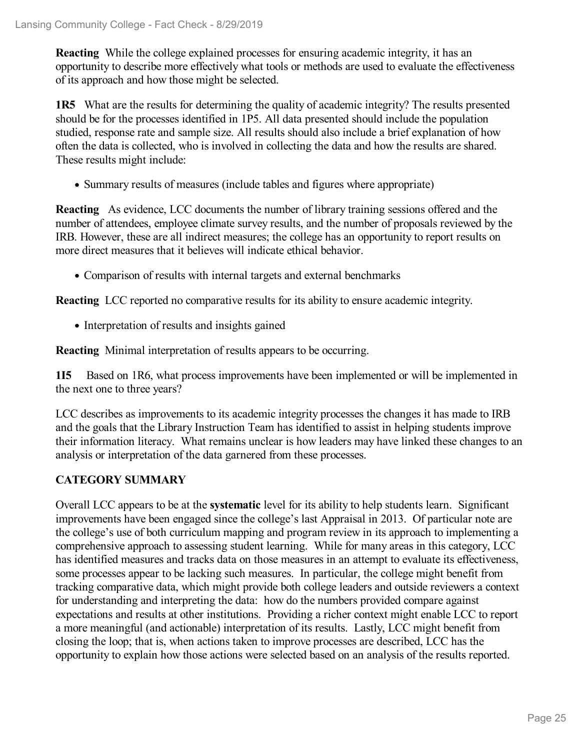**Reacting** While the college explained processes for ensuring academic integrity, it has an opportunity to describe more effectively what tools or methods are used to evaluate the effectiveness of its approach and how those might be selected.

**1R5** What are the results for determining the quality of academic integrity? The results presented should be for the processes identified in 1P5. All data presented should include the population studied, response rate and sample size. All results should also include a brief explanation of how often the data is collected, who is involved in collecting the data and how the results are shared. These results might include:

Summary results of measures (include tables and figures where appropriate)

**Reacting** As evidence, LCC documents the number of library training sessions offered and the number of attendees, employee climate survey results, and the number of proposals reviewed by the IRB. However, these are all indirect measures; the college has an opportunity to report results on more direct measures that it believes will indicate ethical behavior.

• Comparison of results with internal targets and external benchmarks

**Reacting** LCC reported no comparative results for its ability to ensure academic integrity.

• Interpretation of results and insights gained

**Reacting** Minimal interpretation of results appears to be occurring.

**1I5** Based on 1R6, what process improvements have been implemented or will be implemented in the next one to three years?

LCC describes as improvements to its academic integrity processes the changes it has made to IRB and the goals that the Library Instruction Team has identified to assist in helping students improve their information literacy. What remains unclear is how leaders may have linked these changes to an analysis or interpretation of the data garnered from these processes.

# **CATEGORY SUMMARY**

Overall LCC appears to be at the **systematic** level for its ability to help students learn. Significant improvements have been engaged since the college's last Appraisal in 2013. Of particular note are the college's use of both curriculum mapping and program review in its approach to implementing a comprehensive approach to assessing student learning. While for many areas in this category, LCC has identified measures and tracks data on those measures in an attempt to evaluate its effectiveness, some processes appear to be lacking such measures. In particular, the college might benefit from tracking comparative data, which might provide both college leaders and outside reviewers a context for understanding and interpreting the data: how do the numbers provided compare against expectations and results at other institutions. Providing a richer context might enable LCC to report a more meaningful (and actionable) interpretation of its results. Lastly, LCC might benefit from closing the loop; that is, when actions taken to improve processes are described, LCC has the opportunity to explain how those actions were selected based on an analysis of the results reported.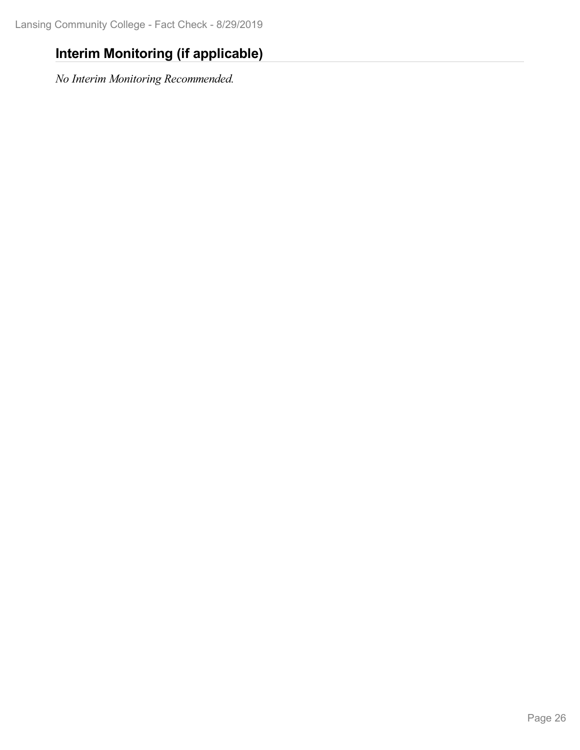# **Interim Monitoring (if applicable)**

*No Interim Monitoring Recommended.*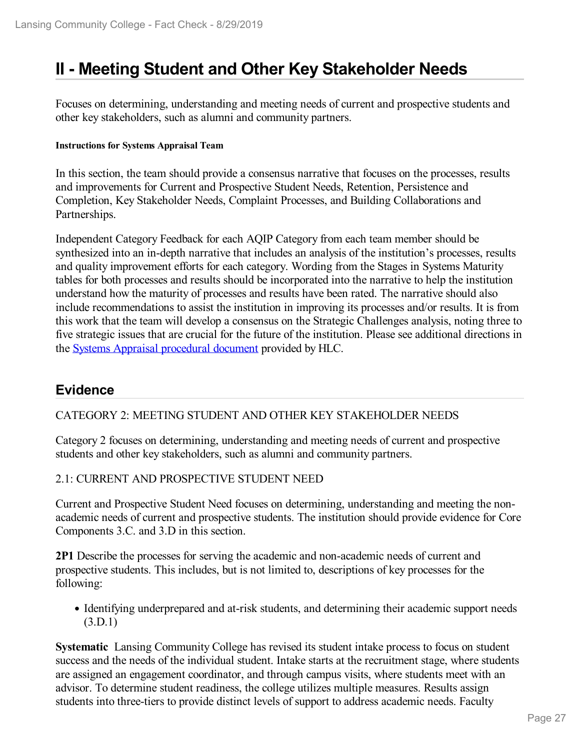# **II - Meeting Student and Other Key Stakeholder Needs**

Focuses on determining, understanding and meeting needs of current and prospective students and other key stakeholders, such as alumni and community partners.

#### **Instructions for Systems Appraisal Team**

In this section, the team should provide a consensus narrative that focuses on the processes, results and improvements for Current and Prospective Student Needs, Retention, Persistence and Completion, Key Stakeholder Needs, Complaint Processes, and Building Collaborations and Partnerships.

Independent Category Feedback for each AQIP Category from each team member should be synthesized into an in-depth narrative that includes an analysis of the institution's processes, results and quality improvement efforts for each category. Wording from the Stages in Systems Maturity tables for both processes and results should be incorporated into the narrative to help the institution understand how the maturity of processes and results have been rated. The narrative should also include recommendations to assist the institution in improving its processes and/or results. It is from this work that the team will develop a consensus on the Strategic Challenges analysis, noting three to five strategic issues that are crucial for the future of the institution. Please see additional directions in the Systems Appraisal [procedural](https://www.hlcommission.org/Accreditation/aqip-portfolio.html) document provided by HLC.

# **Evidence**

# CATEGORY 2: MEETING STUDENT AND OTHER KEY STAKEHOLDER NEEDS

Category 2 focuses on determining, understanding and meeting needs of current and prospective students and other key stakeholders, such as alumni and community partners.

# 2.1: CURRENT AND PROSPECTIVE STUDENT NEED

Current and Prospective Student Need focuses on determining, understanding and meeting the nonacademic needs of current and prospective students. The institution should provide evidence for Core Components 3.C. and 3.D in this section.

**2P1** Describe the processes for serving the academic and non-academic needs of current and prospective students. This includes, but is not limited to, descriptions of key processes for the following:

• Identifying underprepared and at-risk students, and determining their academic support needs (3.D.1)

**Systematic** Lansing Community College has revised its student intake process to focus on student success and the needs of the individual student. Intake starts at the recruitment stage, where students are assigned an engagement coordinator, and through campus visits, where students meet with an advisor. To determine student readiness, the college utilizes multiple measures. Results assign students into three-tiers to provide distinct levels of support to address academic needs. Faculty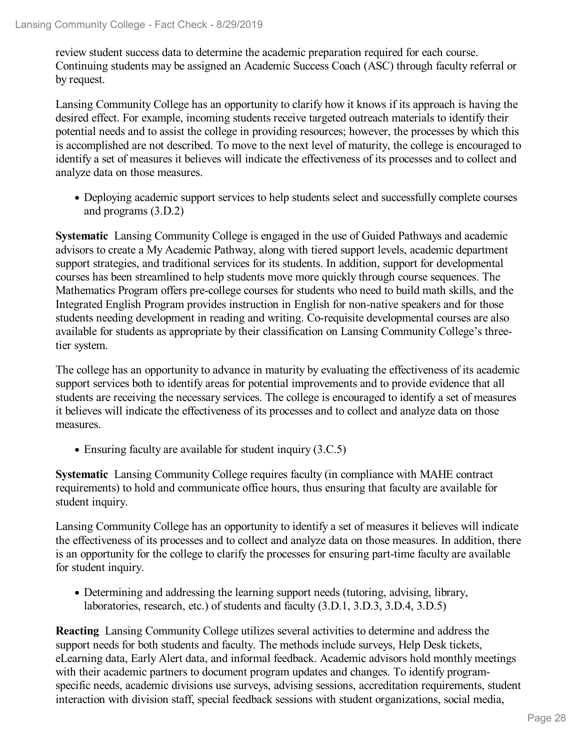review student success data to determine the academic preparation required for each course. Continuing students may be assigned an Academic Success Coach (ASC) through faculty referral or by request.

Lansing Community College has an opportunity to clarify how it knows if its approach is having the desired effect. For example, incoming students receive targeted outreach materials to identify their potential needs and to assist the college in providing resources; however, the processes by which this is accomplished are not described. To move to the next level of maturity, the college is encouraged to identify a set of measures it believes will indicate the effectiveness of its processes and to collect and analyze data on those measures.

Deploying academic support services to help students select and successfully complete courses and programs (3.D.2)

**Systematic** Lansing Community College is engaged in the use of Guided Pathways and academic advisors to create a My Academic Pathway, along with tiered support levels, academic department support strategies, and traditional services for its students. In addition, support for developmental courses has been streamlined to help students move more quickly through course sequences. The Mathematics Program offers pre-college courses for students who need to build math skills, and the Integrated English Program provides instruction in English for non-native speakers and for those students needing development in reading and writing. Co-requisite developmental courses are also available for students as appropriate by their classification on Lansing Community College's threetier system.

The college has an opportunity to advance in maturity by evaluating the effectiveness of its academic support services both to identify areas for potential improvements and to provide evidence that all students are receiving the necessary services. The college is encouraged to identify a set of measures it believes will indicate the effectiveness of its processes and to collect and analyze data on those measures.

• Ensuring faculty are available for student inquiry (3.C.5)

**Systematic** Lansing Community College requires faculty (in compliance with MAHE contract requirements) to hold and communicate office hours, thus ensuring that faculty are available for student inquiry.

Lansing Community College has an opportunity to identify a set of measures it believes will indicate the effectiveness of its processes and to collect and analyze data on those measures. In addition, there is an opportunity for the college to clarify the processes for ensuring part-time faculty are available for student inquiry.

Determining and addressing the learning support needs (tutoring, advising, library, laboratories, research, etc.) of students and faculty (3.D.1, 3.D.3, 3.D.4, 3.D.5)

**Reacting** Lansing Community College utilizes several activities to determine and address the support needs for both students and faculty. The methods include surveys, Help Desk tickets, eLearning data, Early Alert data, and informal feedback. Academic advisors hold monthly meetings with their academic partners to document program updates and changes. To identify programspecific needs, academic divisions use surveys, advising sessions, accreditation requirements, student interaction with division staff, special feedback sessions with student organizations, social media,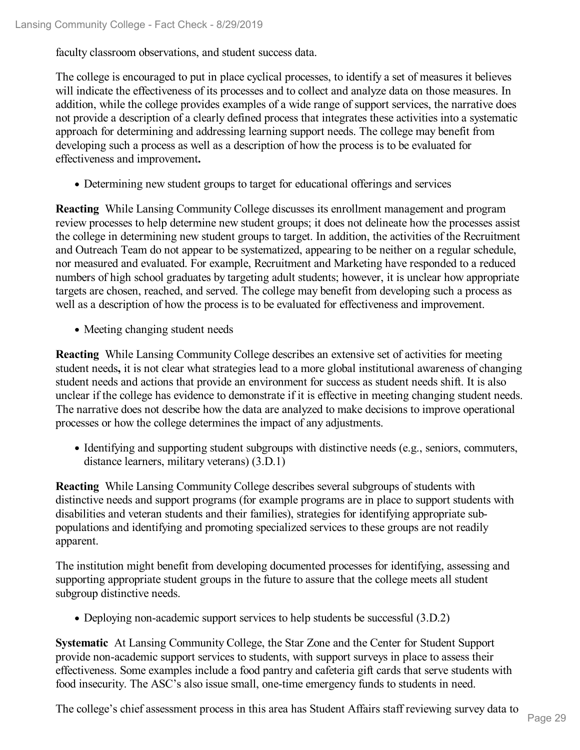faculty classroom observations, and student success data.

The college is encouraged to put in place cyclical processes, to identify a set of measures it believes will indicate the effectiveness of its processes and to collect and analyze data on those measures. In addition, while the college provides examples of a wide range of support services, the narrative does not provide a description of a clearly defined process that integrates these activities into a systematic approach for determining and addressing learning support needs. The college may benefit from developing such a process as well as a description of how the process is to be evaluated for effectiveness and improvement**.**

Determining new student groups to target for educational offerings and services

**Reacting** While Lansing Community College discusses its enrollment management and program review processes to help determine new student groups; it does not delineate how the processes assist the college in determining new student groups to target. In addition, the activities of the Recruitment and Outreach Team do not appear to be systematized, appearing to be neither on a regular schedule, nor measured and evaluated. For example, Recruitment and Marketing have responded to a reduced numbers of high school graduates by targeting adult students; however, it is unclear how appropriate targets are chosen, reached, and served. The college may benefit from developing such a process as well as a description of how the process is to be evaluated for effectiveness and improvement.

• Meeting changing student needs

**Reacting** While Lansing Community College describes an extensive set of activities for meeting student needs**,** it is not clear what strategies lead to a more global institutional awareness of changing student needs and actions that provide an environment for success as student needs shift. It is also unclear if the college has evidence to demonstrate if it is effective in meeting changing student needs. The narrative does not describe how the data are analyzed to make decisions to improve operational processes or how the college determines the impact of any adjustments.

• Identifying and supporting student subgroups with distinctive needs (e.g., seniors, commuters, distance learners, military veterans) (3.D.1)

**Reacting** While Lansing Community College describes several subgroups of students with distinctive needs and support programs (for example programs are in place to support students with disabilities and veteran students and their families), strategies for identifying appropriate sub populations and identifying and promoting specialized services to these groups are not readily apparent.

The institution might benefit from developing documented processes for identifying, assessing and supporting appropriate student groups in the future to assure that the college meets all student subgroup distinctive needs.

• Deploying non-academic support services to help students be successful (3.D.2)

**Systematic** At Lansing Community College, the Star Zone and the Center for Student Support provide non-academic support services to students, with support surveys in place to assess their effectiveness. Some examples include a food pantry and cafeteria gift cards that serve students with food insecurity. The ASC's also issue small, one-time emergency funds to students in need.

The college's chief assessment process in this area has Student Affairs staff reviewing survey data to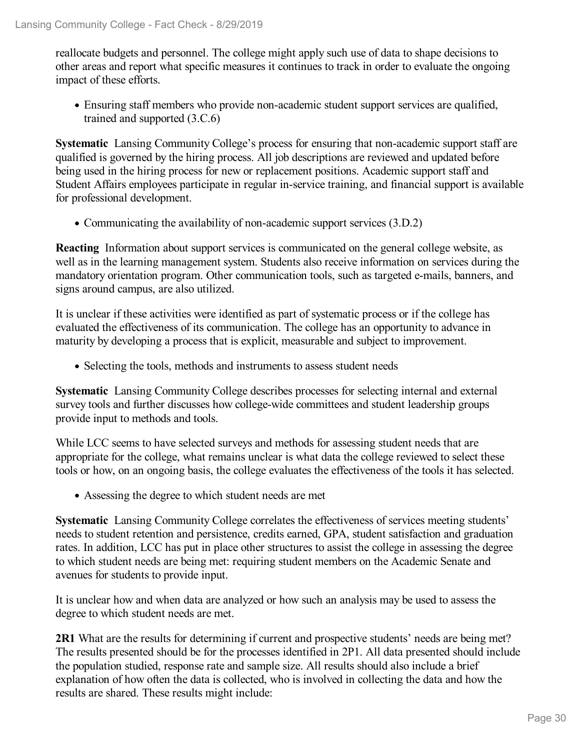reallocate budgets and personnel. The college might apply such use of data to shape decisions to other areas and report what specific measures it continues to track in order to evaluate the ongoing impact of these efforts.

Ensuring staff members who provide non-academic student support services are qualified, trained and supported (3.C.6)

**Systematic** Lansing Community College's process for ensuring that non-academic support staff are qualified is governed by the hiring process. All job descriptions are reviewed and updated before being used in the hiring process for new or replacement positions. Academic support staff and Student Affairs employees participate in regular in-service training, and financial support is available for professional development.

Communicating the availability of non-academic support services (3.D.2)

**Reacting** Information about support services is communicated on the general college website, as well as in the learning management system. Students also receive information on services during the mandatory orientation program. Other communication tools, such as targeted e-mails, banners, and signs around campus, are also utilized.

It is unclear if these activities were identified as part of systematic process or if the college has evaluated the effectiveness of its communication. The college has an opportunity to advance in maturity by developing a process that is explicit, measurable and subject to improvement.

• Selecting the tools, methods and instruments to assess student needs

**Systematic** Lansing Community College describes processes for selecting internal and external survey tools and further discusses how college-wide committees and student leadership groups provide input to methods and tools.

While LCC seems to have selected surveys and methods for assessing student needs that are appropriate for the college, what remains unclear is what data the college reviewed to select these tools or how, on an ongoing basis, the college evaluates the effectiveness of the tools it has selected.

Assessing the degree to which student needs are met

**Systematic** Lansing Community College correlates the effectiveness of services meeting students' needs to student retention and persistence, credits earned, GPA, student satisfaction and graduation rates. In addition, LCC has put in place other structures to assist the college in assessing the degree to which student needs are being met: requiring student members on the Academic Senate and avenues for students to provide input.

It is unclear how and when data are analyzed or how such an analysis may be used to assess the degree to which student needs are met.

**2R1** What are the results for determining if current and prospective students' needs are being met? The results presented should be for the processes identified in 2P1. All data presented should include the population studied, response rate and sample size. All results should also include a brief explanation of how often the data is collected, who is involved in collecting the data and how the results are shared. These results might include: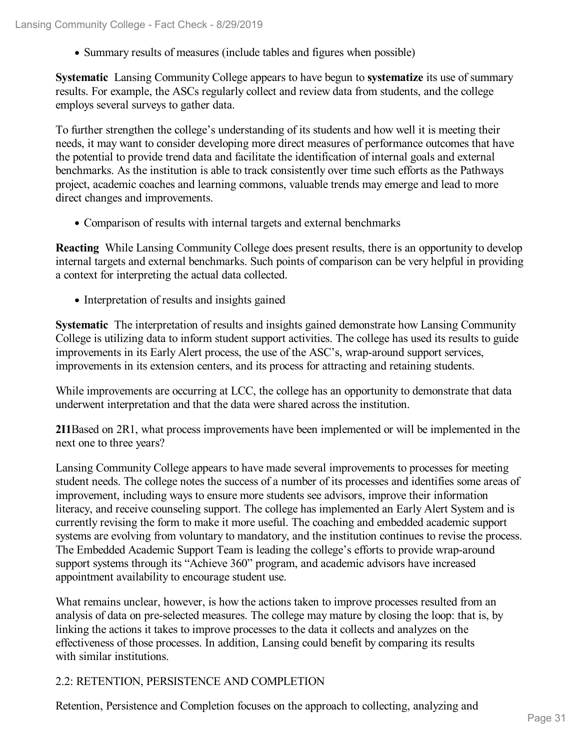Summary results of measures (include tables and figures when possible)

**Systematic** Lansing Community College appears to have begun to **systematize** its use of summary results. For example, the ASCs regularly collect and review data from students, and the college employs several surveys to gather data.

To further strengthen the college's understanding of its students and how well it is meeting their needs, it may want to consider developing more direct measures of performance outcomes that have the potential to provide trend data and facilitate the identification of internal goals and external benchmarks. As the institution is able to track consistently over time such efforts as the Pathways project, academic coaches and learning commons, valuable trends may emerge and lead to more direct changes and improvements.

Comparison of results with internal targets and external benchmarks

**Reacting** While Lansing Community College does present results, there is an opportunity to develop internal targets and external benchmarks. Such points of comparison can be very helpful in providing a context for interpreting the actual data collected.

• Interpretation of results and insights gained

**Systematic** The interpretation of results and insights gained demonstrate how Lansing Community College is utilizing data to inform student support activities. The college has used its results to guide improvements in its Early Alert process, the use of the ASC's, wrap-around support services, improvements in its extension centers, and its process for attracting and retaining students.

While improvements are occurring at LCC, the college has an opportunity to demonstrate that data underwent interpretation and that the data were shared across the institution.

**2I1**Based on 2R1, what process improvements have been implemented or will be implemented in the next one to three years?

Lansing Community College appears to have made several improvements to processes for meeting student needs. The college notes the success of a number of its processes and identifies some areas of improvement, including ways to ensure more students see advisors, improve their information literacy, and receive counseling support. The college has implemented an Early Alert System and is currently revising the form to make it more useful. The coaching and embedded academic support systems are evolving from voluntary to mandatory, and the institution continues to revise the process. The Embedded Academic Support Team is leading the college's efforts to provide wrap-around support systems through its "Achieve 360" program, and academic advisors have increased appointment availability to encourage student use.

What remains unclear, however, is how the actions taken to improve processes resulted from an analysis of data on pre-selected measures. The college may mature by closing the loop: that is, by linking the actions it takes to improve processes to the data it collects and analyzes on the effectiveness of those processes. In addition, Lansing could benefit by comparing its results with similar institutions.

# 2.2: RETENTION, PERSISTENCE AND COMPLETION

Retention, Persistence and Completion focuses on the approach to collecting, analyzing and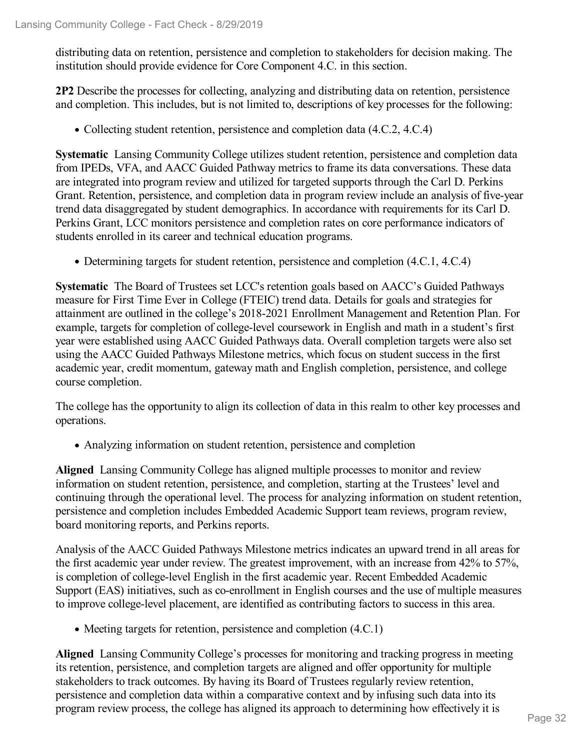distributing data on retention, persistence and completion to stakeholders for decision making. The institution should provide evidence for Core Component 4.C. in this section.

**2P2** Describe the processes for collecting, analyzing and distributing data on retention, persistence and completion. This includes, but is not limited to, descriptions of key processes for the following:

• Collecting student retention, persistence and completion data  $(4.C.2, 4.C.4)$ 

**Systematic** Lansing Community College utilizes student retention, persistence and completion data from IPEDs, VFA, and AACC Guided Pathway metrics to frame its data conversations. These data are integrated into program review and utilized for targeted supports through the Carl D. Perkins Grant. Retention, persistence, and completion data in program review include an analysis of five-year trend data disaggregated by student demographics. In accordance with requirements for its Carl D. Perkins Grant, LCC monitors persistence and completion rates on core performance indicators of students enrolled in its career and technical education programs.

Determining targets for student retention, persistence and completion (4.C.1, 4.C.4)

**Systematic** The Board of Trustees set LCC's retention goals based on AACC's Guided Pathways measure for First Time Ever in College (FTEIC) trend data. Details for goals and strategies for attainment are outlined in the college's 2018-2021 Enrollment Management and Retention Plan. For example, targets for completion of college-level coursework in English and math in a student's first year were established using AACC Guided Pathways data. Overall completion targets were also set using the AACC Guided Pathways Milestone metrics, which focus on student success in the first academic year, credit momentum, gateway math and English completion, persistence, and college course completion.

The college has the opportunity to align its collection of data in this realm to other key processes and operations.

Analyzing information on student retention, persistence and completion

**Aligned** Lansing Community College has aligned multiple processes to monitor and review information on student retention, persistence, and completion, starting at the Trustees' level and continuing through the operational level. The process for analyzing information on student retention, persistence and completion includes Embedded Academic Support team reviews, program review, board monitoring reports, and Perkins reports.

Analysis of the AACC Guided Pathways Milestone metrics indicates an upward trend in all areas for the first academic year under review. The greatest improvement, with an increase from 42% to 57%, is completion of college-level English in the first academic year. Recent Embedded Academic Support (EAS) initiatives, such as co-enrollment in English courses and the use of multiple measures to improve college-level placement, are identified as contributing factors to success in this area.

• Meeting targets for retention, persistence and completion  $(4.C.1)$ 

**Aligned** Lansing Community College's processes for monitoring and tracking progress in meeting its retention, persistence, and completion targets are aligned and offer opportunity for multiple stakeholders to track outcomes. By having its Board of Trustees regularly review retention, persistence and completion data within a comparative context and by infusing such data into its program review process, the college has aligned its approach to determining how effectively it is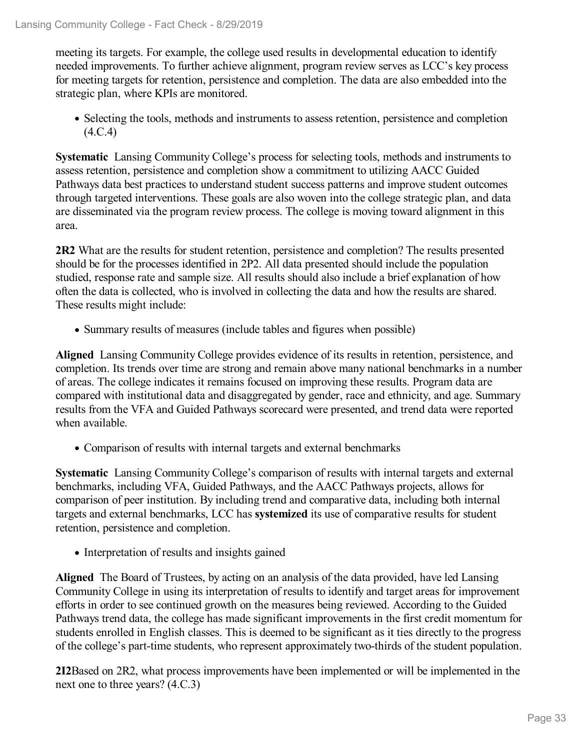meeting its targets. For example, the college used results in developmental education to identify needed improvements. To further achieve alignment, program review serves as LCC's key process for meeting targets for retention, persistence and completion. The data are also embedded into the strategic plan, where KPIs are monitored.

• Selecting the tools, methods and instruments to assess retention, persistence and completion (4.C.4)

**Systematic** Lansing Community College's process for selecting tools, methods and instruments to assess retention, persistence and completion show a commitment to utilizing AACC Guided Pathways data best practices to understand student success patterns and improve student outcomes through targeted interventions. These goals are also woven into the college strategic plan, and data are disseminated via the program review process. The college is moving toward alignment in this area.

**2R2** What are the results for student retention, persistence and completion? The results presented should be for the processes identified in 2P2. All data presented should include the population studied, response rate and sample size. All results should also include a brief explanation of how often the data is collected, who is involved in collecting the data and how the results are shared. These results might include:

• Summary results of measures (include tables and figures when possible)

**Aligned** Lansing Community College provides evidence of its results in retention, persistence, and completion. Its trends over time are strong and remain above many national benchmarks in a number of areas. The college indicates it remains focused on improving these results. Program data are compared with institutional data and disaggregated by gender, race and ethnicity, and age. Summary results from the VFA and Guided Pathways scorecard were presented, and trend data were reported when available.

Comparison of results with internal targets and external benchmarks

**Systematic** Lansing Community College's comparison of results with internal targets and external benchmarks, including VFA, Guided Pathways, and the AACC Pathways projects, allows for comparison of peer institution. By including trend and comparative data, including both internal targets and external benchmarks, LCC has **systemized** its use of comparative results for student retention, persistence and completion.

• Interpretation of results and insights gained

**Aligned** The Board of Trustees, by acting on an analysis of the data provided, have led Lansing Community College in using its interpretation of results to identify and target areas for improvement efforts in order to see continued growth on the measures being reviewed. According to the Guided Pathways trend data, the college has made significant improvements in the first credit momentum for students enrolled in English classes. This is deemed to be significant as it ties directly to the progress of the college's part-time students, who represent approximately two-thirds of the student population.

**2I2**Based on 2R2, what process improvements have been implemented or will be implemented in the next one to three years? (4.C.3)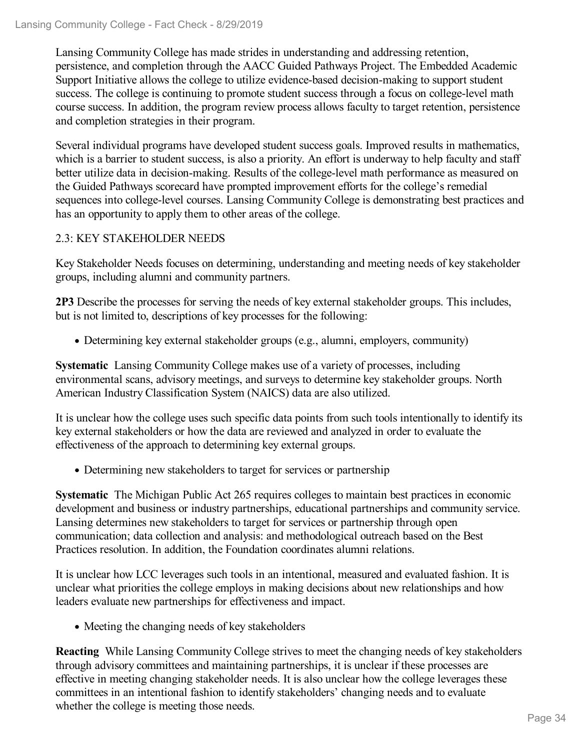Lansing Community College has made strides in understanding and addressing retention, persistence, and completion through the AACC Guided Pathways Project. The Embedded Academic Support Initiative allows the college to utilize evidence-based decision-making to support student success. The college is continuing to promote student success through a focus on college-level math course success. In addition, the program review process allows faculty to target retention, persistence and completion strategies in their program.

Several individual programs have developed student success goals. Improved results in mathematics, which is a barrier to student success, is also a priority. An effort is underway to help faculty and staff better utilize data in decision-making. Results of the college-level math performance as measured on the Guided Pathways scorecard have prompted improvement efforts for the college's remedial sequences into college-level courses. Lansing Community College is demonstrating best practices and has an opportunity to apply them to other areas of the college.

# 2.3: KEY STAKEHOLDER NEEDS

Key Stakeholder Needs focuses on determining, understanding and meeting needs of key stakeholder groups, including alumni and community partners.

**2P3** Describe the processes for serving the needs of key external stakeholder groups. This includes, but is not limited to, descriptions of key processes for the following:

Determining key external stakeholder groups (e.g., alumni, employers, community)

**Systematic** Lansing Community College makes use of a variety of processes, including environmental scans, advisory meetings, and surveys to determine key stakeholder groups. North American Industry Classification System (NAICS) data are also utilized.

It is unclear how the college uses such specific data points from such tools intentionally to identify its key external stakeholders or how the data are reviewed and analyzed in order to evaluate the effectiveness of the approach to determining key external groups.

Determining new stakeholders to target for services or partnership

**Systematic** The Michigan Public Act 265 requires colleges to maintain best practices in economic development and business or industry partnerships, educational partnerships and community service. Lansing determines new stakeholders to target for services or partnership through open communication; data collection and analysis: and methodological outreach based on the Best Practices resolution. In addition, the Foundation coordinates alumni relations.

It is unclear how LCC leverages such tools in an intentional, measured and evaluated fashion. It is unclear what priorities the college employs in making decisions about new relationships and how leaders evaluate new partnerships for effectiveness and impact.

• Meeting the changing needs of key stakeholders

**Reacting** While Lansing Community College strives to meet the changing needs of key stakeholders through advisory committees and maintaining partnerships, it is unclear if these processes are effective in meeting changing stakeholder needs. It is also unclear how the college leverages these committees in an intentional fashion to identify stakeholders' changing needs and to evaluate whether the college is meeting those needs.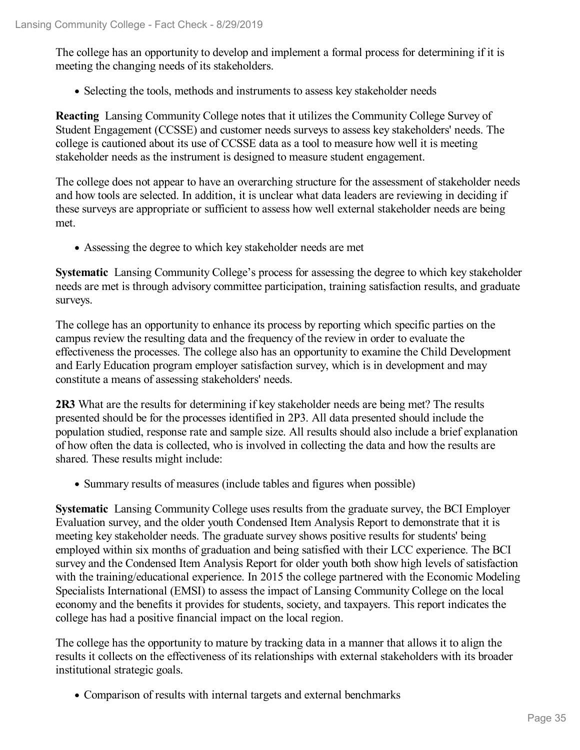The college has an opportunity to develop and implement a formal process for determining if it is meeting the changing needs of its stakeholders.

• Selecting the tools, methods and instruments to assess key stakeholder needs

**Reacting** Lansing Community College notes that it utilizes the Community College Survey of Student Engagement (CCSSE) and customer needs surveys to assess key stakeholders' needs. The college is cautioned about its use of CCSSE data as a tool to measure how well it is meeting stakeholder needs as the instrument is designed to measure student engagement.

The college does not appear to have an overarching structure for the assessment of stakeholder needs and how tools are selected. In addition, it is unclear what data leaders are reviewing in deciding if these surveys are appropriate or sufficient to assess how well external stakeholder needs are being met.

Assessing the degree to which key stakeholder needs are met

**Systematic** Lansing Community College's process for assessing the degree to which key stakeholder needs are met is through advisory committee participation, training satisfaction results, and graduate surveys.

The college has an opportunity to enhance its process by reporting which specific parties on the campus review the resulting data and the frequency of the review in order to evaluate the effectiveness the processes. The college also has an opportunity to examine the Child Development and Early Education program employer satisfaction survey, which is in development and may constitute a means of assessing stakeholders' needs.

**2R3** What are the results for determining if key stakeholder needs are being met? The results presented should be for the processes identified in 2P3. All data presented should include the population studied, response rate and sample size. All results should also include a brief explanation of how often the data is collected, who is involved in collecting the data and how the results are shared. These results might include:

Summary results of measures (include tables and figures when possible)

**Systematic** Lansing Community College uses results from the graduate survey, the BCI Employer Evaluation survey, and the older youth Condensed Item Analysis Report to demonstrate that it is meeting key stakeholder needs. The graduate survey shows positive results for students' being employed within six months of graduation and being satisfied with their LCC experience. The BCI survey and the Condensed Item Analysis Report for older youth both show high levels of satisfaction with the training/educational experience. In 2015 the college partnered with the Economic Modeling Specialists International (EMSI) to assess the impact of Lansing Community College on the local economy and the benefits it provides for students, society, and taxpayers. This report indicates the college has had a positive financial impact on the local region.

The college has the opportunity to mature by tracking data in a manner that allows it to align the results it collects on the effectiveness of its relationships with external stakeholders with its broader institutional strategic goals.

Comparison of results with internal targets and external benchmarks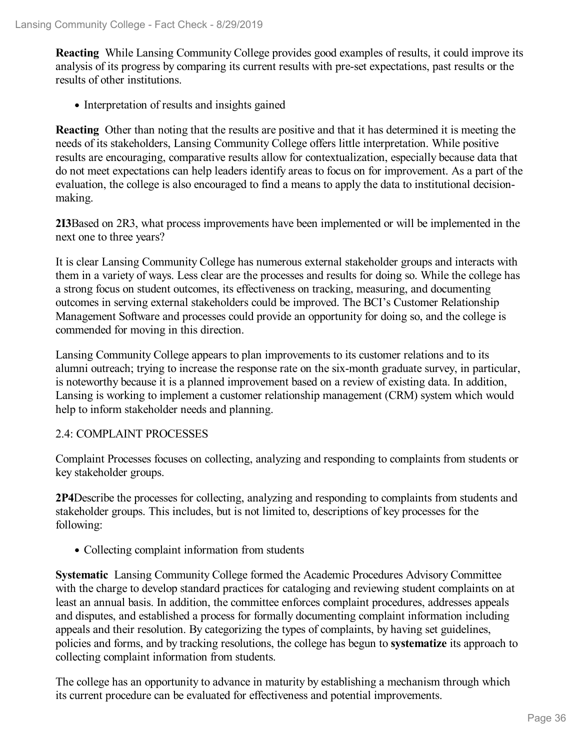**Reacting** While Lansing Community College provides good examples of results, it could improve its analysis of its progress by comparing its current results with pre-set expectations, past results or the results of other institutions.

• Interpretation of results and insights gained

**Reacting** Other than noting that the results are positive and that it has determined it is meeting the needs of its stakeholders, Lansing Community College offers little interpretation. While positive results are encouraging, comparative results allow for contextualization, especially because data that do not meet expectations can help leaders identify areas to focus on for improvement. As a part of the evaluation, the college is also encouraged to find a means to apply the data to institutional decision making.

**2I3**Based on 2R3, what process improvements have been implemented or will be implemented in the next one to three years?

It is clear Lansing Community College has numerous external stakeholder groups and interacts with them in a variety of ways. Less clear are the processes and results for doing so. While the college has a strong focus on student outcomes, its effectiveness on tracking, measuring, and documenting outcomes in serving external stakeholders could be improved. The BCI's Customer Relationship Management Software and processes could provide an opportunity for doing so, and the college is commended for moving in this direction.

Lansing Community College appears to plan improvements to its customer relations and to its alumni outreach; trying to increase the response rate on the six-month graduate survey, in particular, is noteworthy because it is a planned improvement based on a review of existing data. In addition, Lansing is working to implement a customer relationship management (CRM) system which would help to inform stakeholder needs and planning.

# 2.4: COMPLAINT PROCESSES

Complaint Processes focuses on collecting, analyzing and responding to complaints from students or key stakeholder groups.

**2P4**Describe the processes for collecting, analyzing and responding to complaints from students and stakeholder groups. This includes, but is not limited to, descriptions of key processes for the following:

• Collecting complaint information from students

**Systematic** Lansing Community College formed the Academic Procedures Advisory Committee with the charge to develop standard practices for cataloging and reviewing student complaints on at least an annual basis. In addition, the committee enforces complaint procedures, addresses appeals and disputes, and established a process for formally documenting complaint information including appeals and their resolution. By categorizing the types of complaints, by having set guidelines, policies and forms, and by tracking resolutions, the college has begun to **systematize** its approach to collecting complaint information from students.

The college has an opportunity to advance in maturity by establishing a mechanism through which its current procedure can be evaluated for effectiveness and potential improvements.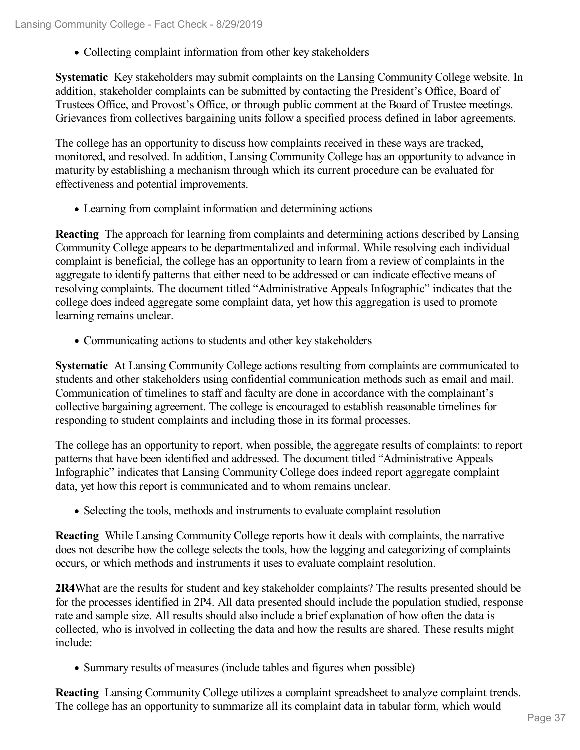Collecting complaint information from other key stakeholders

**Systematic** Key stakeholders may submit complaints on the Lansing Community College website. In addition, stakeholder complaints can be submitted by contacting the President's Office, Board of Trustees Office, and Provost's Office, or through public comment at the Board of Trustee meetings. Grievances from collectives bargaining units follow a specified process defined in labor agreements.

The college has an opportunity to discuss how complaints received in these ways are tracked, monitored, and resolved. In addition, Lansing Community College has an opportunity to advance in maturity by establishing a mechanism through which its current procedure can be evaluated for effectiveness and potential improvements.

Learning from complaint information and determining actions

**Reacting** The approach for learning from complaints and determining actions described by Lansing Community College appears to be departmentalized and informal. While resolving each individual complaint is beneficial, the college has an opportunity to learn from a review of complaints in the aggregate to identify patterns that either need to be addressed or can indicate effective means of resolving complaints. The document titled "Administrative Appeals Infographic" indicates that the college does indeed aggregate some complaint data, yet how this aggregation is used to promote learning remains unclear.

Communicating actions to students and other key stakeholders

**Systematic** At Lansing Community College actions resulting from complaints are communicated to students and other stakeholders using confidential communication methods such as email and mail. Communication of timelines to staff and faculty are done in accordance with the complainant's collective bargaining agreement. The college is encouraged to establish reasonable timelines for responding to student complaints and including those in its formal processes.

The college has an opportunity to report, when possible, the aggregate results of complaints: to report patterns that have been identified and addressed. The document titled "Administrative Appeals Infographic" indicates that Lansing Community College does indeed report aggregate complaint data, yet how this report is communicated and to whom remains unclear.

• Selecting the tools, methods and instruments to evaluate complaint resolution

**Reacting** While Lansing Community College reports how it deals with complaints, the narrative does not describe how the college selects the tools, how the logging and categorizing of complaints occurs, or which methods and instruments it uses to evaluate complaint resolution.

**2R4**What are the results for student and key stakeholder complaints? The results presented should be for the processes identified in 2P4. All data presented should include the population studied, response rate and sample size. All results should also include a brief explanation of how often the data is collected, who is involved in collecting the data and how the results are shared. These results might include:

• Summary results of measures (include tables and figures when possible)

**Reacting** Lansing Community College utilizes a complaint spreadsheet to analyze complaint trends. The college has an opportunity to summarize all its complaint data in tabular form, which would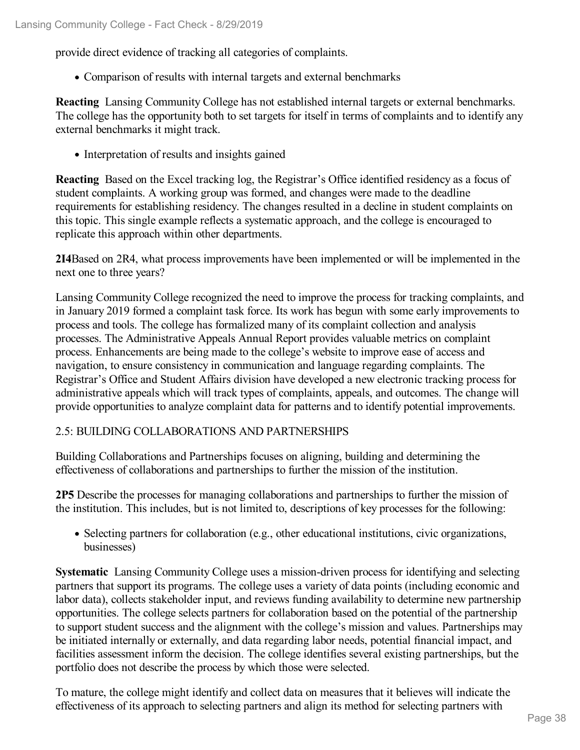provide direct evidence of tracking all categories of complaints.

Comparison of results with internal targets and external benchmarks

**Reacting** Lansing Community College has not established internal targets or external benchmarks. The college has the opportunity both to set targets for itself in terms of complaints and to identify any external benchmarks it might track.

• Interpretation of results and insights gained

**Reacting** Based on the Excel tracking log, the Registrar's Office identified residency as a focus of student complaints. A working group was formed, and changes were made to the deadline requirements for establishing residency. The changes resulted in a decline in student complaints on this topic. This single example reflects a systematic approach, and the college is encouraged to replicate this approach within other departments.

**2I4**Based on 2R4, what process improvements have been implemented or will be implemented in the next one to three years?

Lansing Community College recognized the need to improve the process for tracking complaints, and in January 2019 formed a complaint task force. Its work has begun with some early improvements to process and tools. The college has formalized many of its complaint collection and analysis processes. The Administrative Appeals Annual Report provides valuable metrics on complaint process. Enhancements are being made to the college's website to improve ease of access and navigation, to ensure consistency in communication and language regarding complaints. The Registrar's Office and Student Affairs division have developed a new electronic tracking process for administrative appeals which will track types of complaints, appeals, and outcomes. The change will provide opportunities to analyze complaint data for patterns and to identify potential improvements.

#### 2.5: BUILDING COLLABORATIONS AND PARTNERSHIPS

Building Collaborations and Partnerships focuses on aligning, building and determining the effectiveness of collaborations and partnerships to further the mission of the institution.

**2P5** Describe the processes for managing collaborations and partnerships to further the mission of the institution. This includes, but is not limited to, descriptions of key processes for the following:

• Selecting partners for collaboration (e.g., other educational institutions, civic organizations, businesses)

**Systematic** Lansing Community College uses a mission-driven process for identifying and selecting partners that support its programs. The college uses a variety of data points (including economic and labor data), collects stakeholder input, and reviews funding availability to determine new partnership opportunities. The college selects partners for collaboration based on the potential of the partnership to support student success and the alignment with the college's mission and values. Partnerships may be initiated internally or externally, and data regarding labor needs, potential financial impact, and facilities assessment inform the decision. The college identifies several existing partnerships, but the portfolio does not describe the process by which those were selected.

To mature, the college might identify and collect data on measures that it believes will indicate the effectiveness of its approach to selecting partners and align its method for selecting partners with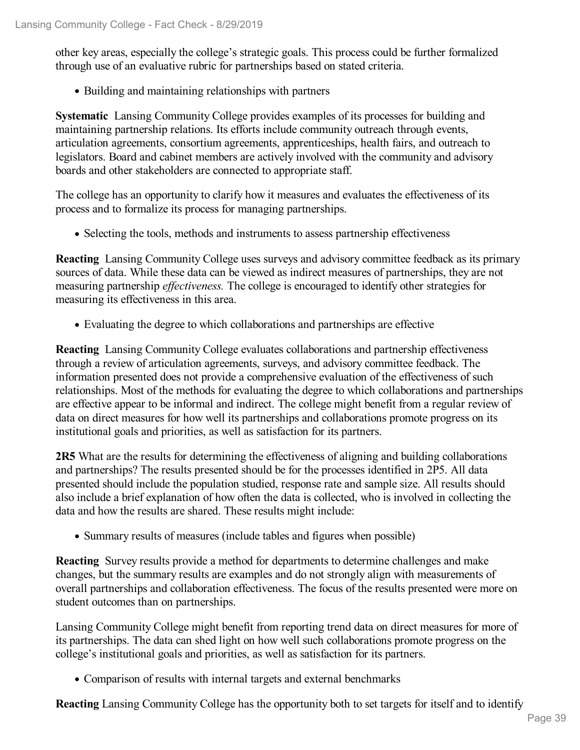other key areas, especially the college's strategic goals. This process could be further formalized through use of an evaluative rubric for partnerships based on stated criteria.

• Building and maintaining relationships with partners

**Systematic** Lansing Community College provides examples of its processes for building and maintaining partnership relations. Its efforts include community outreach through events, articulation agreements, consortium agreements, apprenticeships, health fairs, and outreach to legislators. Board and cabinet members are actively involved with the community and advisory boards and other stakeholders are connected to appropriate staff.

The college has an opportunity to clarify how it measures and evaluates the effectiveness of its process and to formalize its process for managing partnerships.

• Selecting the tools, methods and instruments to assess partnership effectiveness

**Reacting** Lansing Community College uses surveys and advisory committee feedback as its primary sources of data. While these data can be viewed as indirect measures of partnerships, they are not measuring partnership *effectiveness*. The college is encouraged to identify other strategies for measuring its effectiveness in this area.

Evaluating the degree to which collaborations and partnerships are effective

**Reacting** Lansing Community College evaluates collaborations and partnership effectiveness through a review of articulation agreements, surveys, and advisory committee feedback. The information presented does not provide a comprehensive evaluation of the effectiveness of such relationships. Most of the methods for evaluating the degree to which collaborations and partnerships are effective appear to be informal and indirect. The college might benefit from a regular review of data on direct measures for how well its partnerships and collaborations promote progress on its institutional goals and priorities, as well as satisfaction for its partners.

**2R5** What are the results for determining the effectiveness of aligning and building collaborations and partnerships? The results presented should be for the processes identified in 2P5. All data presented should include the population studied, response rate and sample size. All results should also include a brief explanation of how often the data is collected, who is involved in collecting the data and how the results are shared. These results might include:

• Summary results of measures (include tables and figures when possible)

**Reacting** Survey results provide a method for departments to determine challenges and make changes, but the summary results are examples and do not strongly align with measurements of overall partnerships and collaboration effectiveness. The focus of the results presented were more on student outcomes than on partnerships.

Lansing Community College might benefit from reporting trend data on direct measures for more of its partnerships. The data can shed light on how well such collaborations promote progress on the college's institutional goals and priorities, as well as satisfaction for its partners.

Comparison of results with internal targets and external benchmarks

**Reacting** Lansing Community College has the opportunity both to set targets for itself and to identify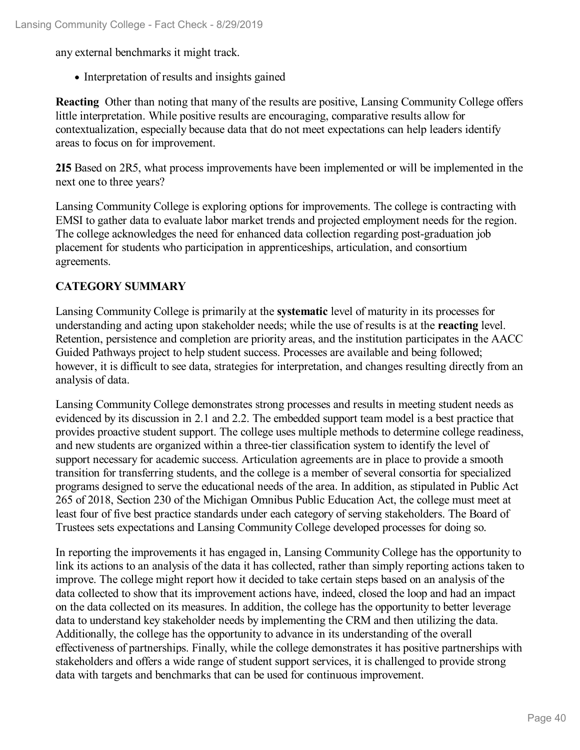any external benchmarks it might track.

• Interpretation of results and insights gained

**Reacting** Other than noting that many of the results are positive, Lansing Community College offers little interpretation. While positive results are encouraging, comparative results allow for contextualization, especially because data that do not meet expectations can help leaders identify areas to focus on for improvement.

**2I5** Based on 2R5, what process improvements have been implemented or will be implemented in the next one to three years?

Lansing Community College is exploring options for improvements. The college is contracting with EMSI to gather data to evaluate labor market trends and projected employment needs for the region. The college acknowledges the need for enhanced data collection regarding post-graduation job placement for students who participation in apprenticeships, articulation, and consortium agreements.

### **CATEGORY SUMMARY**

Lansing Community College is primarily at the **systematic** level of maturity in its processes for understanding and acting upon stakeholder needs; while the use of results is at the **reacting** level. Retention, persistence and completion are priority areas, and the institution participates in the AACC Guided Pathways project to help student success. Processes are available and being followed; however, it is difficult to see data, strategies for interpretation, and changes resulting directly from an analysis of data.

Lansing Community College demonstrates strong processes and results in meeting student needs as evidenced by its discussion in 2.1 and 2.2. The embedded support team model is a best practice that provides proactive student support. The college uses multiple methods to determine college readiness, and new students are organized within a three-tier classification system to identify the level of support necessary for academic success. Articulation agreements are in place to provide a smooth transition for transferring students, and the college is a member of several consortia for specialized programs designed to serve the educational needs of the area. In addition, as stipulated in Public Act 265 of 2018, Section 230 of the Michigan Omnibus Public Education Act, the college must meet at least four of five best practice standards under each category of serving stakeholders. The Board of Trustees sets expectations and Lansing Community College developed processes for doing so.

In reporting the improvements it has engaged in, Lansing Community College has the opportunity to link its actions to an analysis of the data it has collected, rather than simply reporting actions taken to improve. The college might report how it decided to take certain steps based on an analysis of the data collected to show that its improvement actions have, indeed, closed the loop and had an impact on the data collected on its measures. In addition, the college has the opportunity to better leverage data to understand key stakeholder needs by implementing the CRM and then utilizing the data. Additionally, the college has the opportunity to advance in its understanding of the overall effectiveness of partnerships. Finally, while the college demonstrates it has positive partnerships with stakeholders and offers a wide range of student support services, it is challenged to provide strong data with targets and benchmarks that can be used for continuous improvement.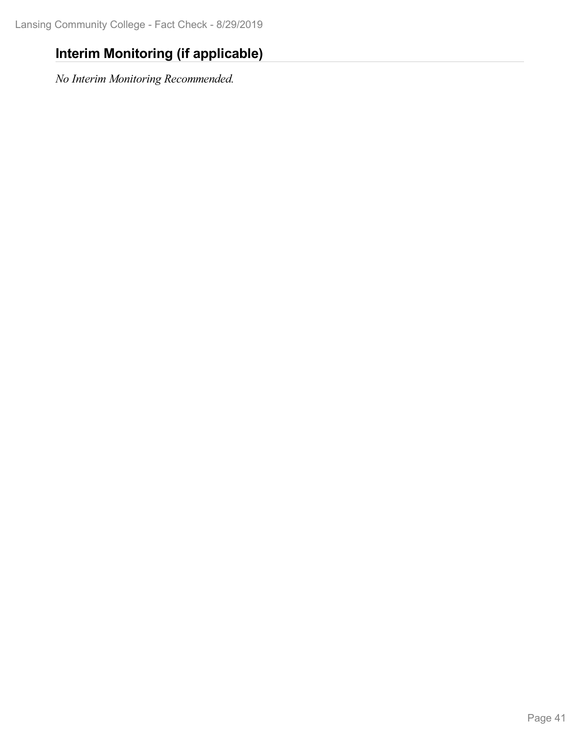## **Interim Monitoring (if applicable)**

*No Interim Monitoring Recommended.*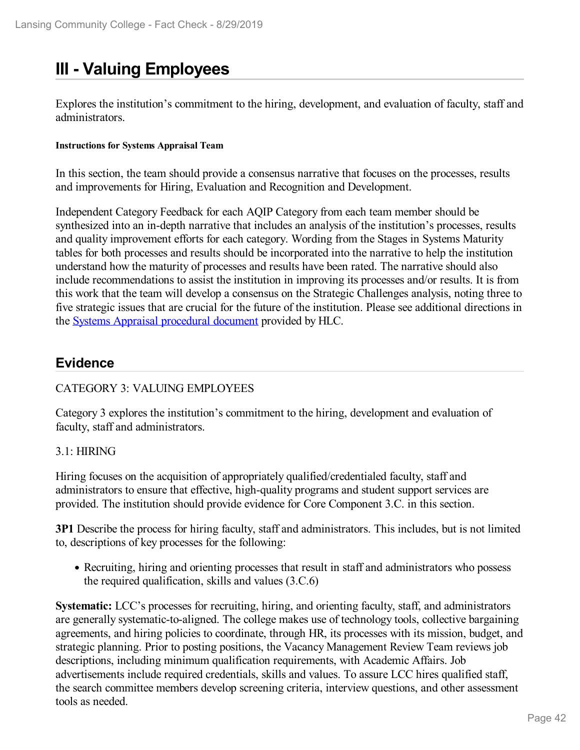# **III - Valuing Employees**

Explores the institution's commitment to the hiring, development, and evaluation of faculty, staff and administrators.

#### **Instructions for Systems Appraisal Team**

In this section, the team should provide a consensus narrative that focuses on the processes, results and improvements for Hiring, Evaluation and Recognition and Development.

Independent Category Feedback for each AQIP Category from each team member should be synthesized into an in-depth narrative that includes an analysis of the institution's processes, results and quality improvement efforts for each category. Wording from the Stages in Systems Maturity tables for both processes and results should be incorporated into the narrative to help the institution understand how the maturity of processes and results have been rated. The narrative should also include recommendations to assist the institution in improving its processes and/or results. It is from this work that the team will develop a consensus on the Strategic Challenges analysis, noting three to five strategic issues that are crucial for the future of the institution. Please see additional directions in the Systems Appraisal [procedural](https://www.hlcommission.org/Accreditation/aqip-portfolio.html) document provided by HLC.

## **Evidence**

### CATEGORY 3: VALUING EMPLOYEES

Category 3 explores the institution's commitment to the hiring, development and evaluation of faculty, staff and administrators.

#### 3.1: HIRING

Hiring focuses on the acquisition of appropriately qualified/credentialed faculty, staff and administrators to ensure that effective, high-quality programs and student support services are provided. The institution should provide evidence for Core Component 3.C. in this section.

**3P1** Describe the process for hiring faculty, staff and administrators. This includes, but is not limited to, descriptions of key processes for the following:

• Recruiting, hiring and orienting processes that result in staff and administrators who possess the required qualification, skills and values (3.C.6)

**Systematic:** LCC's processes for recruiting, hiring, and orienting faculty, staff, and administrators are generally systematic-to-aligned. The college makes use of technology tools, collective bargaining agreements, and hiring policies to coordinate, through HR, its processes with its mission, budget, and strategic planning. Prior to posting positions, the Vacancy Management Review Team reviews job descriptions, including minimum qualification requirements, with Academic Affairs. Job advertisements include required credentials, skills and values. To assure LCC hires qualified staff, the search committee members develop screening criteria, interview questions, and other assessment tools as needed.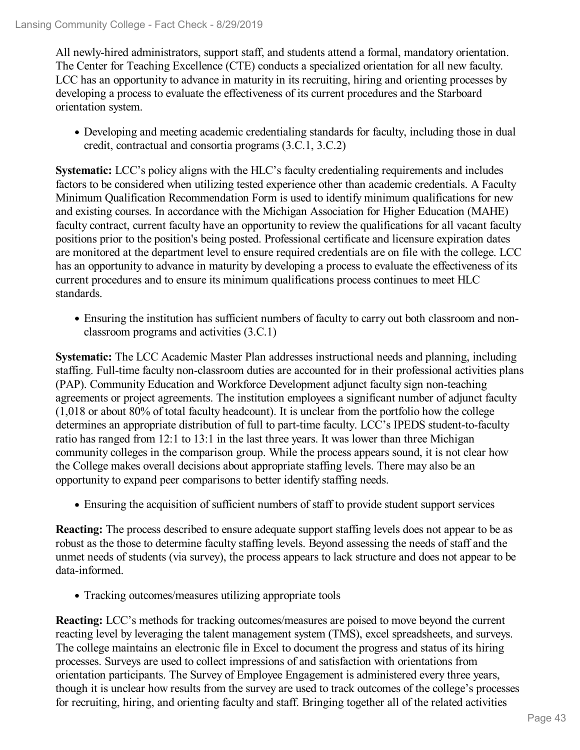All newly-hired administrators, support staff, and students attend a formal, mandatory orientation. The Center for Teaching Excellence (CTE) conducts a specialized orientation for all new faculty. LCC has an opportunity to advance in maturity in its recruiting, hiring and orienting processes by developing a process to evaluate the effectiveness of its current procedures and the Starboard orientation system.

Developing and meeting academic credentialing standards for faculty, including those in dual credit, contractual and consortia programs (3.C.1, 3.C.2)

**Systematic:** LCC's policy aligns with the HLC's faculty credentialing requirements and includes factors to be considered when utilizing tested experience other than academic credentials. A Faculty Minimum Qualification Recommendation Form is used to identify minimum qualifications for new and existing courses. In accordance with the Michigan Association for Higher Education (MAHE) faculty contract, current faculty have an opportunity to review the qualifications for all vacant faculty positions prior to the position's being posted. Professional certificate and licensure expiration dates are monitored at the department level to ensure required credentials are on file with the college. LCC has an opportunity to advance in maturity by developing a process to evaluate the effectiveness of its current procedures and to ensure its minimum qualifications process continues to meet HLC standards.

Ensuring the institution has sufficient numbers of faculty to carry out both classroom and nonclassroom programs and activities (3.C.1)

**Systematic:** The LCC Academic Master Plan addresses instructional needs and planning, including staffing. Full-time faculty non-classroom duties are accounted for in their professional activities plans (PAP). Community Education and Workforce Development adjunct faculty sign non-teaching agreements or project agreements. The institution employees a significant number of adjunct faculty (1,018 or about 80% of total faculty headcount). It is unclear from the portfolio how the college determines an appropriate distribution of full to part-time faculty. LCC's IPEDS student-to-faculty ratio has ranged from 12:1 to 13:1 in the last three years. It was lower than three Michigan community colleges in the comparison group. While the process appears sound, it is not clear how the College makes overall decisions about appropriate staffing levels. There may also be an opportunity to expand peer comparisons to better identify staffing needs.

Ensuring the acquisition of sufficient numbers of staff to provide student support services

**Reacting:** The process described to ensure adequate support staffing levels does not appear to be as robust as the those to determine faculty staffing levels. Beyond assessing the needs of staff and the unmet needs of students (via survey), the process appears to lack structure and does not appear to be data-informed.

Tracking outcomes/measures utilizing appropriate tools

**Reacting:** LCC's methods for tracking outcomes/measures are poised to move beyond the current reacting level by leveraging the talent management system (TMS), excel spreadsheets, and surveys. The college maintains an electronic file in Excel to document the progress and status of its hiring processes. Surveys are used to collect impressions of and satisfaction with orientations from orientation participants. The Survey of Employee Engagement is administered every three years, though it is unclear how results from the survey are used to track outcomes of the college's processes for recruiting, hiring, and orienting faculty and staff. Bringing together all of the related activities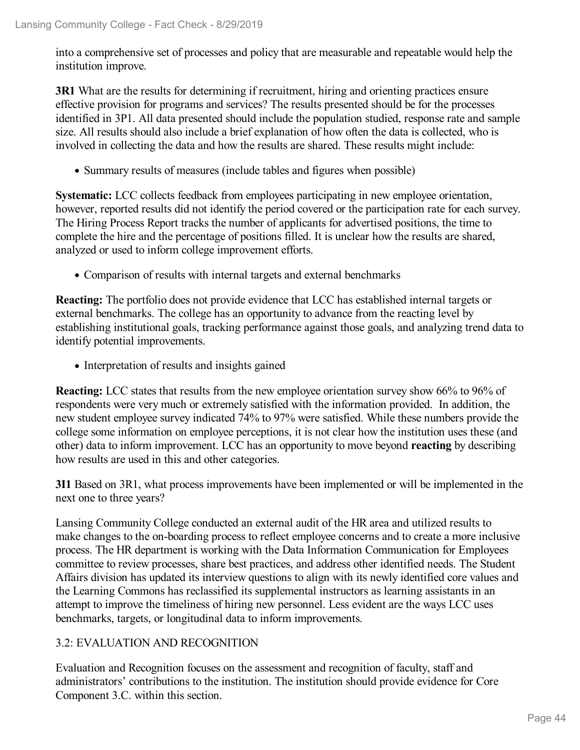into a comprehensive set of processes and policy that are measurable and repeatable would help the institution improve.

**3R1** What are the results for determining if recruitment, hiring and orienting practices ensure effective provision for programs and services? The results presented should be for the processes identified in 3P1. All data presented should include the population studied, response rate and sample size. All results should also include a brief explanation of how often the data is collected, who is involved in collecting the data and how the results are shared. These results might include:

• Summary results of measures (include tables and figures when possible)

**Systematic:** LCC collects feedback from employees participating in new employee orientation, however, reported results did not identify the period covered or the participation rate for each survey. The Hiring Process Report tracks the number of applicants for advertised positions, the time to complete the hire and the percentage of positions filled. It is unclear how the results are shared, analyzed or used to inform college improvement efforts.

Comparison of results with internal targets and external benchmarks

**Reacting:** The portfolio does not provide evidence that LCC has established internal targets or external benchmarks. The college has an opportunity to advance from the reacting level by establishing institutional goals, tracking performance against those goals, and analyzing trend data to identify potential improvements.

• Interpretation of results and insights gained

**Reacting:** LCC states that results from the new employee orientation survey show 66% to 96% of respondents were very much or extremely satisfied with the information provided. In addition, the new student employee survey indicated 74% to 97% were satisfied. While these numbers provide the college some information on employee perceptions, it is not clear how the institution uses these (and other) data to inform improvement. LCC has an opportunity to move beyond **reacting** by describing how results are used in this and other categories.

**3I1** Based on 3R1, what process improvements have been implemented or will be implemented in the next one to three years?

Lansing Community College conducted an external audit of the HR area and utilized results to make changes to the on-boarding process to reflect employee concerns and to create a more inclusive process. The HR department is working with the Data Information Communication for Employees committee to review processes, share best practices, and address other identified needs. The Student Affairs division has updated its interview questions to align with its newly identified core values and the Learning Commons has reclassified its supplemental instructors as learning assistants in an attempt to improve the timeliness of hiring new personnel. Less evident are the ways LCC uses benchmarks, targets, or longitudinal data to inform improvements.

### 3.2: EVALUATION AND RECOGNITION

Evaluation and Recognition focuses on the assessment and recognition of faculty, staff and administrators' contributions to the institution. The institution should provide evidence for Core Component 3.C. within this section.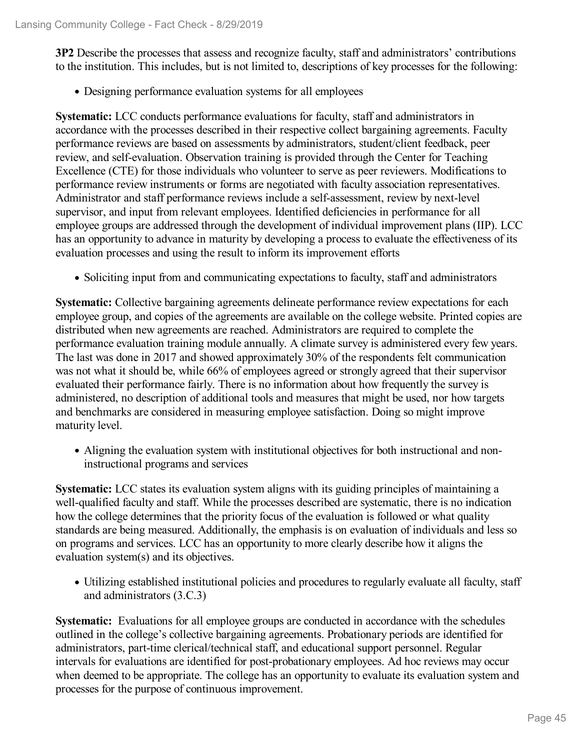**3P2** Describe the processes that assess and recognize faculty, staff and administrators' contributions to the institution. This includes, but is not limited to, descriptions of key processes for the following:

Designing performance evaluation systems for all employees

**Systematic:** LCC conducts performance evaluations for faculty, staff and administrators in accordance with the processes described in their respective collect bargaining agreements. Faculty performance reviews are based on assessments by administrators, student/client feedback, peer review, and self-evaluation. Observation training is provided through the Center for Teaching Excellence (CTE) for those individuals who volunteer to serve as peer reviewers. Modifications to performance review instruments or forms are negotiated with faculty association representatives. Administrator and staff performance reviews include a self-assessment, review by next-level supervisor, and input from relevant employees. Identified deficiencies in performance for all employee groups are addressed through the development of individual improvement plans (IIP). LCC has an opportunity to advance in maturity by developing a process to evaluate the effectiveness of its evaluation processes and using the result to inform its improvement efforts

• Soliciting input from and communicating expectations to faculty, staff and administrators

**Systematic:** Collective bargaining agreements delineate performance review expectations for each employee group, and copies of the agreements are available on the college website. Printed copies are distributed when new agreements are reached. Administrators are required to complete the performance evaluation training module annually. A climate survey is administered every few years. The last was done in 2017 and showed approximately 30% of the respondents felt communication was not what it should be, while 66% of employees agreed or strongly agreed that their supervisor evaluated their performance fairly. There is no information about how frequently the survey is administered, no description of additional tools and measures that might be used, nor how targets and benchmarks are considered in measuring employee satisfaction. Doing so might improve maturity level.

Aligning the evaluation system with institutional objectives for both instructional and noninstructional programs and services

**Systematic:** LCC states its evaluation system aligns with its guiding principles of maintaining a well-qualified faculty and staff. While the processes described are systematic, there is no indication how the college determines that the priority focus of the evaluation is followed or what quality standards are being measured. Additionally, the emphasis is on evaluation of individuals and less so on programs and services. LCC has an opportunity to more clearly describe how it aligns the evaluation system(s) and its objectives.

Utilizing established institutional policies and procedures to regularly evaluate all faculty, staff and administrators (3.C.3)

**Systematic:** Evaluations for all employee groups are conducted in accordance with the schedules outlined in the college's collective bargaining agreements. Probationary periods are identified for administrators, part-time clerical/technical staff, and educational support personnel. Regular intervals for evaluations are identified for post-probationary employees. Ad hoc reviews may occur when deemed to be appropriate. The college has an opportunity to evaluate its evaluation system and processes for the purpose of continuous improvement.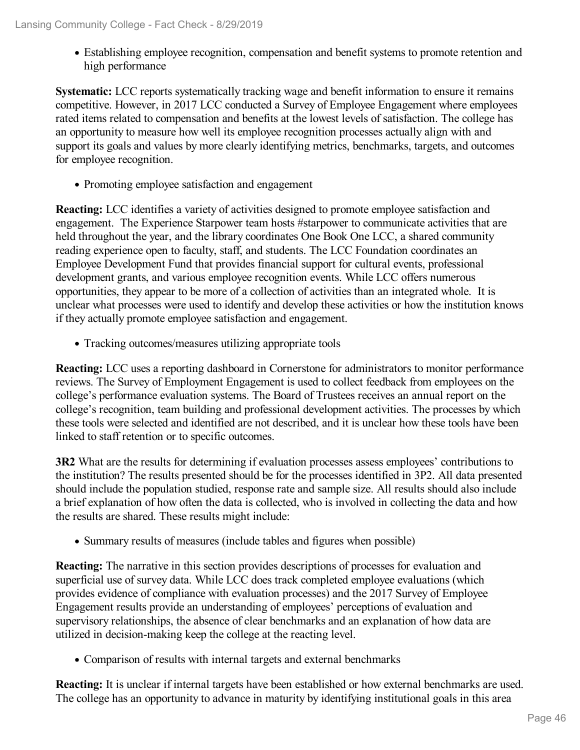Establishing employee recognition, compensation and benefit systems to promote retention and high performance

**Systematic:** LCC reports systematically tracking wage and benefit information to ensure it remains competitive. However, in 2017 LCC conducted a Survey of Employee Engagement where employees rated items related to compensation and benefits at the lowest levels of satisfaction. The college has an opportunity to measure how well its employee recognition processes actually align with and support its goals and values by more clearly identifying metrics, benchmarks, targets, and outcomes for employee recognition.

• Promoting employee satisfaction and engagement

**Reacting:** LCC identifies a variety of activities designed to promote employee satisfaction and engagement. The Experience Starpower team hosts #starpower to communicate activities that are held throughout the year, and the library coordinates One Book One LCC, a shared community reading experience open to faculty, staff, and students. The LCC Foundation coordinates an Employee Development Fund that provides financial support for cultural events, professional development grants, and various employee recognition events. While LCC offers numerous opportunities, they appear to be more of a collection of activities than an integrated whole. It is unclear what processes were used to identify and develop these activities or how the institution knows if they actually promote employee satisfaction and engagement.

Tracking outcomes/measures utilizing appropriate tools

**Reacting:** LCC uses a reporting dashboard in Cornerstone for administrators to monitor performance reviews. The Survey of Employment Engagement is used to collect feedback from employees on the college's performance evaluation systems. The Board of Trustees receives an annual report on the college's recognition, team building and professional development activities. The processes by which these tools were selected and identified are not described, and it is unclear how these tools have been linked to staff retention or to specific outcomes.

**3R2** What are the results for determining if evaluation processes assess employees' contributions to the institution? The results presented should be for the processes identified in 3P2. All data presented should include the population studied, response rate and sample size. All results should also include a brief explanation of how often the data is collected, who is involved in collecting the data and how the results are shared. These results might include:

• Summary results of measures (include tables and figures when possible)

**Reacting:** The narrative in this section provides descriptions of processes for evaluation and superficial use of survey data. While LCC does track completed employee evaluations (which provides evidence of compliance with evaluation processes) and the 2017 Survey of Employee Engagement results provide an understanding of employees' perceptions of evaluation and supervisory relationships, the absence of clear benchmarks and an explanation of how data are utilized in decision-making keep the college at the reacting level.

Comparison of results with internal targets and external benchmarks

**Reacting:** It is unclear if internal targets have been established or how external benchmarks are used. The college has an opportunity to advance in maturity by identifying institutional goals in this area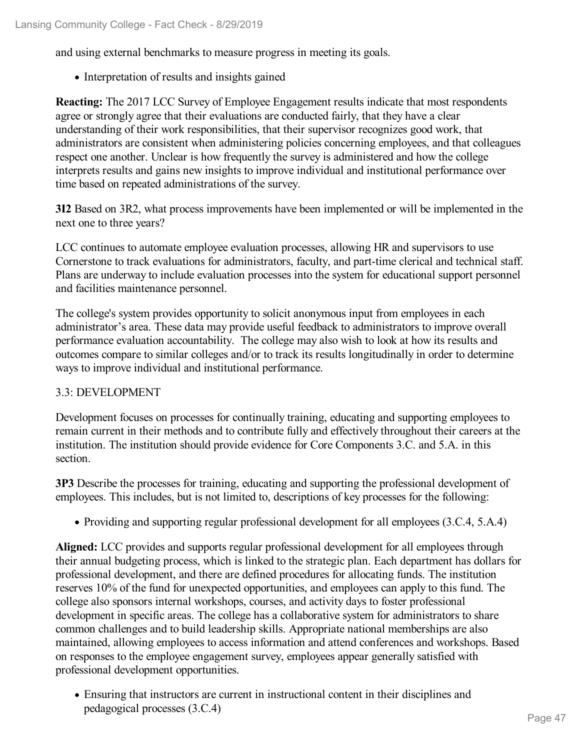and using external benchmarks to measure progress in meeting its goals.

• Interpretation of results and insights gained

**Reacting:** The 2017 LCC Survey of Employee Engagement results indicate that most respondents agree or strongly agree that their evaluations are conducted fairly, that they have a clear understanding of their work responsibilities, that their supervisor recognizes good work, that administrators are consistent when administering policies concerning employees, and that colleagues respect one another. Unclear is how frequently the survey is administered and how the college interprets results and gains new insights to improve individual and institutional performance over time based on repeated administrations of the survey.

**3I2** Based on 3R2, what process improvements have been implemented or will be implemented in the next one to three years?

LCC continues to automate employee evaluation processes, allowing HR and supervisors to use Cornerstone to track evaluations for administrators, faculty, and part-time clerical and technical staff. Plans are underway to include evaluation processes into the system for educational support personnel and facilities maintenance personnel.

The college's system provides opportunity to solicit anonymous input from employees in each administrator's area. These data may provide useful feedback to administrators to improve overall performance evaluation accountability. The college may also wish to look at how its results and outcomes compare to similar colleges and/or to track its results longitudinally in order to determine ways to improve individual and institutional performance.

#### 3.3: DEVELOPMENT

Development focuses on processes for continually training, educating and supporting employees to remain current in their methods and to contribute fully and effectively throughout their careers at the institution. The institution should provide evidence for Core Components 3.C. and 5.A. in this section.

**3P3** Describe the processes for training, educating and supporting the professional development of employees. This includes, but is not limited to, descriptions of key processes for the following:

Providing and supporting regular professional development for all employees (3.C.4, 5.A.4)

**Aligned:** LCC provides and supports regular professional development for all employees through their annual budgeting process, which is linked to the strategic plan. Each department has dollars for professional development, and there are defined procedures for allocating funds. The institution reserves 10% of the fund for unexpected opportunities, and employees can apply to this fund. The college also sponsors internal workshops, courses, and activity days to foster professional development in specific areas. The college has a collaborative system for administrators to share common challenges and to build leadership skills. Appropriate national memberships are also maintained, allowing employees to access information and attend conferences and workshops. Based on responses to the employee engagement survey, employees appear generally satisfied with professional development opportunities.

Ensuring that instructors are current in instructional content in their disciplines and pedagogical processes (3.C.4)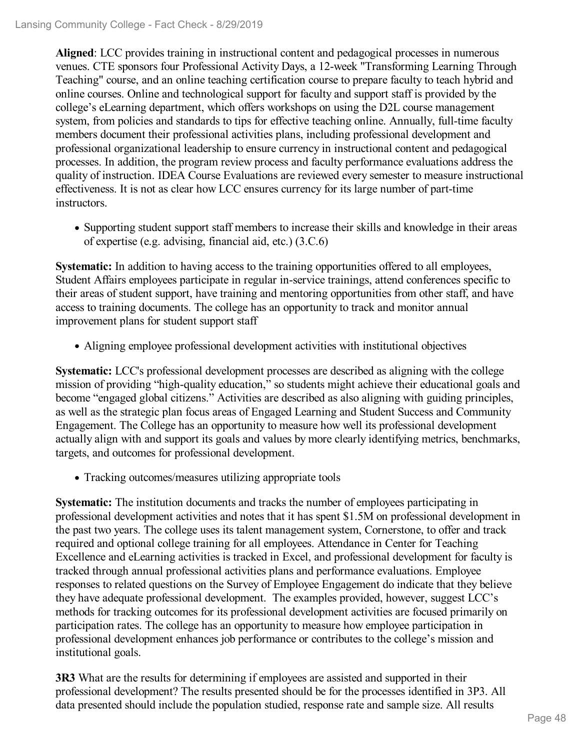**Aligned**: LCC provides training in instructional content and pedagogical processes in numerous venues. CTE sponsors four Professional Activity Days, a 12-week "Transforming Learning Through Teaching" course, and an online teaching certification course to prepare faculty to teach hybrid and online courses. Online and technological support for faculty and support staff is provided by the college's eLearning department, which offers workshops on using the D2L course management system, from policies and standards to tips for effective teaching online. Annually, full-time faculty members document their professional activities plans, including professional development and professional organizational leadership to ensure currency in instructional content and pedagogical processes. In addition, the program review process and faculty performance evaluations address the quality of instruction. IDEA Course Evaluations are reviewed every semester to measure instructional effectiveness. It is not as clear how LCC ensures currency for its large number of part-time instructors.

Supporting student support staff members to increase their skills and knowledge in their areas of expertise (e.g. advising, financial aid, etc.) (3.C.6)

**Systematic:** In addition to having access to the training opportunities offered to all employees, Student Affairs employees participate in regular in-service trainings, attend conferences specific to their areas of student support, have training and mentoring opportunities from other staff, and have access to training documents. The college has an opportunity to track and monitor annual improvement plans for student support staff

Aligning employee professional development activities with institutional objectives

**Systematic:** LCC's professional development processes are described as aligning with the college mission of providing "high-quality education," so students might achieve their educational goals and become "engaged global citizens." Activities are described as also aligning with guiding principles, as well as the strategic plan focus areas of Engaged Learning and Student Success and Community Engagement. The College has an opportunity to measure how well its professional development actually align with and support its goals and values by more clearly identifying metrics, benchmarks, targets, and outcomes for professional development.

Tracking outcomes/measures utilizing appropriate tools

**Systematic:** The institution documents and tracks the number of employees participating in professional development activities and notes that it has spent \$1.5M on professional development in the past two years. The college uses its talent management system, Cornerstone, to offer and track required and optional college training for all employees. Attendance in Center for Teaching Excellence and eLearning activities is tracked in Excel, and professional development for faculty is tracked through annual professional activities plans and performance evaluations. Employee responses to related questions on the Survey of Employee Engagement do indicate that they believe they have adequate professional development. The examples provided, however, suggest LCC's methods for tracking outcomes for its professional development activities are focused primarily on participation rates. The college has an opportunity to measure how employee participation in professional development enhances job performance or contributes to the college's mission and institutional goals.

**3R3** What are the results for determining if employees are assisted and supported in their professional development? The results presented should be for the processes identified in 3P3. All data presented should include the population studied, response rate and sample size. All results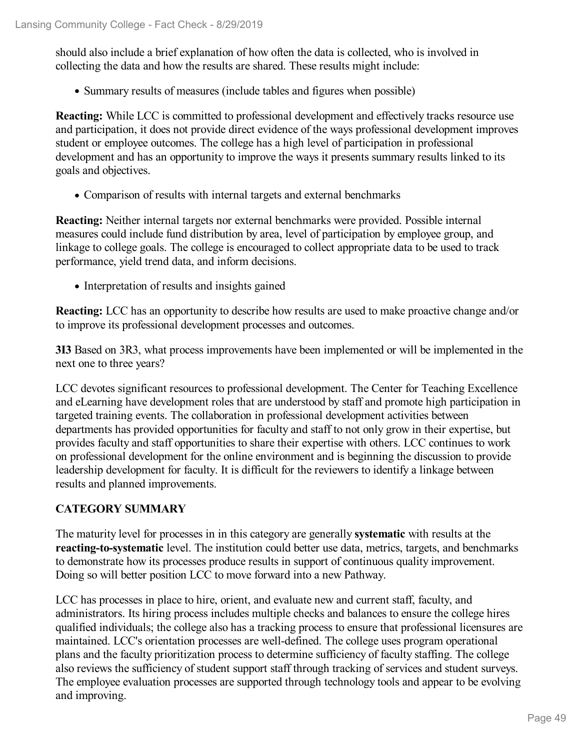should also include a brief explanation of how often the data is collected, who is involved in collecting the data and how the results are shared. These results might include:

• Summary results of measures (include tables and figures when possible)

**Reacting:** While LCC is committed to professional development and effectively tracks resource use and participation, it does not provide direct evidence of the ways professional development improves student or employee outcomes. The college has a high level of participation in professional development and has an opportunity to improve the ways it presents summary results linked to its goals and objectives.

• Comparison of results with internal targets and external benchmarks

**Reacting:** Neither internal targets nor external benchmarks were provided. Possible internal measures could include fund distribution by area, level of participation by employee group, and linkage to college goals. The college is encouraged to collect appropriate data to be used to track performance, yield trend data, and inform decisions.

• Interpretation of results and insights gained

**Reacting:** LCC has an opportunity to describe how results are used to make proactive change and/or to improve its professional development processes and outcomes.

**3I3** Based on 3R3, what process improvements have been implemented or will be implemented in the next one to three years?

LCC devotes significant resources to professional development. The Center for Teaching Excellence and eLearning have development roles that are understood by staff and promote high participation in targeted training events. The collaboration in professional development activities between departments has provided opportunities for faculty and staff to not only grow in their expertise, but provides faculty and staff opportunities to share their expertise with others. LCC continues to work on professional development for the online environment and is beginning the discussion to provide leadership development for faculty. It is difficult for the reviewers to identify a linkage between results and planned improvements.

### **CATEGORY SUMMARY**

The maturity level for processes in in this category are generally **systematic** with results at the **reacting-to-systematic** level. The institution could better use data, metrics, targets, and benchmarks to demonstrate how its processes produce results in support of continuous quality improvement. Doing so will better position LCC to move forward into a new Pathway.

LCC has processes in place to hire, orient, and evaluate new and current staff, faculty, and administrators. Its hiring process includes multiple checks and balances to ensure the college hires qualified individuals; the college also has a tracking process to ensure that professional licensures are maintained. LCC's orientation processes are well-defined. The college uses program operational plans and the faculty prioritization process to determine sufficiency of faculty staffing. The college also reviews the sufficiency of student support staff through tracking of services and student surveys. The employee evaluation processes are supported through technology tools and appear to be evolving and improving.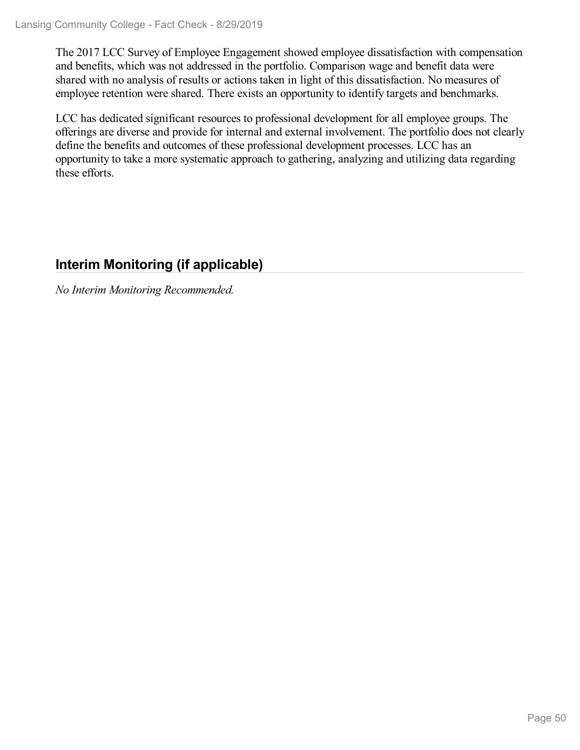The 2017 LCC Survey of Employee Engagement showed employee dissatisfaction with compensation and benefits, which was not addressed in the portfolio. Comparison wage and benefit data were shared with no analysis of results or actions taken in light of this dissatisfaction. No measures of employee retention were shared. There exists an opportunity to identify targets and benchmarks.

LCC has dedicated significant resources to professional development for all employee groups. The offerings are diverse and provide for internal and external involvement. The portfolio does not clearly define the benefits and outcomes of these professional development processes. LCC has an opportunity to take a more systematic approach to gathering, analyzing and utilizing data regarding these efforts.

## **Interim Monitoring (if applicable)**

*No Interim Monitoring Recommended.*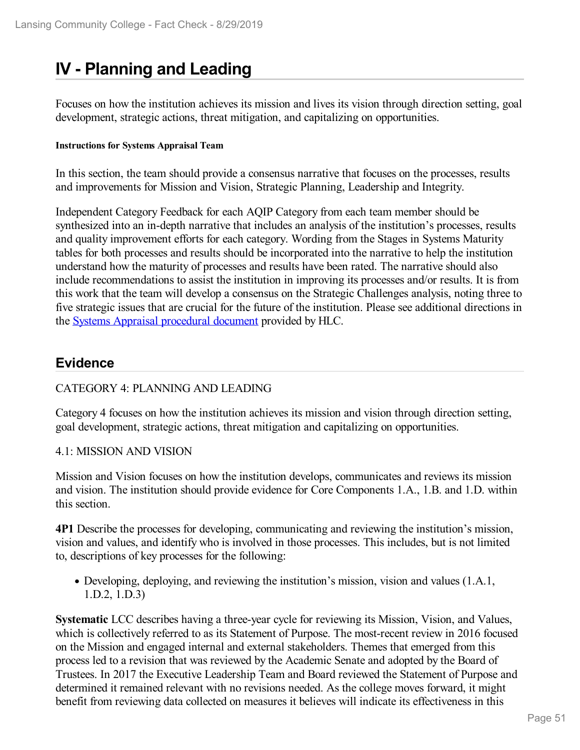# **IV - Planning and Leading**

Focuses on how the institution achieves its mission and lives its vision through direction setting, goal development, strategic actions, threat mitigation, and capitalizing on opportunities.

#### **Instructions for Systems Appraisal Team**

In this section, the team should provide a consensus narrative that focuses on the processes, results and improvements for Mission and Vision, Strategic Planning, Leadership and Integrity.

Independent Category Feedback for each AQIP Category from each team member should be synthesized into an in-depth narrative that includes an analysis of the institution's processes, results and quality improvement efforts for each category. Wording from the Stages in Systems Maturity tables for both processes and results should be incorporated into the narrative to help the institution understand how the maturity of processes and results have been rated. The narrative should also include recommendations to assist the institution in improving its processes and/or results. It is from this work that the team will develop a consensus on the Strategic Challenges analysis, noting three to five strategic issues that are crucial for the future of the institution. Please see additional directions in the Systems Appraisal [procedural](https://www.hlcommission.org/Accreditation/aqip-portfolio.html) document provided by HLC.

## **Evidence**

### CATEGORY 4: PLANNING AND LEADING

Category 4 focuses on how the institution achieves its mission and vision through direction setting, goal development, strategic actions, threat mitigation and capitalizing on opportunities.

#### 4.1: MISSION AND VISION

Mission and Vision focuses on how the institution develops, communicates and reviews its mission and vision. The institution should provide evidence for Core Components 1.A., 1.B. and 1.D. within this section.

**4P1** Describe the processes for developing, communicating and reviewing the institution's mission, vision and values, and identify who is involved in those processes. This includes, but is not limited to, descriptions of key processes for the following:

Developing, deploying, and reviewing the institution's mission, vision and values (1.A.1, 1.D.2, 1.D.3)

**Systematic** LCC describes having a three-year cycle for reviewing its Mission, Vision, and Values, which is collectively referred to as its Statement of Purpose. The most-recent review in 2016 focused on the Mission and engaged internal and external stakeholders. Themes that emerged from this process led to a revision that was reviewed by the Academic Senate and adopted by the Board of Trustees. In 2017 the Executive Leadership Team and Board reviewed the Statement of Purpose and determined it remained relevant with no revisions needed. As the college moves forward, it might benefit from reviewing data collected on measures it believes will indicate its effectiveness in this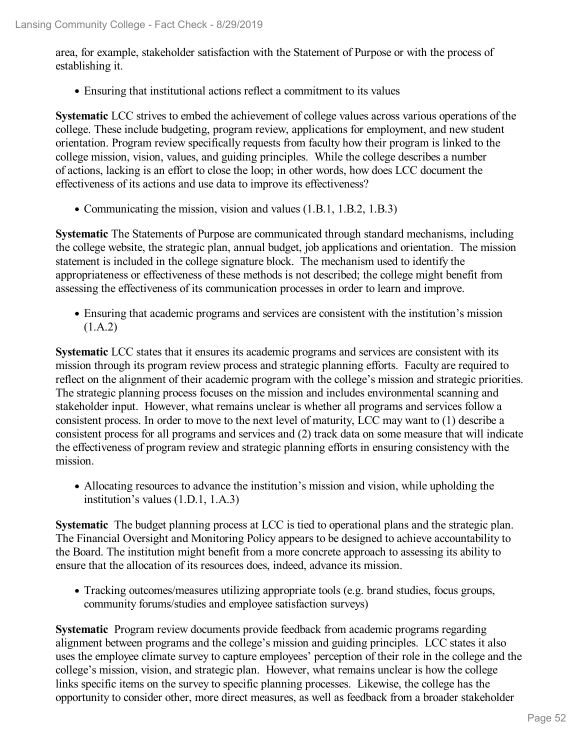area, for example, stakeholder satisfaction with the Statement of Purpose or with the process of establishing it.

Ensuring that institutional actions reflect a commitment to its values

**Systematic** LCC strives to embed the achievement of college values across various operations of the college. These include budgeting, program review, applications for employment, and new student orientation. Program review specifically requests from faculty how their program is linked to the college mission, vision, values, and guiding principles. While the college describes a number of actions, lacking is an effort to close the loop; in other words, how does LCC document the effectiveness of its actions and use data to improve its effectiveness?

• Communicating the mission, vision and values (1.B.1, 1.B.2, 1.B.3)

**Systematic** The Statements of Purpose are communicated through standard mechanisms, including the college website, the strategic plan, annual budget, job applications and orientation. The mission statement is included in the college signature block. The mechanism used to identify the appropriateness or effectiveness of these methods is not described; the college might benefit from assessing the effectiveness of its communication processes in order to learn and improve.

Ensuring that academic programs and services are consistent with the institution's mission  $(1.A.2)$ 

**Systematic** LCC states that it ensures its academic programs and services are consistent with its mission through its program review process and strategic planning efforts. Faculty are required to reflect on the alignment of their academic program with the college's mission and strategic priorities. The strategic planning process focuses on the mission and includes environmental scanning and stakeholder input. However, what remains unclear is whether all programs and services follow a consistent process. In order to move to the next level of maturity, LCC may want to (1) describe a consistent process for all programs and services and (2) track data on some measure that will indicate the effectiveness of program review and strategic planning efforts in ensuring consistency with the mission.

Allocating resources to advance the institution's mission and vision, while upholding the institution's values (1.D.1, 1.A.3)

**Systematic** The budget planning process at LCC is tied to operational plans and the strategic plan. The Financial Oversight and Monitoring Policy appears to be designed to achieve accountability to the Board. The institution might benefit from a more concrete approach to assessing its ability to ensure that the allocation of its resources does, indeed, advance its mission.

Tracking outcomes/measures utilizing appropriate tools (e.g. brand studies, focus groups, community forums/studies and employee satisfaction surveys)

**Systematic** Program review documents provide feedback from academic programs regarding alignment between programs and the college's mission and guiding principles. LCC states it also uses the employee climate survey to capture employees' perception of their role in the college and the college's mission, vision, and strategic plan. However, what remains unclear is how the college links specific items on the survey to specific planning processes. Likewise, the college has the opportunity to consider other, more direct measures, as well as feedback from a broader stakeholder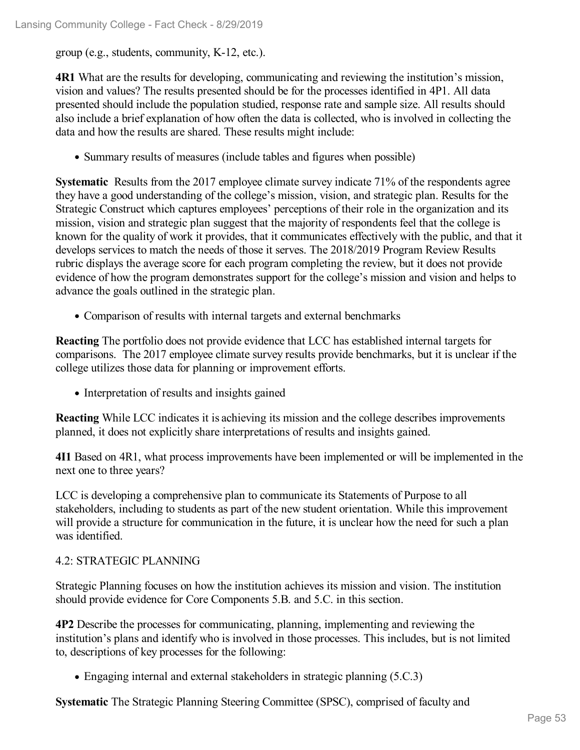group (e.g., students, community, K-12, etc.).

**4R1** What are the results for developing, communicating and reviewing the institution's mission, vision and values? The results presented should be for the processes identified in 4P1. All data presented should include the population studied, response rate and sample size. All results should also include a brief explanation of how often the data is collected, who is involved in collecting the data and how the results are shared. These results might include:

• Summary results of measures (include tables and figures when possible)

**Systematic** Results from the 2017 employee climate survey indicate 71% of the respondents agree they have a good understanding of the college's mission, vision, and strategic plan. Results for the Strategic Construct which captures employees' perceptions of their role in the organization and its mission, vision and strategic plan suggest that the majority of respondents feel that the college is known for the quality of work it provides, that it communicates effectively with the public, and that it develops services to match the needs of those it serves. The 2018/2019 Program Review Results rubric displays the average score for each program completing the review, but it does not provide evidence of how the program demonstrates support for the college's mission and vision and helps to advance the goals outlined in the strategic plan.

Comparison of results with internal targets and external benchmarks

**Reacting** The portfolio does not provide evidence that LCC has established internal targets for comparisons. The 2017 employee climate survey results provide benchmarks, but it is unclear if the college utilizes those data for planning or improvement efforts.

• Interpretation of results and insights gained

**Reacting** While LCC indicates it is achieving its mission and the college describes improvements planned, it does not explicitly share interpretations of results and insights gained.

**4I1** Based on 4R1, what process improvements have been implemented or will be implemented in the next one to three years?

LCC is developing a comprehensive plan to communicate its Statements of Purpose to all stakeholders, including to students as part of the new student orientation. While this improvement will provide a structure for communication in the future, it is unclear how the need for such a plan was identified.

#### 4.2: STRATEGIC PLANNING

Strategic Planning focuses on how the institution achieves its mission and vision. The institution should provide evidence for Core Components 5.B. and 5.C. in this section.

**4P2** Describe the processes for communicating, planning, implementing and reviewing the institution's plans and identify who is involved in those processes. This includes, but is not limited to, descriptions of key processes for the following:

• Engaging internal and external stakeholders in strategic planning (5.C.3)

**Systematic** The Strategic Planning Steering Committee (SPSC), comprised of faculty and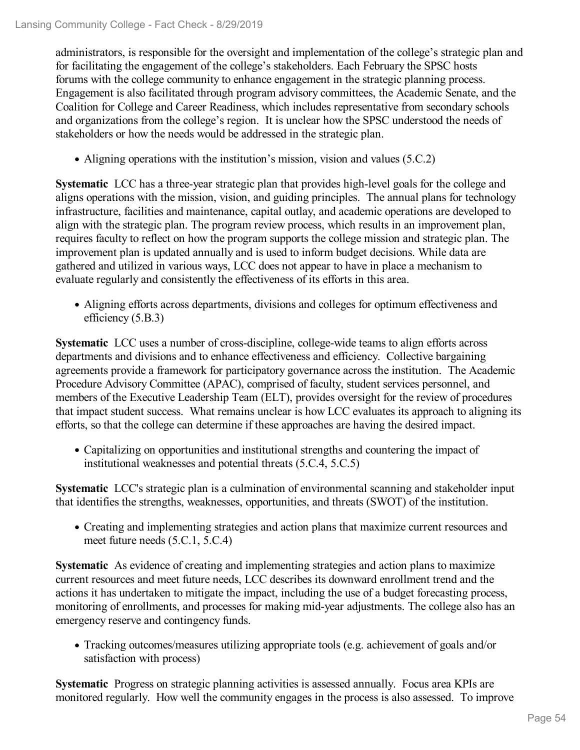administrators, is responsible for the oversight and implementation of the college's strategic plan and for facilitating the engagement of the college's stakeholders. Each February the SPSC hosts forums with the college community to enhance engagement in the strategic planning process. Engagement is also facilitated through program advisory committees, the Academic Senate, and the Coalition for College and Career Readiness, which includes representative from secondary schools and organizations from the college's region. It is unclear how the SPSC understood the needs of stakeholders or how the needs would be addressed in the strategic plan.

• Aligning operations with the institution's mission, vision and values (5.C.2)

**Systematic** LCC has a three-year strategic plan that provides high-level goals for the college and aligns operations with the mission, vision, and guiding principles. The annual plans for technology infrastructure, facilities and maintenance, capital outlay, and academic operations are developed to align with the strategic plan. The program review process, which results in an improvement plan, requires faculty to reflect on how the program supports the college mission and strategic plan. The improvement plan is updated annually and is used to inform budget decisions. While data are gathered and utilized in various ways, LCC does not appear to have in place a mechanism to evaluate regularly and consistently the effectiveness of its efforts in this area.

Aligning efforts across departments, divisions and colleges for optimum effectiveness and efficiency (5.B.3)

**Systematic** LCC uses a number of cross-discipline, college-wide teams to align efforts across departments and divisions and to enhance effectiveness and efficiency. Collective bargaining agreements provide a framework for participatory governance across the institution. The Academic Procedure Advisory Committee (APAC), comprised of faculty, student services personnel, and members of the Executive Leadership Team (ELT), provides oversight for the review of procedures that impact student success. What remains unclear is how LCC evaluates its approach to aligning its efforts, so that the college can determine if these approaches are having the desired impact.

Capitalizing on opportunities and institutional strengths and countering the impact of institutional weaknesses and potential threats (5.C.4, 5.C.5)

**Systematic** LCC's strategic plan is a culmination of environmental scanning and stakeholder input that identifies the strengths, weaknesses, opportunities, and threats (SWOT) of the institution.

Creating and implementing strategies and action plans that maximize current resources and meet future needs (5.C.1, 5.C.4)

**Systematic** As evidence of creating and implementing strategies and action plans to maximize current resources and meet future needs, LCC describes its downward enrollment trend and the actions it has undertaken to mitigate the impact, including the use of a budget forecasting process, monitoring of enrollments, and processes for making mid-year adjustments. The college also has an emergency reserve and contingency funds.

Tracking outcomes/measures utilizing appropriate tools (e.g. achievement of goals and/or satisfaction with process)

**Systematic** Progress on strategic planning activities is assessed annually. Focus area KPIs are monitored regularly. How well the community engages in the process is also assessed. To improve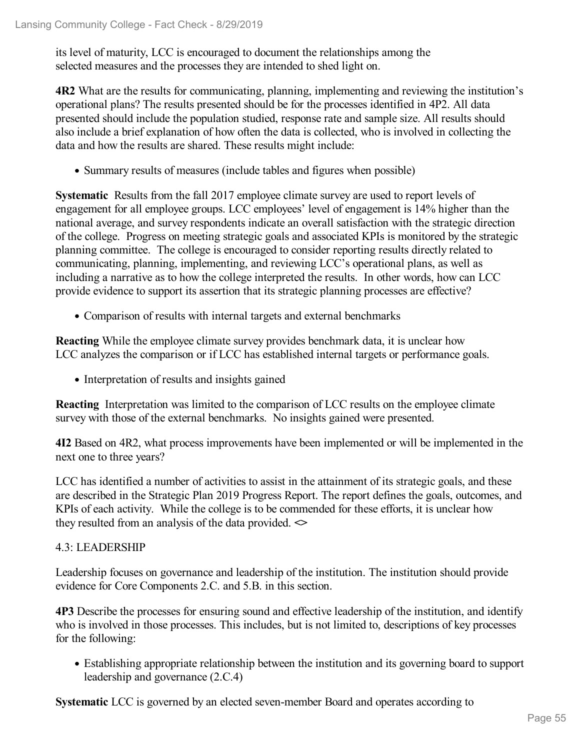its level of maturity, LCC is encouraged to document the relationships among the selected measures and the processes they are intended to shed light on.

**4R2** What are the results for communicating, planning, implementing and reviewing the institution's operational plans? The results presented should be for the processes identified in 4P2. All data presented should include the population studied, response rate and sample size. All results should also include a brief explanation of how often the data is collected, who is involved in collecting the data and how the results are shared. These results might include:

• Summary results of measures (include tables and figures when possible)

**Systematic** Results from the fall 2017 employee climate survey are used to report levels of engagement for all employee groups. LCC employees' level of engagement is 14% higher than the national average, and survey respondents indicate an overall satisfaction with the strategic direction of the college. Progress on meeting strategic goals and associated KPIs is monitored by the strategic planning committee. The college is encouraged to consider reporting results directly related to communicating, planning, implementing, and reviewing LCC's operational plans, as well as including a narrative as to how the college interpreted the results. In other words, how can LCC provide evidence to support its assertion that its strategic planning processes are effective?

Comparison of results with internal targets and external benchmarks

**Reacting** While the employee climate survey provides benchmark data, it is unclear how LCC analyzes the comparison or if LCC has established internal targets or performance goals.

• Interpretation of results and insights gained

**Reacting** Interpretation was limited to the comparison of LCC results on the employee climate survey with those of the external benchmarks. No insights gained were presented.

**4I2** Based on 4R2, what process improvements have been implemented or will be implemented in the next one to three years?

LCC has identified a number of activities to assist in the attainment of its strategic goals, and these are described in the Strategic Plan 2019 Progress Report. The report defines the goals, outcomes, and KPIs of each activity. While the college is to be commended for these efforts, it is unclear how they resulted from an analysis of the data provided. **<>**

### 4.3: LEADERSHIP

Leadership focuses on governance and leadership of the institution. The institution should provide evidence for Core Components 2.C. and 5.B. in this section.

**4P3** Describe the processes for ensuring sound and effective leadership of the institution, and identify who is involved in those processes. This includes, but is not limited to, descriptions of key processes for the following:

Establishing appropriate relationship between the institution and its governing board to support leadership and governance (2.C.4)

**Systematic** LCC is governed by an elected seven-member Board and operates according to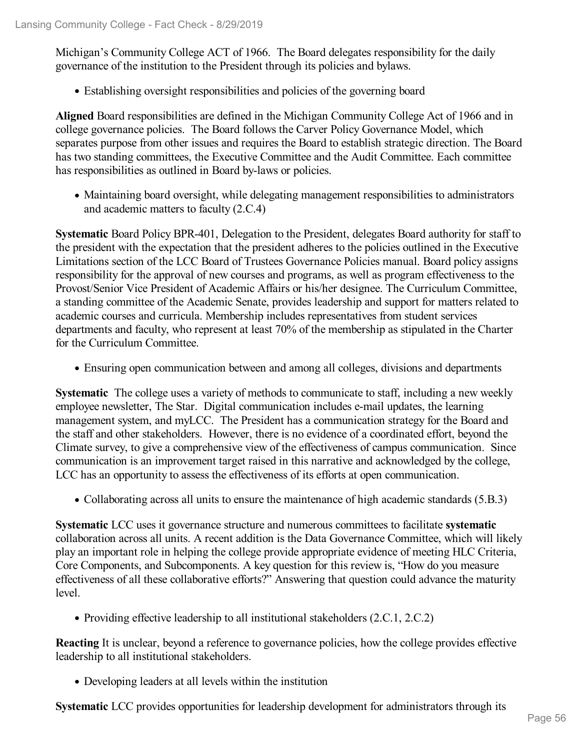Michigan's Community College ACT of 1966. The Board delegates responsibility for the daily governance of the institution to the President through its policies and bylaws.

Establishing oversight responsibilities and policies of the governing board

**Aligned** Board responsibilities are defined in the Michigan Community College Act of 1966 and in college governance policies. The Board follows the Carver Policy Governance Model, which separates purpose from other issues and requires the Board to establish strategic direction. The Board has two standing committees, the Executive Committee and the Audit Committee. Each committee has responsibilities as outlined in Board by-laws or policies.

Maintaining board oversight, while delegating management responsibilities to administrators and academic matters to faculty (2.C.4)

**Systematic** Board Policy BPR-401, Delegation to the President, delegates Board authority for staff to the president with the expectation that the president adheres to the policies outlined in the Executive Limitations section of the LCC Board of Trustees Governance Policies manual. Board policy assigns responsibility for the approval of new courses and programs, as well as program effectiveness to the Provost/Senior Vice President of Academic Affairs or his/her designee. The Curriculum Committee, a standing committee of the Academic Senate, provides leadership and support for matters related to academic courses and curricula. Membership includes representatives from student services departments and faculty, who represent at least 70% of the membership as stipulated in the Charter for the Curriculum Committee.

Ensuring open communication between and among all colleges, divisions and departments

**Systematic** The college uses a variety of methods to communicate to staff, including a new weekly employee newsletter, The Star. Digital communication includes e-mail updates, the learning management system, and myLCC. The President has a communication strategy for the Board and the staff and other stakeholders. However, there is no evidence of a coordinated effort, beyond the Climate survey, to give a comprehensive view of the effectiveness of campus communication. Since communication is an improvement target raised in this narrative and acknowledged by the college, LCC has an opportunity to assess the effectiveness of its efforts at open communication.

Collaborating across all units to ensure the maintenance of high academic standards (5.B.3)

**Systematic** LCC uses it governance structure and numerous committees to facilitate **systematic** collaboration across all units. A recent addition is the Data Governance Committee, which will likely play an important role in helping the college provide appropriate evidence of meeting HLC Criteria, Core Components, and Subcomponents. A key question for this review is,"How do you measure effectiveness of all these collaborative efforts?" Answering that question could advance the maturity level.

• Providing effective leadership to all institutional stakeholders (2.C.1, 2.C.2)

**Reacting** It is unclear, beyond a reference to governance policies, how the college provides effective leadership to all institutional stakeholders.

Developing leaders at all levels within the institution

**Systematic** LCC provides opportunities for leadership development for administrators through its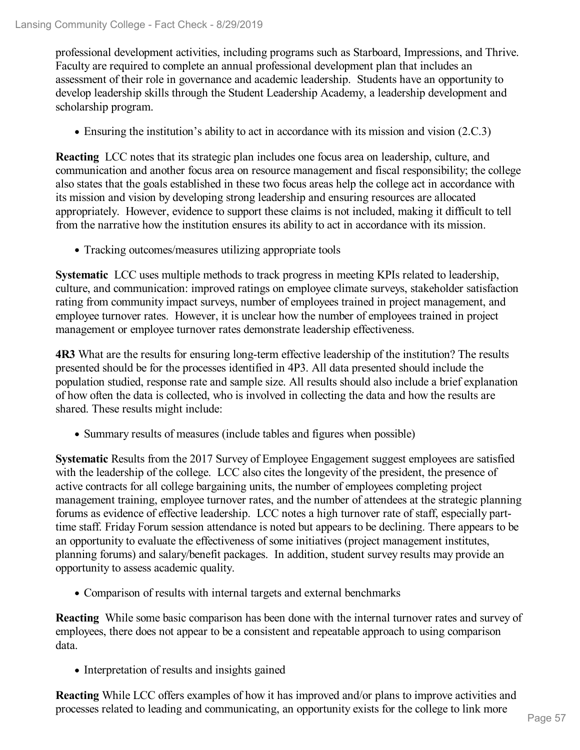professional development activities, including programs such as Starboard, Impressions, and Thrive. Faculty are required to complete an annual professional development plan that includes an assessment of their role in governance and academic leadership. Students have an opportunity to develop leadership skills through the Student Leadership Academy, a leadership development and scholarship program.

Ensuring the institution's ability to act in accordance with its mission and vision (2.C.3)

**Reacting** LCC notes that its strategic plan includes one focus area on leadership, culture, and communication and another focus area on resource management and fiscal responsibility; the college also states that the goals established in these two focus areas help the college act in accordance with its mission and vision by developing strong leadership and ensuring resources are allocated appropriately. However, evidence to support these claims is not included, making it difficult to tell from the narrative how the institution ensures its ability to act in accordance with its mission.

Tracking outcomes/measures utilizing appropriate tools

**Systematic** LCC uses multiple methods to track progress in meeting KPIs related to leadership, culture, and communication: improved ratings on employee climate surveys, stakeholder satisfaction rating from community impact surveys, number of employees trained in project management, and employee turnover rates. However, it is unclear how the number of employees trained in project management or employee turnover rates demonstrate leadership effectiveness.

**4R3** What are the results for ensuring long-term effective leadership of the institution? The results presented should be for the processes identified in 4P3. All data presented should include the population studied, response rate and sample size. All results should also include a brief explanation of how often the data is collected, who is involved in collecting the data and how the results are shared. These results might include:

• Summary results of measures (include tables and figures when possible)

**Systematic** Results from the 2017 Survey of Employee Engagement suggest employees are satisfied with the leadership of the college. LCC also cites the longevity of the president, the presence of active contracts for all college bargaining units, the number of employees completing project management training, employee turnover rates, and the number of attendees at the strategic planning forums as evidence of effective leadership. LCC notes a high turnover rate of staff, especially parttime staff. Friday Forum session attendance is noted but appears to be declining. There appears to be an opportunity to evaluate the effectiveness of some initiatives (project management institutes, planning forums) and salary/benefit packages. In addition, student survey results may provide an opportunity to assess academic quality.

Comparison of results with internal targets and external benchmarks

**Reacting** While some basic comparison has been done with the internal turnover rates and survey of employees, there does not appear to be a consistent and repeatable approach to using comparison data.

• Interpretation of results and insights gained

**Reacting** While LCC offers examples of how it has improved and/or plans to improve activities and processes related to leading and communicating, an opportunity exists for the college to link more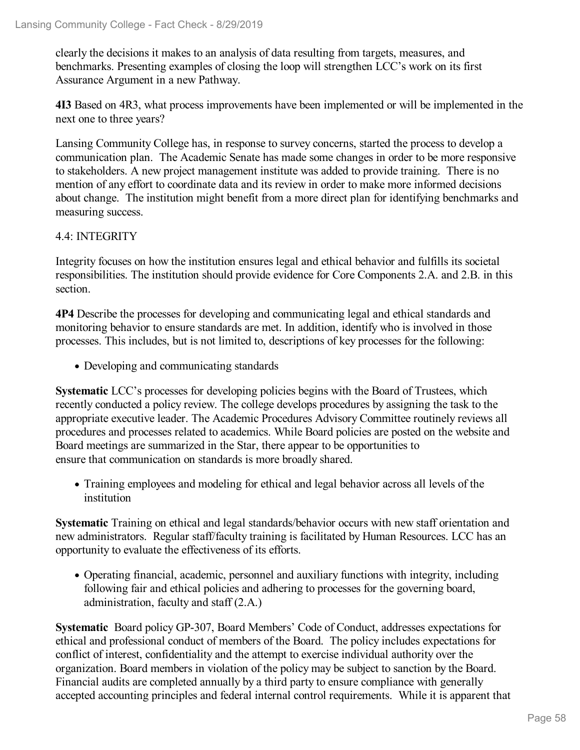clearly the decisions it makes to an analysis of data resulting from targets, measures, and benchmarks. Presenting examples of closing the loop will strengthen LCC's work on its first Assurance Argument in a new Pathway.

**4I3** Based on 4R3, what process improvements have been implemented or will be implemented in the next one to three years?

Lansing Community College has, in response to survey concerns, started the process to develop a communication plan. The Academic Senate has made some changes in order to be more responsive to stakeholders. A new project management institute was added to provide training. There is no mention of any effort to coordinate data and its review in order to make more informed decisions about change. The institution might benefit from a more direct plan for identifying benchmarks and measuring success.

#### 4.4: INTEGRITY

Integrity focuses on how the institution ensures legal and ethical behavior and fulfills its societal responsibilities. The institution should provide evidence for Core Components 2.A. and 2.B. in this section.

**4P4** Describe the processes for developing and communicating legal and ethical standards and monitoring behavior to ensure standards are met. In addition, identify who is involved in those processes. This includes, but is not limited to, descriptions of key processes for the following:

Developing and communicating standards

**Systematic** LCC's processes for developing policies begins with the Board of Trustees, which recently conducted a policy review. The college develops procedures by assigning the task to the appropriate executive leader. The Academic Procedures Advisory Committee routinely reviews all procedures and processes related to academics. While Board policies are posted on the website and Board meetings are summarized in the Star, there appear to be opportunities to ensure that communication on standards is more broadly shared.

Training employees and modeling for ethical and legal behavior across all levels of the institution

**Systematic** Training on ethical and legal standards/behavior occurs with new staff orientation and new administrators. Regular staff/faculty training is facilitated by Human Resources. LCC has an opportunity to evaluate the effectiveness of its efforts.

Operating financial, academic, personnel and auxiliary functions with integrity, including following fair and ethical policies and adhering to processes for the governing board, administration, faculty and staff (2.A.)

**Systematic** Board policy GP-307, Board Members' Code of Conduct, addresses expectations for ethical and professional conduct of members of the Board. The policy includes expectations for conflict of interest, confidentiality and the attempt to exercise individual authority over the organization. Board members in violation of the policy may be subject to sanction by the Board. Financial audits are completed annually by a third party to ensure compliance with generally accepted accounting principles and federal internal control requirements. While it is apparent that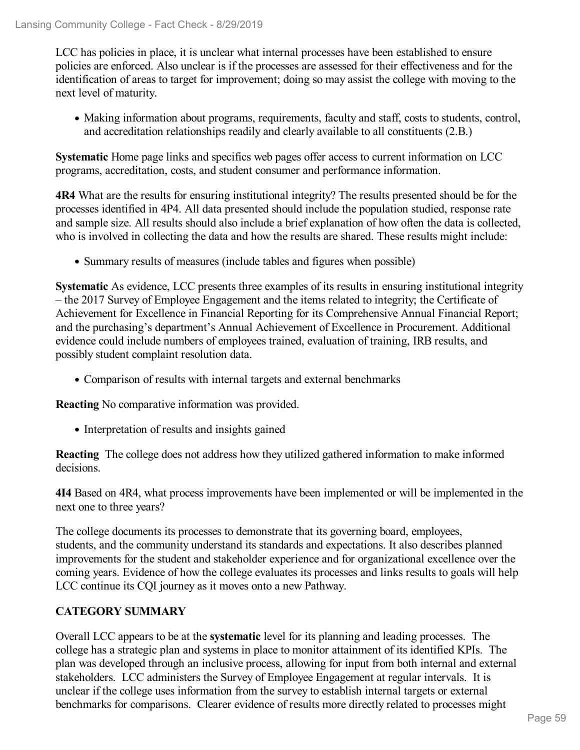LCC has policies in place, it is unclear what internal processes have been established to ensure policies are enforced. Also unclear is if the processes are assessed for their effectiveness and for the identification of areas to target for improvement; doing so may assist the college with moving to the next level of maturity.

• Making information about programs, requirements, faculty and staff, costs to students, control, and accreditation relationships readily and clearly available to all constituents (2.B.)

**Systematic** Home page links and specifics web pages offer access to current information on LCC programs, accreditation, costs, and student consumer and performance information.

**4R4** What are the results for ensuring institutional integrity? The results presented should be for the processes identified in 4P4. All data presented should include the population studied, response rate and sample size. All results should also include a brief explanation of how often the data is collected, who is involved in collecting the data and how the results are shared. These results might include:

• Summary results of measures (include tables and figures when possible)

**Systematic** As evidence, LCC presents three examples of its results in ensuring institutional integrity – the 2017 Survey of Employee Engagement and the items related to integrity; the Certificate of Achievement for Excellence in Financial Reporting for its Comprehensive Annual Financial Report; and the purchasing's department's Annual Achievement of Excellence in Procurement. Additional evidence could include numbers of employees trained, evaluation of training, IRB results, and possibly student complaint resolution data.

Comparison of results with internal targets and external benchmarks

**Reacting** No comparative information was provided.

• Interpretation of results and insights gained

**Reacting** The college does not address how they utilized gathered information to make informed decisions.

**4I4** Based on 4R4, what process improvements have been implemented or will be implemented in the next one to three years?

The college documents its processes to demonstrate that its governing board, employees, students, and the community understand its standards and expectations. It also describes planned improvements for the student and stakeholder experience and for organizational excellence over the coming years. Evidence of how the college evaluates its processes and links results to goals will help LCC continue its CQI journey as it moves onto a new Pathway.

### **CATEGORY SUMMARY**

Overall LCC appears to be at the **systematic** level for its planning and leading processes. The college has a strategic plan and systems in place to monitor attainment of its identified KPIs. The plan was developed through an inclusive process, allowing for input from both internal and external stakeholders. LCC administers the Survey of Employee Engagement at regular intervals. It is unclear if the college uses information from the survey to establish internal targets or external benchmarks for comparisons. Clearer evidence of results more directly related to processes might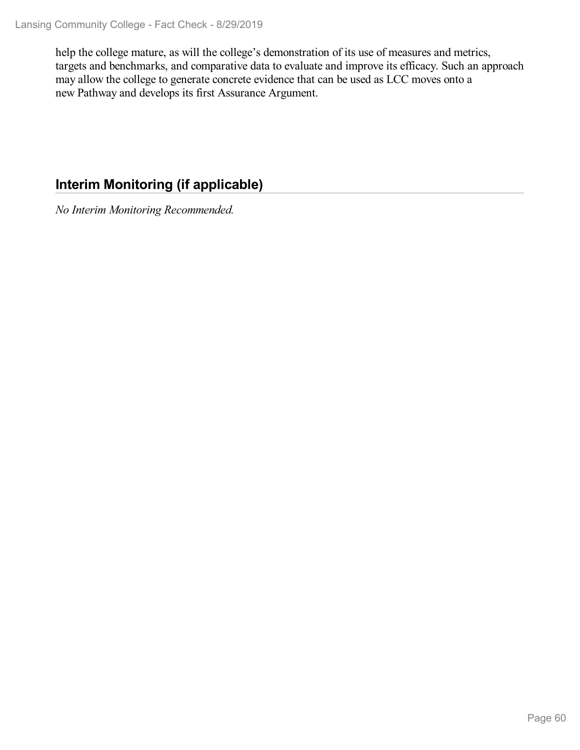help the college mature, as will the college's demonstration of its use of measures and metrics, targets and benchmarks, and comparative data to evaluate and improve its efficacy. Such an approach may allow the college to generate concrete evidence that can be used as LCC moves onto a new Pathway and develops its first Assurance Argument.

## **Interim Monitoring (if applicable)**

*No Interim Monitoring Recommended.*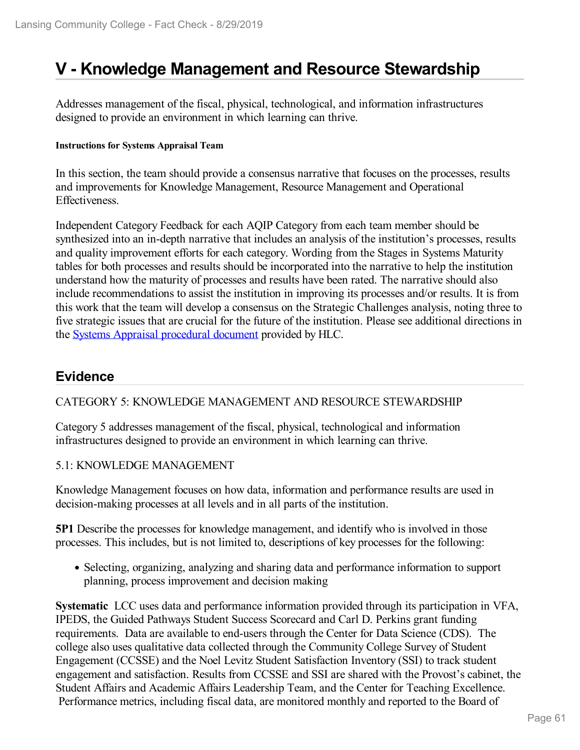# **V - Knowledge Management and Resource Stewardship**

Addresses management of the fiscal, physical, technological, and information infrastructures designed to provide an environment in which learning can thrive.

#### **Instructions for Systems Appraisal Team**

In this section, the team should provide a consensus narrative that focuses on the processes, results and improvements for Knowledge Management, Resource Management and Operational Effectiveness.

Independent Category Feedback for each AQIP Category from each team member should be synthesized into an in-depth narrative that includes an analysis of the institution's processes, results and quality improvement efforts for each category. Wording from the Stages in Systems Maturity tables for both processes and results should be incorporated into the narrative to help the institution understand how the maturity of processes and results have been rated. The narrative should also include recommendations to assist the institution in improving its processes and/or results. It is from this work that the team will develop a consensus on the Strategic Challenges analysis, noting three to five strategic issues that are crucial for the future of the institution. Please see additional directions in the Systems Appraisal [procedural](https://www.hlcommission.org/Accreditation/aqip-portfolio.html) document provided by HLC.

## **Evidence**

#### CATEGORY 5: KNOWLEDGE MANAGEMENT AND RESOURCE STEWARDSHIP

Category 5 addresses management of the fiscal, physical, technological and information infrastructures designed to provide an environment in which learning can thrive.

#### 5.1: KNOWLEDGE MANAGEMENT

Knowledge Management focuses on how data, information and performance results are used in decision-making processes at all levels and in all parts of the institution.

**5P1** Describe the processes for knowledge management, and identify who is involved in those processes. This includes, but is not limited to, descriptions of key processes for the following:

• Selecting, organizing, analyzing and sharing data and performance information to support planning, process improvement and decision making

**Systematic** LCC uses data and performance information provided through its participation in VFA, IPEDS, the Guided Pathways Student Success Scorecard and Carl D. Perkins grant funding requirements. Data are available to end-users through the Center for Data Science (CDS). The college also uses qualitative data collected through the Community College Survey of Student Engagement (CCSSE) and the Noel Levitz Student Satisfaction Inventory (SSI) to track student engagement and satisfaction. Results from CCSSE and SSI are shared with the Provost's cabinet, the Student Affairs and Academic Affairs Leadership Team, and the Center for Teaching Excellence. Performance metrics, including fiscal data, are monitored monthly and reported to the Board of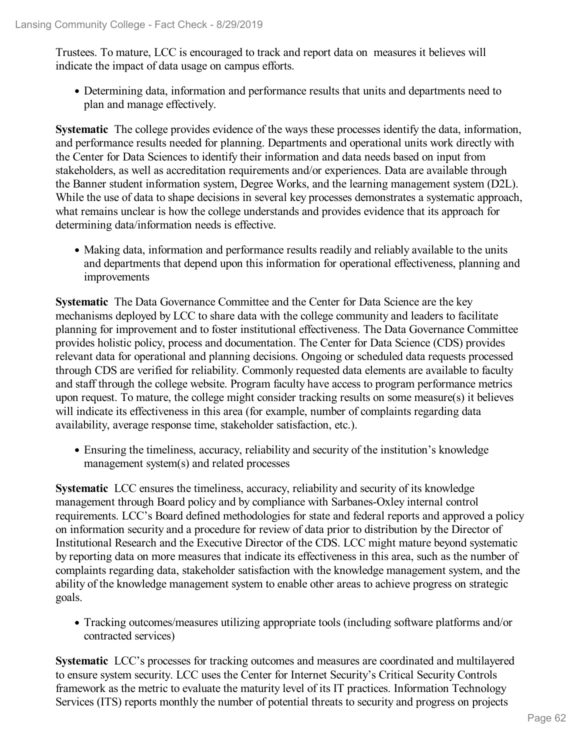Trustees. To mature, LCC is encouraged to track and report data on measures it believes will indicate the impact of data usage on campus efforts.

Determining data, information and performance results that units and departments need to plan and manage effectively.

**Systematic** The college provides evidence of the ways these processes identify the data, information, and performance results needed for planning. Departments and operational units work directly with the Center for Data Sciences to identify their information and data needs based on input from stakeholders, as well as accreditation requirements and/or experiences. Data are available through the Banner student information system, Degree Works, and the learning management system (D2L). While the use of data to shape decisions in several key processes demonstrates a systematic approach, what remains unclear is how the college understands and provides evidence that its approach for determining data/information needs is effective.

Making data, information and performance results readily and reliably available to the units and departments that depend upon this information for operational effectiveness, planning and improvements

**Systematic** The Data Governance Committee and the Center for Data Science are the key mechanisms deployed by LCC to share data with the college community and leaders to facilitate planning for improvement and to foster institutional effectiveness. The Data Governance Committee provides holistic policy, process and documentation. The Center for Data Science (CDS) provides relevant data for operational and planning decisions. Ongoing or scheduled data requests processed through CDS are verified for reliability. Commonly requested data elements are available to faculty and staff through the college website. Program faculty have access to program performance metrics upon request. To mature, the college might consider tracking results on some measure(s) it believes will indicate its effectiveness in this area (for example, number of complaints regarding data availability, average response time, stakeholder satisfaction, etc.).

Ensuring the timeliness, accuracy, reliability and security of the institution's knowledge management system(s) and related processes

**Systematic** LCC ensures the timeliness, accuracy, reliability and security of its knowledge management through Board policy and by compliance with Sarbanes-Oxley internal control requirements. LCC's Board defined methodologies for state and federal reports and approved a policy on information security and a procedure for review of data prior to distribution by the Director of Institutional Research and the Executive Director of the CDS. LCC might mature beyond systematic by reporting data on more measures that indicate its effectiveness in this area, such as the number of complaints regarding data, stakeholder satisfaction with the knowledge management system, and the ability of the knowledge management system to enable other areas to achieve progress on strategic goals.

Tracking outcomes/measures utilizing appropriate tools (including software platforms and/or contracted services)

**Systematic** LCC's processes for tracking outcomes and measures are coordinated and multilayered to ensure system security. LCC uses the Center for Internet Security's Critical Security Controls framework as the metric to evaluate the maturity level of its IT practices. Information Technology Services (ITS) reports monthly the number of potential threats to security and progress on projects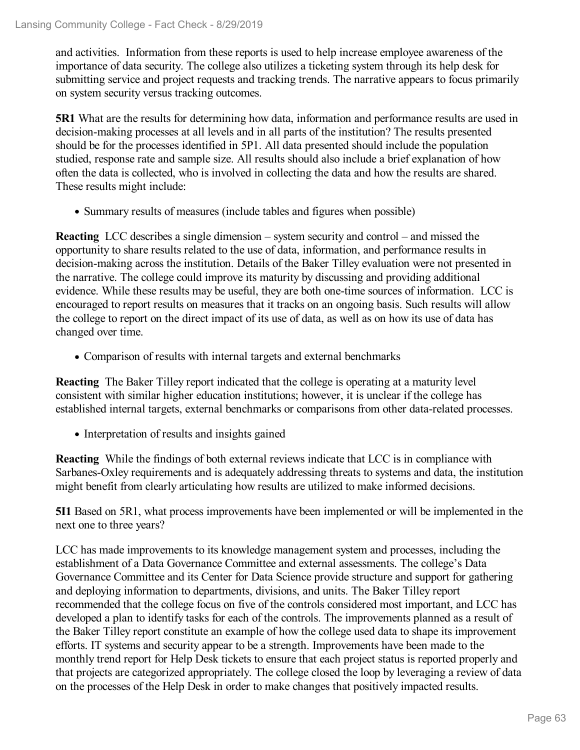and activities. Information from these reports is used to help increase employee awareness of the importance of data security. The college also utilizes a ticketing system through its help desk for submitting service and project requests and tracking trends. The narrative appears to focus primarily on system security versus tracking outcomes.

**5R1** What are the results for determining how data, information and performance results are used in decision-making processes at all levels and in all parts of the institution? The results presented should be for the processes identified in 5P1. All data presented should include the population studied, response rate and sample size. All results should also include a brief explanation of how often the data is collected, who is involved in collecting the data and how the results are shared. These results might include:

• Summary results of measures (include tables and figures when possible)

**Reacting** LCC describes a single dimension – system security and control – and missed the opportunity to share results related to the use of data, information, and performance results in decision-making across the institution. Details of the Baker Tilley evaluation were not presented in the narrative. The college could improve its maturity by discussing and providing additional evidence. While these results may be useful, they are both one-time sources of information. LCC is encouraged to report results on measures that it tracks on an ongoing basis. Such results will allow the college to report on the direct impact of its use of data, as well as on how its use of data has changed over time.

• Comparison of results with internal targets and external benchmarks

**Reacting** The Baker Tilley report indicated that the college is operating at a maturity level consistent with similar higher education institutions; however, it is unclear if the college has established internal targets, external benchmarks or comparisons from other data-related processes.

• Interpretation of results and insights gained

**Reacting** While the findings of both external reviews indicate that LCC is in compliance with Sarbanes-Oxley requirements and is adequately addressing threats to systems and data, the institution might benefit from clearly articulating how results are utilized to make informed decisions.

**5I1** Based on 5R1, what process improvements have been implemented or will be implemented in the next one to three years?

LCC has made improvements to its knowledge management system and processes, including the establishment of a Data Governance Committee and external assessments. The college's Data Governance Committee and its Center for Data Science provide structure and support for gathering and deploying information to departments, divisions, and units. The Baker Tilley report recommended that the college focus on five of the controls considered most important, and LCC has developed a plan to identify tasks for each of the controls. The improvements planned as a result of the Baker Tilley report constitute an example of how the college used data to shape its improvement efforts. IT systems and security appear to be a strength. Improvements have been made to the monthly trend report for Help Desk tickets to ensure that each project status is reported properly and that projects are categorized appropriately. The college closed the loop by leveraging a review of data on the processes of the Help Desk in order to make changes that positively impacted results.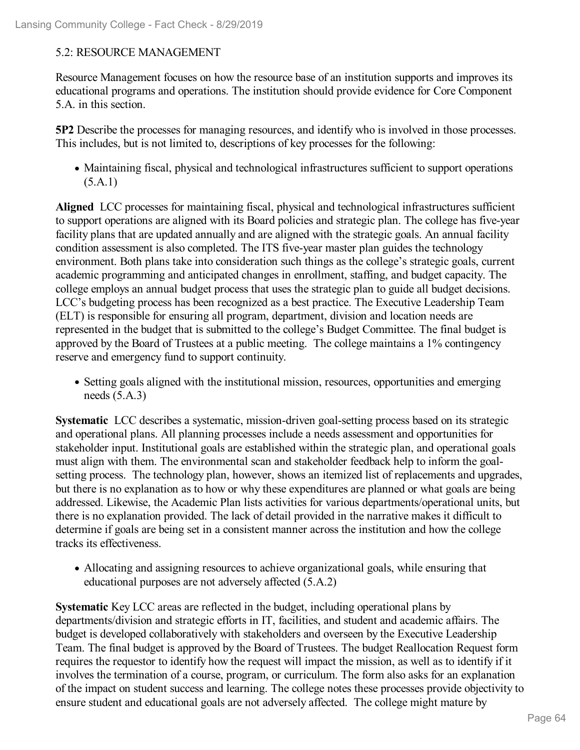#### 5.2: RESOURCE MANAGEMENT

Resource Management focuses on how the resource base of an institution supports and improves its educational programs and operations. The institution should provide evidence for Core Component 5.A. in this section.

**5P2** Describe the processes for managing resources, and identify who is involved in those processes. This includes, but is not limited to, descriptions of key processes for the following:

Maintaining fiscal, physical and technological infrastructures sufficient to support operations  $(5.A.1)$ 

**Aligned** LCC processes for maintaining fiscal, physical and technological infrastructures sufficient to support operations are aligned with its Board policies and strategic plan. The college has five-year facility plans that are updated annually and are aligned with the strategic goals. An annual facility condition assessment is also completed. The ITS five-year master plan guides the technology environment. Both plans take into consideration such things as the college's strategic goals, current academic programming and anticipated changes in enrollment, staffing, and budget capacity. The college employs an annual budget process that uses the strategic plan to guide all budget decisions. LCC's budgeting process has been recognized as a best practice. The Executive Leadership Team (ELT) is responsible for ensuring all program, department, division and location needs are represented in the budget that is submitted to the college's Budget Committee. The final budget is approved by the Board of Trustees at a public meeting. The college maintains a 1% contingency reserve and emergency fund to support continuity.

• Setting goals aligned with the institutional mission, resources, opportunities and emerging needs (5.A.3)

**Systematic** LCC describes a systematic, mission-driven goal-setting process based on its strategic and operational plans. All planning processes include a needs assessment and opportunities for stakeholder input. Institutional goals are established within the strategic plan, and operational goals must align with them. The environmental scan and stakeholder feedback help to inform the goalsetting process. The technology plan, however, shows an itemized list of replacements and upgrades, but there is no explanation as to how or why these expenditures are planned or what goals are being addressed. Likewise, the Academic Plan lists activities for various departments/operational units, but there is no explanation provided. The lack of detail provided in the narrative makes it difficult to determine if goals are being set in a consistent manner across the institution and how the college tracks its effectiveness.

Allocating and assigning resources to achieve organizational goals, while ensuring that educational purposes are not adversely affected (5.A.2)

**Systematic** Key LCC areas are reflected in the budget, including operational plans by departments/division and strategic efforts in IT, facilities, and student and academic affairs. The budget is developed collaboratively with stakeholders and overseen by the Executive Leadership Team. The final budget is approved by the Board of Trustees. The budget Reallocation Request form requires the requestor to identify how the request will impact the mission, as well as to identify if it involves the termination of a course, program, or curriculum. The form also asks for an explanation of the impact on student success and learning. The college notes these processes provide objectivity to ensure student and educational goals are not adversely affected. The college might mature by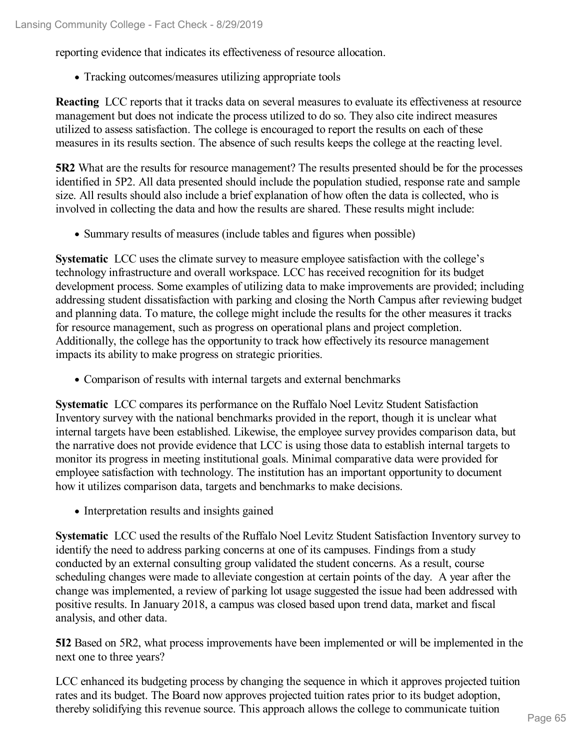reporting evidence that indicates its effectiveness of resource allocation.

Tracking outcomes/measures utilizing appropriate tools

**Reacting** LCC reports that it tracks data on several measures to evaluate its effectiveness at resource management but does not indicate the process utilized to do so. They also cite indirect measures utilized to assess satisfaction. The college is encouraged to report the results on each of these measures in its results section. The absence of such results keeps the college at the reacting level.

**5R2** What are the results for resource management? The results presented should be for the processes identified in 5P2. All data presented should include the population studied, response rate and sample size. All results should also include a brief explanation of how often the data is collected, who is involved in collecting the data and how the results are shared. These results might include:

Summary results of measures (include tables and figures when possible)

**Systematic** LCC uses the climate survey to measure employee satisfaction with the college's technology infrastructure and overall workspace. LCC has received recognition for its budget development process. Some examples of utilizing data to make improvements are provided; including addressing student dissatisfaction with parking and closing the North Campus after reviewing budget and planning data. To mature, the college might include the results for the other measures it tracks for resource management, such as progress on operational plans and project completion. Additionally, the college has the opportunity to track how effectively its resource management impacts its ability to make progress on strategic priorities.

Comparison of results with internal targets and external benchmarks

**Systematic** LCC compares its performance on the Ruffalo Noel Levitz Student Satisfaction Inventory survey with the national benchmarks provided in the report, though it is unclear what internal targets have been established. Likewise, the employee survey provides comparison data, but the narrative does not provide evidence that LCC is using those data to establish internal targets to monitor its progress in meeting institutional goals. Minimal comparative data were provided for employee satisfaction with technology. The institution has an important opportunity to document how it utilizes comparison data, targets and benchmarks to make decisions.

• Interpretation results and insights gained

**Systematic** LCC used the results of the Ruffalo Noel Levitz Student Satisfaction Inventory survey to identify the need to address parking concerns at one of its campuses. Findings from a study conducted by an external consulting group validated the student concerns. As a result, course scheduling changes were made to alleviate congestion at certain points of the day. A year after the change was implemented, a review of parking lot usage suggested the issue had been addressed with positive results. In January 2018, a campus was closed based upon trend data, market and fiscal analysis, and other data.

**5I2** Based on 5R2, what process improvements have been implemented or will be implemented in the next one to three years?

LCC enhanced its budgeting process by changing the sequence in which it approves projected tuition rates and its budget. The Board now approves projected tuition rates prior to its budget adoption, thereby solidifying this revenue source. This approach allows the college to communicate tuition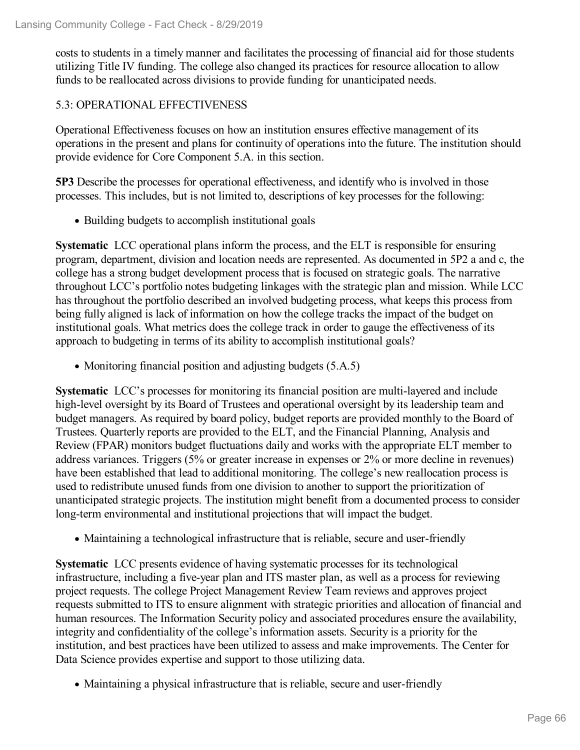costs to students in a timely manner and facilitates the processing of financial aid for those students utilizing Title IV funding. The college also changed its practices for resource allocation to allow funds to be reallocated across divisions to provide funding for unanticipated needs.

#### 5.3: OPERATIONAL EFFECTIVENESS

Operational Effectiveness focuses on how an institution ensures effective management of its operations in the present and plans for continuity of operations into the future. The institution should provide evidence for Core Component 5.A. in this section.

**5P3** Describe the processes for operational effectiveness, and identify who is involved in those processes. This includes, but is not limited to, descriptions of key processes for the following:

• Building budgets to accomplish institutional goals

**Systematic** LCC operational plans inform the process, and the ELT is responsible for ensuring program, department, division and location needs are represented. As documented in 5P2 a and c, the college has a strong budget development process that is focused on strategic goals. The narrative throughout LCC's portfolio notes budgeting linkages with the strategic plan and mission. While LCC has throughout the portfolio described an involved budgeting process, what keeps this process from being fully aligned is lack of information on how the college tracks the impact of the budget on institutional goals. What metrics does the college track in order to gauge the effectiveness of its approach to budgeting in terms of its ability to accomplish institutional goals?

• Monitoring financial position and adjusting budgets (5.A.5)

**Systematic** LCC's processes for monitoring its financial position are multi-layered and include high-level oversight by its Board of Trustees and operational oversight by its leadership team and budget managers. As required by board policy, budget reports are provided monthly to the Board of Trustees. Quarterly reports are provided to the ELT, and the Financial Planning, Analysis and Review (FPAR) monitors budget fluctuations daily and works with the appropriate ELT member to address variances. Triggers (5% or greater increase in expenses or 2% or more decline in revenues) have been established that lead to additional monitoring. The college's new reallocation process is used to redistribute unused funds from one division to another to support the prioritization of unanticipated strategic projects. The institution might benefit from a documented process to consider long-term environmental and institutional projections that will impact the budget.

Maintaining a technological infrastructure that is reliable, secure and user-friendly

**Systematic** LCC presents evidence of having systematic processes for its technological infrastructure, including a five-year plan and ITS master plan, as well as a process for reviewing project requests. The college Project Management Review Team reviews and approves project requests submitted to ITS to ensure alignment with strategic priorities and allocation of financial and human resources. The Information Security policy and associated procedures ensure the availability, integrity and confidentiality of the college's information assets. Security is a priority for the institution, and best practices have been utilized to assess and make improvements. The Center for Data Science provides expertise and support to those utilizing data.

Maintaining a physical infrastructure that is reliable, secure and user-friendly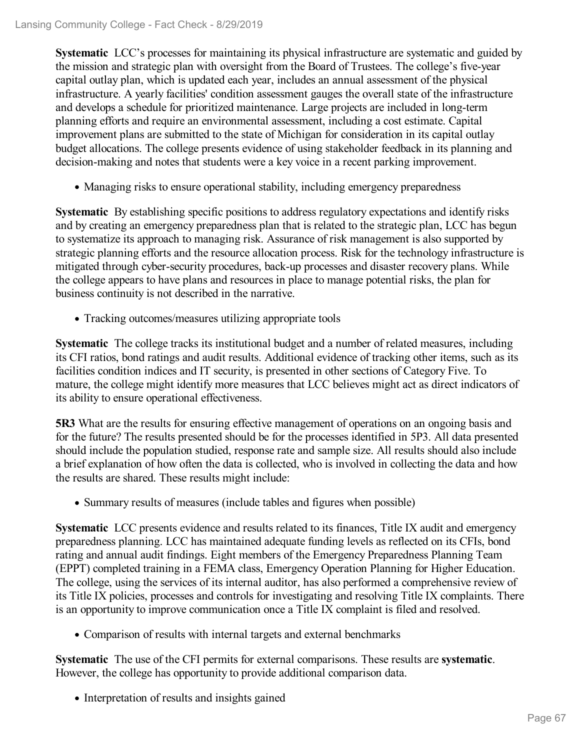**Systematic** LCC's processes for maintaining its physical infrastructure are systematic and guided by the mission and strategic plan with oversight from the Board of Trustees. The college's five-year capital outlay plan, which is updated each year, includes an annual assessment of the physical infrastructure. A yearly facilities' condition assessment gauges the overall state of the infrastructure and develops a schedule for prioritized maintenance. Large projects are included in long-term planning efforts and require an environmental assessment, including a cost estimate. Capital improvement plans are submitted to the state of Michigan for consideration in its capital outlay budget allocations. The college presents evidence of using stakeholder feedback in its planning and decision-making and notes that students were a key voice in a recent parking improvement.

• Managing risks to ensure operational stability, including emergency preparedness

**Systematic** By establishing specific positions to address regulatory expectations and identify risks and by creating an emergency preparedness plan that is related to the strategic plan, LCC has begun to systematize its approach to managing risk. Assurance of risk management is also supported by strategic planning efforts and the resource allocation process. Risk for the technology infrastructure is mitigated through cyber-security procedures, back-up processes and disaster recovery plans. While the college appears to have plans and resources in place to manage potential risks, the plan for business continuity is not described in the narrative.

• Tracking outcomes/measures utilizing appropriate tools

**Systematic** The college tracks its institutional budget and a number of related measures, including its CFI ratios, bond ratings and audit results. Additional evidence of tracking other items, such as its facilities condition indices and IT security, is presented in other sections of Category Five. To mature, the college might identify more measures that LCC believes might act as direct indicators of its ability to ensure operational effectiveness.

**5R3** What are the results for ensuring effective management of operations on an ongoing basis and for the future? The results presented should be for the processes identified in 5P3. All data presented should include the population studied, response rate and sample size. All results should also include a brief explanation of how often the data is collected, who is involved in collecting the data and how the results are shared. These results might include:

• Summary results of measures (include tables and figures when possible)

**Systematic** LCC presents evidence and results related to its finances, Title IX audit and emergency preparedness planning. LCC has maintained adequate funding levels as reflected on its CFIs, bond rating and annual audit findings. Eight members of the Emergency Preparedness Planning Team (EPPT) completed training in a FEMA class, Emergency Operation Planning for Higher Education. The college, using the services of its internal auditor, has also performed a comprehensive review of its Title IX policies, processes and controls for investigating and resolving Title IX complaints. There is an opportunity to improve communication once a Title IX complaint is filed and resolved.

Comparison of results with internal targets and external benchmarks

**Systematic** The use of the CFI permits for external comparisons. These results are **systematic**. However, the college has opportunity to provide additional comparison data.

• Interpretation of results and insights gained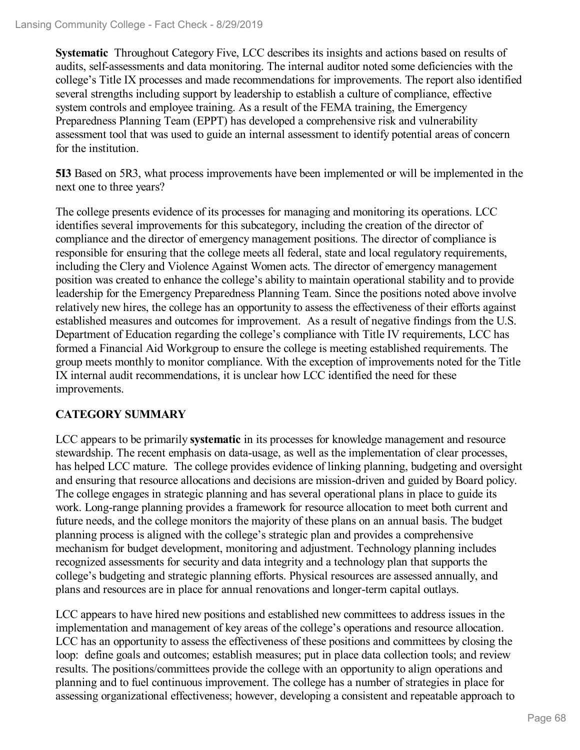**Systematic** Throughout Category Five, LCC describes its insights and actions based on results of audits, self-assessments and data monitoring. The internal auditor noted some deficiencies with the college's Title IX processes and made recommendations for improvements. The report also identified several strengths including support by leadership to establish a culture of compliance, effective system controls and employee training. As a result of the FEMA training, the Emergency Preparedness Planning Team (EPPT) has developed a comprehensive risk and vulnerability assessment tool that was used to guide an internal assessment to identify potential areas of concern for the institution.

**5I3** Based on 5R3, what process improvements have been implemented or will be implemented in the next one to three years?

The college presents evidence of its processes for managing and monitoring its operations. LCC identifies several improvements for this subcategory, including the creation of the director of compliance and the director of emergency management positions. The director of compliance is responsible for ensuring that the college meets all federal, state and local regulatory requirements, including the Clery and Violence Against Women acts. The director of emergency management position was created to enhance the college's ability to maintain operational stability and to provide leadership for the Emergency Preparedness Planning Team. Since the positions noted above involve relatively new hires, the college has an opportunity to assess the effectiveness of their efforts against established measures and outcomes for improvement. As a result of negative findings from the U.S. Department of Education regarding the college's compliance with Title IV requirements, LCC has formed a Financial Aid Workgroup to ensure the college is meeting established requirements. The group meets monthly to monitor compliance. With the exception of improvements noted for the Title IX internal audit recommendations, it is unclear how LCC identified the need for these improvements.

### **CATEGORY SUMMARY**

LCC appears to be primarily **systematic** in its processes for knowledge management and resource stewardship. The recent emphasis on data-usage, as well as the implementation of clear processes, has helped LCC mature. The college provides evidence of linking planning, budgeting and oversight and ensuring that resource allocations and decisions are mission-driven and guided by Board policy. The college engages in strategic planning and has several operational plans in place to guide its work. Long-range planning provides a framework for resource allocation to meet both current and future needs, and the college monitors the majority of these plans on an annual basis. The budget planning process is aligned with the college's strategic plan and provides a comprehensive mechanism for budget development, monitoring and adjustment. Technology planning includes recognized assessments for security and data integrity and a technology plan that supports the college's budgeting and strategic planning efforts. Physical resources are assessed annually, and plans and resources are in place for annual renovations and longer-term capital outlays.

LCC appears to have hired new positions and established new committees to address issues in the implementation and management of key areas of the college's operations and resource allocation. LCC has an opportunity to assess the effectiveness of these positions and committees by closing the loop: define goals and outcomes; establish measures; put in place data collection tools; and review results. The positions/committees provide the college with an opportunity to align operations and planning and to fuel continuous improvement. The college has a number of strategies in place for assessing organizational effectiveness; however, developing a consistent and repeatable approach to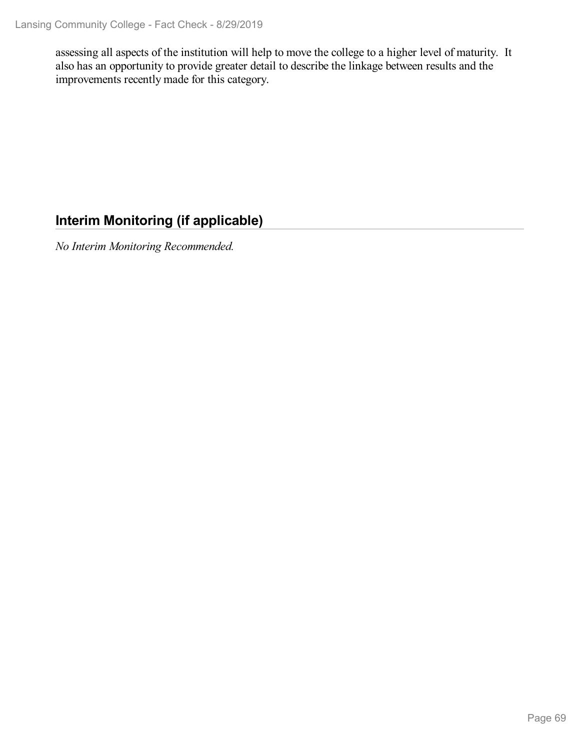assessing all aspects of the institution will help to move the college to a higher level of maturity. It also has an opportunity to provide greater detail to describe the linkage between results and the improvements recently made for this category.

## **Interim Monitoring (if applicable)**

*No Interim Monitoring Recommended.*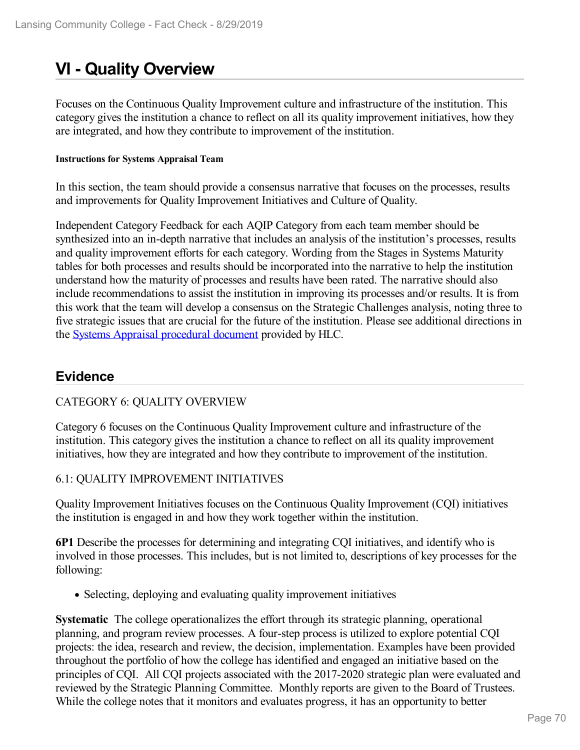# **VI - Quality Overview**

Focuses on the Continuous Quality Improvement culture and infrastructure of the institution. This category gives the institution a chance to reflect on all its quality improvement initiatives, how they are integrated, and how they contribute to improvement of the institution.

#### **Instructions for Systems Appraisal Team**

In this section, the team should provide a consensus narrative that focuses on the processes, results and improvements for Quality Improvement Initiatives and Culture of Quality.

Independent Category Feedback for each AQIP Category from each team member should be synthesized into an in-depth narrative that includes an analysis of the institution's processes, results and quality improvement efforts for each category. Wording from the Stages in Systems Maturity tables for both processes and results should be incorporated into the narrative to help the institution understand how the maturity of processes and results have been rated. The narrative should also include recommendations to assist the institution in improving its processes and/or results. It is from this work that the team will develop a consensus on the Strategic Challenges analysis, noting three to five strategic issues that are crucial for the future of the institution. Please see additional directions in the Systems Appraisal [procedural](https://www.hlcommission.org/Accreditation/aqip-portfolio.html) document provided by HLC.

## **Evidence**

### CATEGORY 6: QUALITY OVERVIEW

Category 6 focuses on the Continuous Quality Improvement culture and infrastructure of the institution. This category gives the institution a chance to reflect on all its quality improvement initiatives, how they are integrated and how they contribute to improvement of the institution.

#### 6.1: QUALITY IMPROVEMENT INITIATIVES

Quality Improvement Initiatives focuses on the Continuous Quality Improvement (CQI) initiatives the institution is engaged in and how they work together within the institution.

**6P1** Describe the processes for determining and integrating CQI initiatives, and identify who is involved in those processes. This includes, but is not limited to, descriptions of key processes for the following:

• Selecting, deploying and evaluating quality improvement initiatives

**Systematic** The college operationalizes the effort through its strategic planning, operational planning, and program review processes. A four-step process is utilized to explore potential CQI projects: the idea, research and review, the decision, implementation. Examples have been provided throughout the portfolio of how the college has identified and engaged an initiative based on the principles of CQI. All CQI projects associated with the 2017-2020 strategic plan were evaluated and reviewed by the Strategic Planning Committee. Monthly reports are given to the Board of Trustees. While the college notes that it monitors and evaluates progress, it has an opportunity to better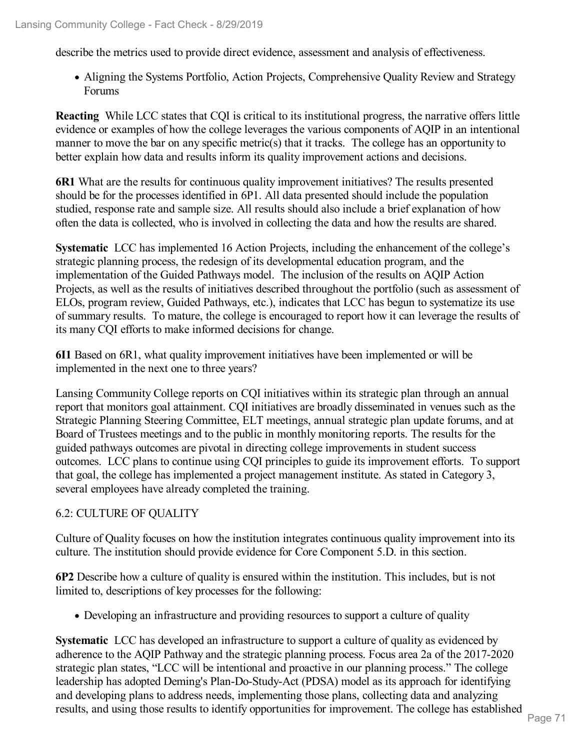describe the metrics used to provide direct evidence, assessment and analysis of effectiveness.

Aligning the Systems Portfolio, Action Projects, Comprehensive Quality Review and Strategy Forums

**Reacting** While LCC states that CQI is critical to its institutional progress, the narrative offers little evidence or examples of how the college leverages the various components of AQIP in an intentional manner to move the bar on any specific metric(s) that it tracks. The college has an opportunity to better explain how data and results inform its quality improvement actions and decisions.

**6R1** What are the results for continuous quality improvement initiatives? The results presented should be for the processes identified in 6P1. All data presented should include the population studied, response rate and sample size. All results should also include a brief explanation of how often the data is collected, who is involved in collecting the data and how the results are shared.

**Systematic** LCC has implemented 16 Action Projects, including the enhancement of the college's strategic planning process, the redesign of its developmental education program, and the implementation of the Guided Pathways model. The inclusion of the results on AQIP Action Projects, as well as the results of initiatives described throughout the portfolio (such as assessment of ELOs, program review, Guided Pathways, etc.), indicates that LCC has begun to systematize its use of summary results. To mature, the college is encouraged to report how it can leverage the results of its many CQI efforts to make informed decisions for change.

**6I1** Based on 6R1, what quality improvement initiatives have been implemented or will be implemented in the next one to three years?

Lansing Community College reports on CQI initiatives within its strategic plan through an annual report that monitors goal attainment. CQI initiatives are broadly disseminated in venues such as the Strategic Planning Steering Committee, ELT meetings, annual strategic plan update forums, and at Board of Trustees meetings and to the public in monthly monitoring reports. The results for the guided pathways outcomes are pivotal in directing college improvements in student success outcomes. LCC plans to continue using CQI principles to guide its improvement efforts. To support that goal, the college has implemented a project management institute. As stated in Category 3, several employees have already completed the training.

### 6.2: CULTURE OF QUALITY

Culture of Quality focuses on how the institution integrates continuous quality improvement into its culture. The institution should provide evidence for Core Component 5.D. in this section.

**6P2** Describe how a culture of quality is ensured within the institution. This includes, but is not limited to, descriptions of key processes for the following:

Developing an infrastructure and providing resources to support a culture of quality

**Systematic** LCC has developed an infrastructure to support a culture of quality as evidenced by adherence to the AQIP Pathway and the strategic planning process. Focus area 2a of the 2017-2020 strategic plan states, "LCC will be intentional and proactive in our planning process." The college leadership has adopted Deming's Plan-Do-Study-Act (PDSA) model as its approach for identifying and developing plans to address needs, implementing those plans, collecting data and analyzing results, and using those results to identify opportunities for improvement. The college has established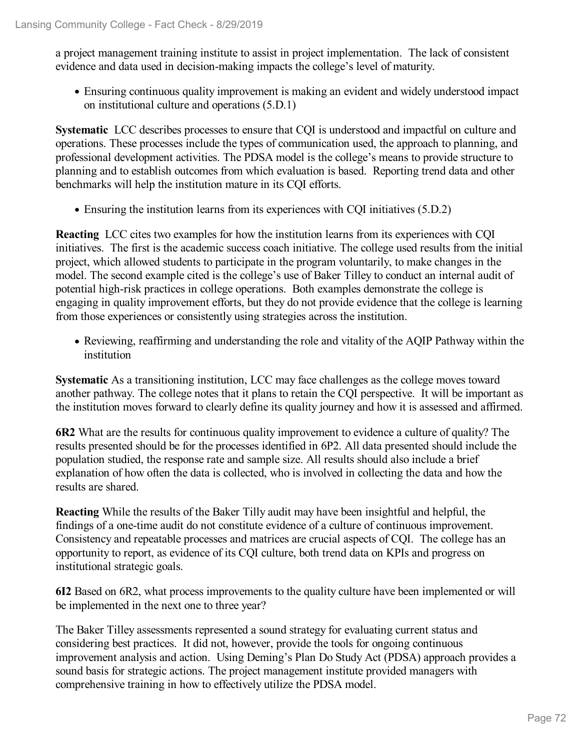a project management training institute to assist in project implementation. The lack of consistent evidence and data used in decision-making impacts the college's level of maturity.

Ensuring continuous quality improvement is making an evident and widely understood impact on institutional culture and operations (5.D.1)

**Systematic** LCC describes processes to ensure that CQI is understood and impactful on culture and operations. These processes include the types of communication used, the approach to planning, and professional development activities. The PDSA model is the college's means to provide structure to planning and to establish outcomes from which evaluation is based. Reporting trend data and other benchmarks will help the institution mature in its CQI efforts.

Ensuring the institution learns from its experiences with CQI initiatives (5.D.2)

**Reacting** LCC cites two examples for how the institution learns from its experiences with CQI initiatives. The first is the academic success coach initiative. The college used results from the initial project, which allowed students to participate in the program voluntarily, to make changes in the model. The second example cited is the college's use of Baker Tilley to conduct an internal audit of potential high-risk practices in college operations. Both examples demonstrate the college is engaging in quality improvement efforts, but they do not provide evidence that the college is learning from those experiences or consistently using strategies across the institution.

• Reviewing, reaffirming and understanding the role and vitality of the AQIP Pathway within the institution

**Systematic** As a transitioning institution, LCC may face challenges as the college moves toward another pathway. The college notes that it plans to retain the CQI perspective. It will be important as the institution moves forward to clearly define its quality journey and how it is assessed and affirmed.

**6R2** What are the results for continuous quality improvement to evidence a culture of quality? The results presented should be for the processes identified in 6P2. All data presented should include the population studied, the response rate and sample size. All results should also include a brief explanation of how often the data is collected, who is involved in collecting the data and how the results are shared.

**Reacting** While the results of the Baker Tilly audit may have been insightful and helpful, the findings of a one-time audit do not constitute evidence of a culture of continuous improvement. Consistency and repeatable processes and matrices are crucial aspects of CQI. The college has an opportunity to report, as evidence of its CQI culture, both trend data on KPIs and progress on institutional strategic goals.

**6I2** Based on 6R2, what process improvements to the quality culture have been implemented or will be implemented in the next one to three year?

The Baker Tilley assessments represented a sound strategy for evaluating current status and considering best practices. It did not, however, provide the tools for ongoing continuous improvement analysis and action. Using Deming's Plan Do Study Act (PDSA) approach provides a sound basis for strategic actions. The project management institute provided managers with comprehensive training in how to effectively utilize the PDSA model.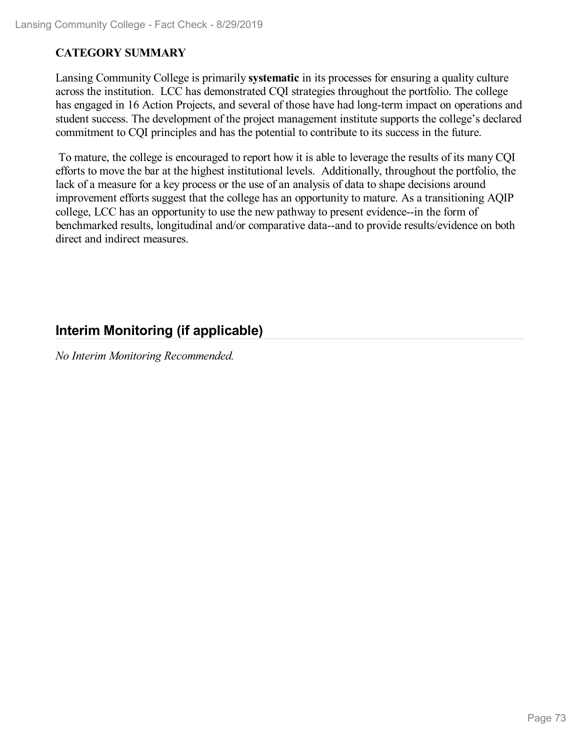#### **CATEGORY SUMMARY**

Lansing Community College is primarily **systematic** in its processes for ensuring a quality culture across the institution. LCC has demonstrated CQI strategies throughout the portfolio. The college has engaged in 16 Action Projects, and several of those have had long-term impact on operations and student success. The development of the project management institute supports the college's declared commitment to CQI principles and has the potential to contribute to its success in the future.

To mature, the college is encouraged to report how it is able to leverage the results of its many CQI efforts to move the bar at the highest institutional levels. Additionally, throughout the portfolio, the lack of a measure for a key process or the use of an analysis of data to shape decisions around improvement efforts suggest that the college has an opportunity to mature. As a transitioning AQIP college, LCC has an opportunity to use the new pathway to present evidence--in the form of benchmarked results, longitudinal and/or comparative data--and to provide results/evidence on both direct and indirect measures.

## **Interim Monitoring (if applicable)**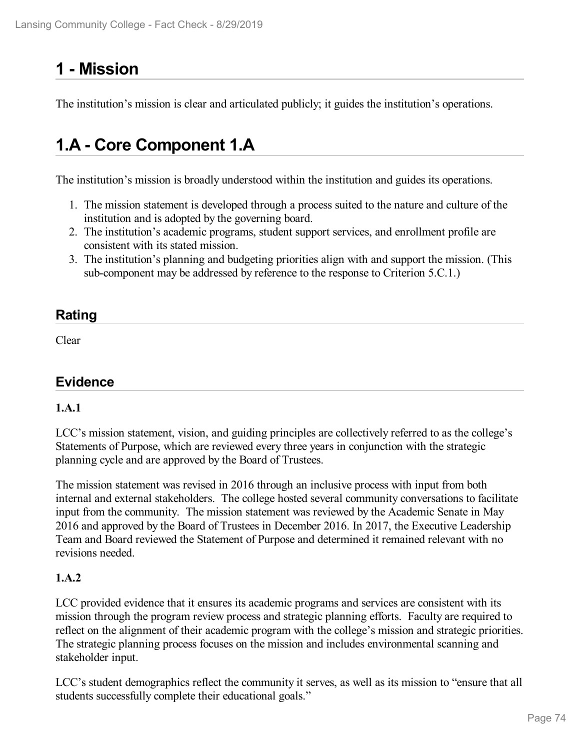# **1 -Mission**

The institution's mission is clear and articulated publicly; it guides the institution's operations.

# **1.A - Core Component 1.A**

The institution's mission is broadly understood within the institution and guides its operations.

- 1. The mission statement is developed through a process suited to the nature and culture of the institution and is adopted by the governing board.
- 2. The institution's academic programs, student support services, and enrollment profile are consistent with its stated mission.
- 3. The institution's planning and budgeting priorities align with and support the mission. (This sub-component may be addressed by reference to the response to Criterion 5.C.1.)

## **Rating**

Clear

## **Evidence**

## **1.A.1**

LCC's mission statement, vision, and guiding principles are collectively referred to as the college's Statements of Purpose, which are reviewed every three years in conjunction with the strategic planning cycle and are approved by the Board of Trustees.

The mission statement was revised in 2016 through an inclusive process with input from both internal and external stakeholders. The college hosted several community conversations to facilitate input from the community. The mission statement was reviewed by the Academic Senate in May 2016 and approved by the Board of Trustees in December 2016. In 2017, the Executive Leadership Team and Board reviewed the Statement of Purpose and determined it remained relevant with no revisions needed.

## **1.A.2**

LCC provided evidence that it ensures its academic programs and services are consistent with its mission through the program review process and strategic planning efforts. Faculty are required to reflect on the alignment of their academic program with the college's mission and strategic priorities. The strategic planning process focuses on the mission and includes environmental scanning and stakeholder input.

LCC's student demographics reflect the community it serves, as well as its mission to "ensure that all students successfully complete their educational goals."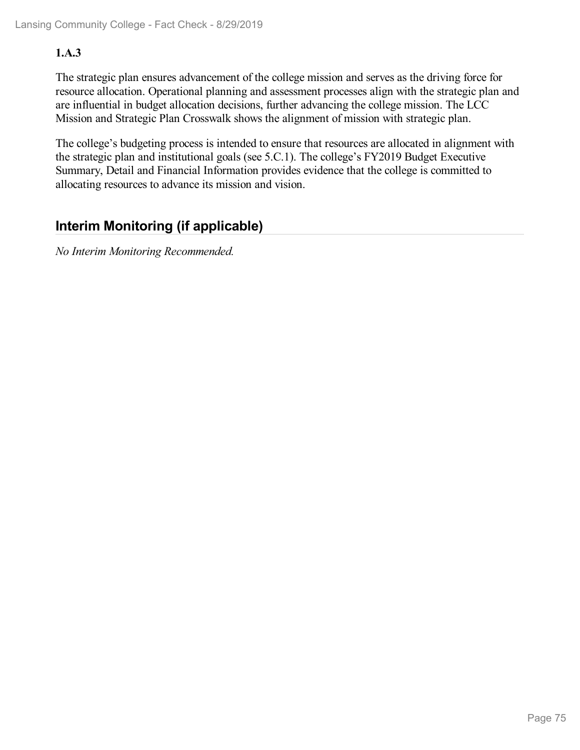### **1.A.3**

The strategic plan ensures advancement of the college mission and serves as the driving force for resource allocation. Operational planning and assessment processes align with the strategic plan and are influential in budget allocation decisions, further advancing the college mission. The LCC Mission and Strategic Plan Crosswalk shows the alignment of mission with strategic plan.

The college's budgeting process is intended to ensure that resources are allocated in alignment with the strategic plan and institutional goals (see 5.C.1). The college's FY2019 Budget Executive Summary, Detail and Financial Information provides evidence that the college is committed to allocating resources to advance its mission and vision.

## **Interim Monitoring (if applicable)**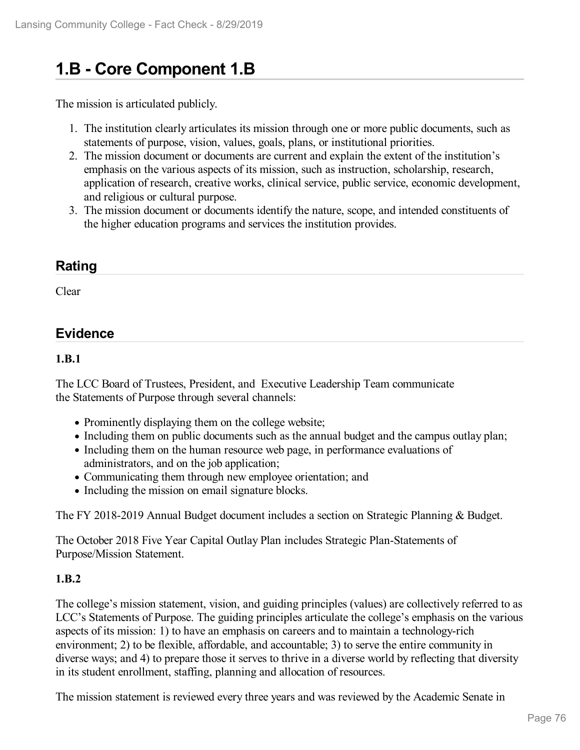# **1.B - Core Component 1.B**

The mission is articulated publicly.

- 1. The institution clearly articulates its mission through one or more public documents, such as statements of purpose, vision, values, goals, plans, or institutional priorities.
- 2. The mission document or documents are current and explain the extent of the institution's emphasis on the various aspects of its mission, such as instruction, scholarship, research, application of research, creative works, clinical service, public service, economic development, and religious or cultural purpose.
- 3. The mission document or documents identify the nature, scope, and intended constituents of the higher education programs and services the institution provides.

## **Rating**

Clear

## **Evidence**

#### **1.B.1**

The LCC Board of Trustees, President, and Executive Leadership Team communicate the Statements of Purpose through several channels:

- Prominently displaying them on the college website;
- Including them on public documents such as the annual budget and the campus outlay plan;
- Including them on the human resource web page, in performance evaluations of administrators, and on the job application;
- Communicating them through new employee orientation; and
- Including the mission on email signature blocks.

The FY 2018-2019 Annual Budget document includes a section on Strategic Planning & Budget.

The October 2018 Five Year Capital Outlay Plan includes Strategic Plan-Statements of Purpose/Mission Statement.

#### **1.B.2**

The college's mission statement, vision, and guiding principles (values) are collectively referred to as LCC's Statements of Purpose. The guiding principles articulate the college's emphasis on the various aspects of its mission: 1) to have an emphasis on careers and to maintain a technology-rich environment; 2) to be flexible, affordable, and accountable; 3) to serve the entire community in diverse ways; and 4) to prepare those it serves to thrive in a diverse world by reflecting that diversity in its student enrollment, staffing, planning and allocation of resources.

The mission statement is reviewed every three years and was reviewed by the Academic Senate in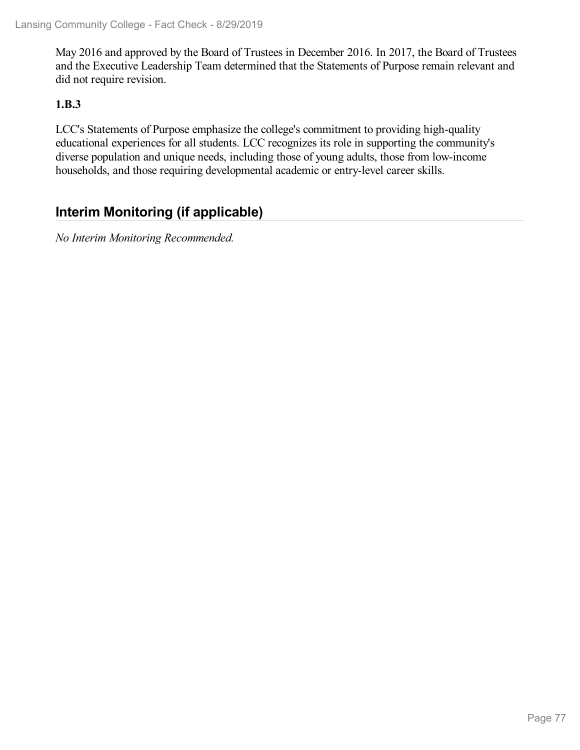May 2016 and approved by the Board of Trustees in December 2016. In 2017, the Board of Trustees and the Executive Leadership Team determined that the Statements of Purpose remain relevant and did not require revision.

#### **1.B.3**

LCC's Statements of Purpose emphasize the college's commitment to providing high-quality educational experiences for all students. LCC recognizes its role in supporting the community's diverse population and unique needs, including those of young adults, those from low-income households, and those requiring developmental academic or entry-level career skills.

## **Interim Monitoring (if applicable)**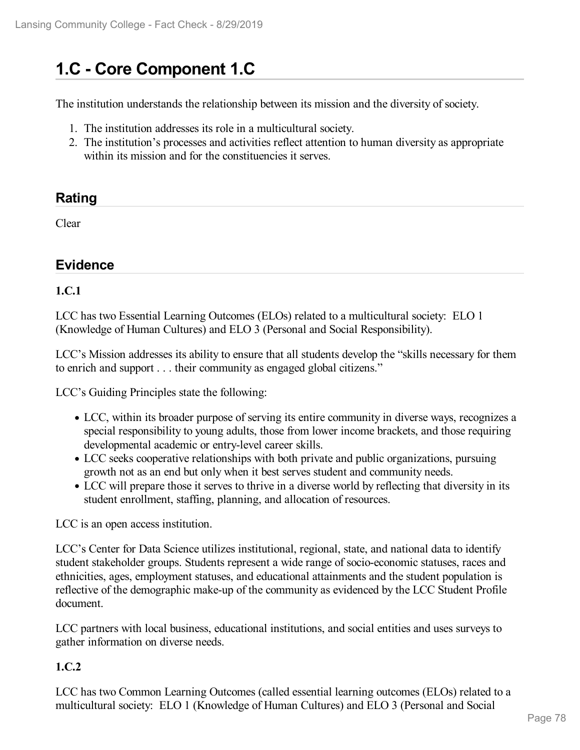# **1.C - Core Component 1.C**

The institution understands the relationship between its mission and the diversity of society.

- 1. The institution addresses its role in a multicultural society.
- 2. The institution's processes and activities reflect attention to human diversity as appropriate within its mission and for the constituencies it serves.

## **Rating**

Clear

## **Evidence**

#### **1.C.1**

LCC has two Essential Learning Outcomes (ELOs) related to a multicultural society: ELO 1 (Knowledge of Human Cultures) and ELO 3 (Personal and Social Responsibility).

LCC's Mission addresses its ability to ensure that all students develop the "skills necessary for them to enrich and support . . . their community as engaged global citizens."

LCC's Guiding Principles state the following:

- LCC, within its broader purpose of serving its entire community in diverse ways, recognizes a special responsibility to young adults, those from lower income brackets, and those requiring developmental academic or entry-level career skills.
- LCC seeks cooperative relationships with both private and public organizations, pursuing growth not as an end but only when it best serves student and community needs.
- LCC will prepare those it serves to thrive in a diverse world by reflecting that diversity in its student enrollment, staffing, planning, and allocation of resources.

LCC is an open access institution.

LCC's Center for Data Science utilizes institutional, regional, state, and national data to identify student stakeholder groups. Students represent a wide range of socio-economic statuses, races and ethnicities, ages, employment statuses, and educational attainments and the student population is reflective of the demographic make-up of the community as evidenced by the LCC Student Profile document.

LCC partners with local business, educational institutions, and social entities and uses surveys to gather information on diverse needs.

#### **1.C.2**

LCC has two Common Learning Outcomes (called essential learning outcomes (ELOs) related to a multicultural society: ELO 1 (Knowledge of Human Cultures) and ELO 3 (Personal and Social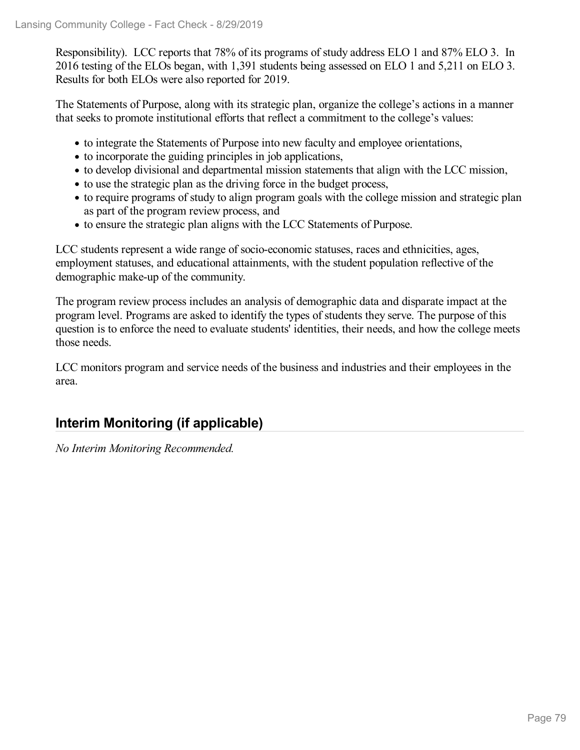Responsibility). LCC reports that 78% of its programs of study address ELO 1 and 87% ELO 3. In 2016 testing of the ELOs began, with 1,391 students being assessed on ELO 1 and 5,211 on ELO 3. Results for both ELOs were also reported for 2019.

The Statements of Purpose, along with its strategic plan, organize the college's actions in a manner that seeks to promote institutional efforts that reflect a commitment to the college's values:

- to integrate the Statements of Purpose into new faculty and employee orientations,
- to incorporate the guiding principles in job applications,
- to develop divisional and departmental mission statements that align with the LCC mission,
- to use the strategic plan as the driving force in the budget process,
- to require programs of study to align program goals with the college mission and strategic plan as part of the program review process, and
- to ensure the strategic plan aligns with the LCC Statements of Purpose.

LCC students represent a wide range of socio-economic statuses, races and ethnicities, ages, employment statuses, and educational attainments, with the student population reflective of the demographic make-up of the community.

The program review process includes an analysis of demographic data and disparate impact at the program level. Programs are asked to identify the types of students they serve. The purpose of this question is to enforce the need to evaluate students' identities, their needs, and how the college meets those needs.

LCC monitors program and service needs of the business and industries and their employees in the area.

## **Interim Monitoring (if applicable)**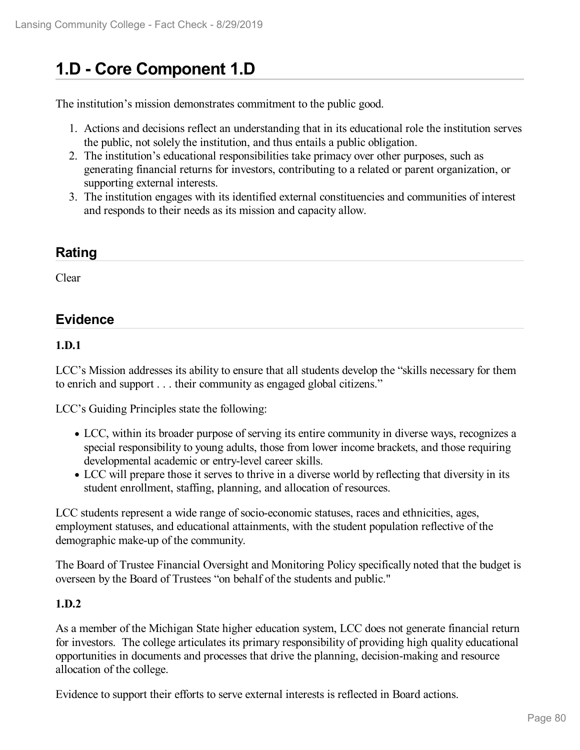# **1.D - Core Component 1.D**

The institution's mission demonstrates commitment to the public good.

- 1. Actions and decisions reflect an understanding that in its educational role the institution serves the public, not solely the institution, and thus entails a public obligation.
- 2. The institution's educational responsibilities take primacy over other purposes, such as generating financial returns for investors, contributing to a related or parent organization, or supporting external interests.
- 3. The institution engages with its identified external constituencies and communities of interest and responds to their needs as its mission and capacity allow.

# **Rating**

Clear

## **Evidence**

#### **1.D.1**

LCC's Mission addresses its ability to ensure that all students develop the "skills necessary for them to enrich and support . . . their community as engaged global citizens."

LCC's Guiding Principles state the following:

- LCC, within its broader purpose of serving its entire community in diverse ways, recognizes a special responsibility to young adults, those from lower income brackets, and those requiring developmental academic or entry-level career skills.
- LCC will prepare those it serves to thrive in a diverse world by reflecting that diversity in its student enrollment, staffing, planning, and allocation of resources.

LCC students represent a wide range of socio-economic statuses, races and ethnicities, ages, employment statuses, and educational attainments, with the student population reflective of the demographic make-up of the community.

The Board of Trustee Financial Oversight and Monitoring Policy specifically noted that the budget is overseen by the Board of Trustees "on behalf of the students and public."

#### **1.D.2**

As a member of the Michigan State higher education system, LCC does not generate financial return for investors. The college articulates its primary responsibility of providing high quality educational opportunities in documents and processes that drive the planning, decision-making and resource allocation of the college.

Evidence to support their efforts to serve external interests is reflected in Board actions.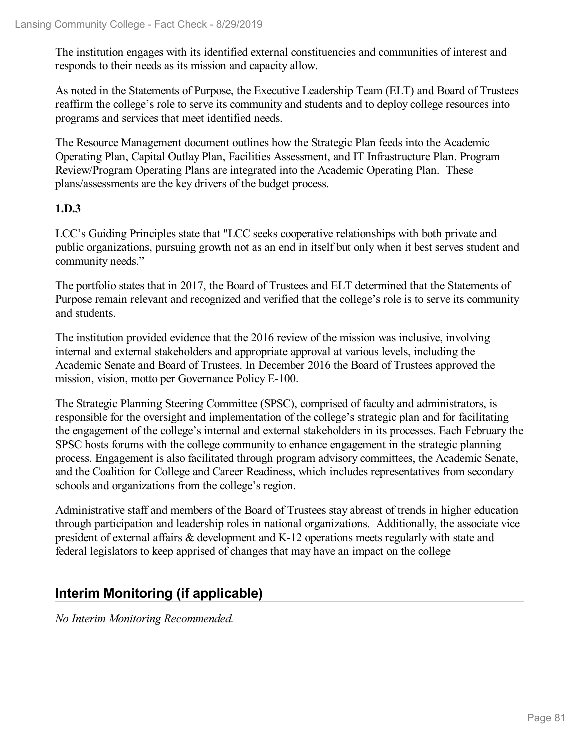The institution engages with its identified external constituencies and communities of interest and responds to their needs as its mission and capacity allow.

As noted in the Statements of Purpose, the Executive Leadership Team (ELT) and Board of Trustees reaffirm the college's role to serve its community and students and to deploy college resources into programs and services that meet identified needs.

The Resource Management document outlines how the Strategic Plan feeds into the Academic Operating Plan, Capital Outlay Plan, Facilities Assessment, and IT Infrastructure Plan. Program Review/Program Operating Plans are integrated into the Academic Operating Plan. These plans/assessments are the key drivers of the budget process.

#### **1.D.3**

LCC's Guiding Principles state that "LCC seeks cooperative relationships with both private and public organizations, pursuing growth not as an end in itself but only when it best serves student and community needs."

The portfolio states that in 2017, the Board of Trustees and ELT determined that the Statements of Purpose remain relevant and recognized and verified that the college's role is to serve its community and students.

The institution provided evidence that the 2016 review of the mission was inclusive, involving internal and external stakeholders and appropriate approval at various levels, including the Academic Senate and Board of Trustees. In December 2016 the Board of Trustees approved the mission, vision, motto per Governance Policy E-100.

The Strategic Planning Steering Committee (SPSC), comprised of faculty and administrators, is responsible for the oversight and implementation of the college's strategic plan and for facilitating the engagement of the college's internal and external stakeholders in its processes. Each February the SPSC hosts forums with the college community to enhance engagement in the strategic planning process. Engagement is also facilitated through program advisory committees, the Academic Senate, and the Coalition for College and Career Readiness, which includes representatives from secondary schools and organizations from the college's region.

Administrative staff and members of the Board of Trustees stay abreast of trends in higher education through participation and leadership roles in national organizations. Additionally, the associate vice president of external affairs & development and K-12 operations meets regularly with state and federal legislators to keep apprised of changes that may have an impact on the college

## **Interim Monitoring (if applicable)**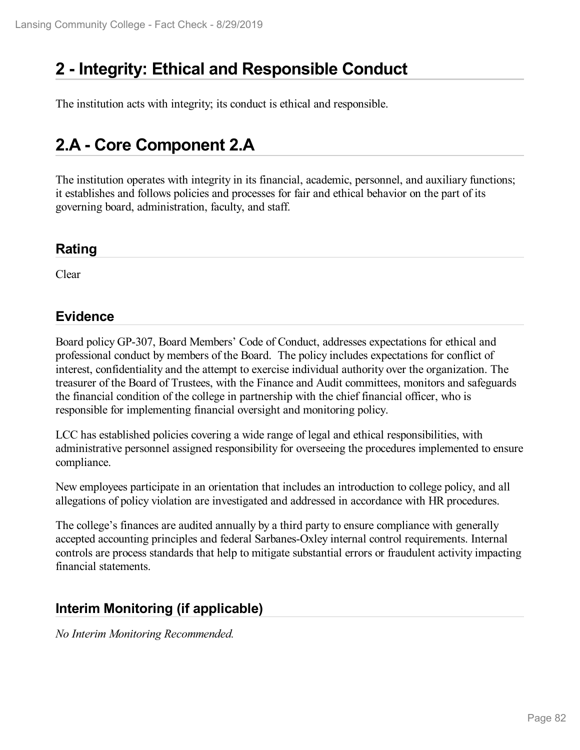## **2 -Integrity: Ethical and Responsible Conduct**

The institution acts with integrity; its conduct is ethical and responsible.

## **2.A - Core Component 2.A**

The institution operates with integrity in its financial, academic, personnel, and auxiliary functions; it establishes and follows policies and processes for fair and ethical behavior on the part of its governing board, administration, faculty, and staff.

### **Rating**

Clear

## **Evidence**

Board policy GP-307, Board Members' Code of Conduct, addresses expectations for ethical and professional conduct by members of the Board. The policy includes expectations for conflict of interest, confidentiality and the attempt to exercise individual authority over the organization. The treasurer of the Board of Trustees, with the Finance and Audit committees, monitors and safeguards the financial condition of the college in partnership with the chief financial officer, who is responsible for implementing financial oversight and monitoring policy.

LCC has established policies covering a wide range of legal and ethical responsibilities, with administrative personnel assigned responsibility for overseeing the procedures implemented to ensure compliance.

New employees participate in an orientation that includes an introduction to college policy, and all allegations of policy violation are investigated and addressed in accordance with HR procedures.

The college's finances are audited annually by a third party to ensure compliance with generally accepted accounting principles and federal Sarbanes-Oxley internal control requirements. Internal controls are process standards that help to mitigate substantial errors or fraudulent activity impacting financial statements.

## **Interim Monitoring (if applicable)**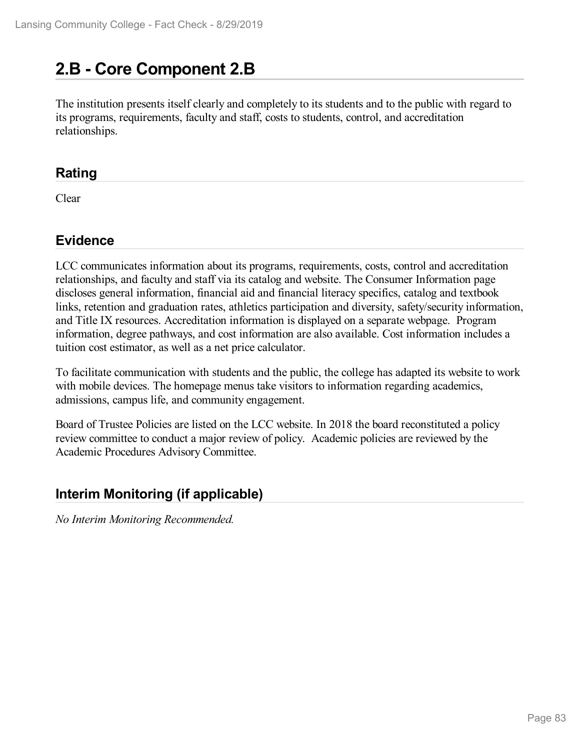# **2.B - Core Component 2.B**

The institution presents itself clearly and completely to its students and to the public with regard to its programs, requirements, faculty and staff, costs to students, control, and accreditation relationships.

## **Rating**

Clear

## **Evidence**

LCC communicates information about its programs, requirements, costs, control and accreditation relationships, and faculty and staff via its catalog and website. The Consumer Information page discloses general information, financial aid and financial literacy specifics, catalog and textbook links, retention and graduation rates, athletics participation and diversity, safety/security information, and Title IX resources. Accreditation information is displayed on a separate webpage. Program information, degree pathways, and cost information are also available. Cost information includes a tuition cost estimator, as well as a net price calculator.

To facilitate communication with students and the public, the college has adapted its website to work with mobile devices. The homepage menus take visitors to information regarding academics, admissions, campus life, and community engagement.

Board of Trustee Policies are listed on the LCC website. In 2018 the board reconstituted a policy review committee to conduct a major review of policy. Academic policies are reviewed by the Academic Procedures Advisory Committee.

## **Interim Monitoring (if applicable)**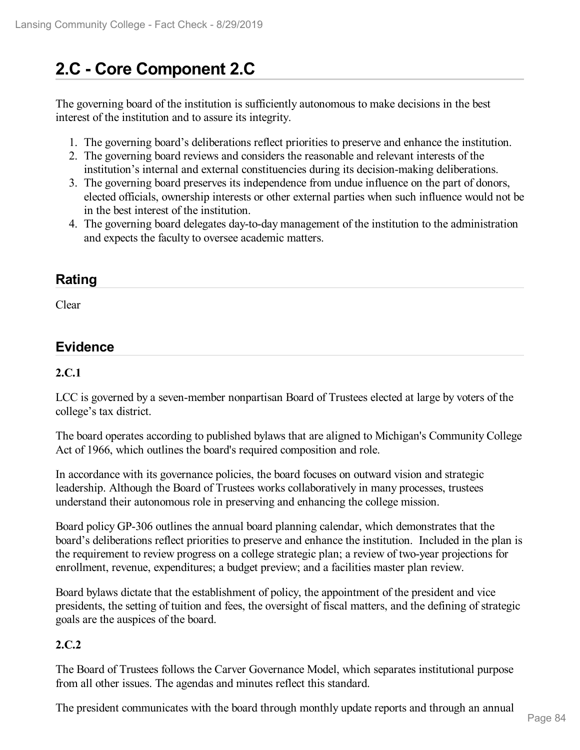# **2.C - Core Component 2.C**

The governing board of the institution is sufficiently autonomous to make decisions in the best interest of the institution and to assure its integrity.

- 1. The governing board's deliberations reflect priorities to preserve and enhance the institution.
- 2. The governing board reviews and considers the reasonable and relevant interests of the institution's internal and external constituencies during its decision-making deliberations.
- 3. The governing board preserves its independence from undue influence on the part of donors, elected officials, ownership interests or other external parties when such influence would not be in the best interest of the institution.
- 4. The governing board delegates day-to-day management of the institution to the administration and expects the faculty to oversee academic matters.

## **Rating**

Clear

## **Evidence**

#### **2.C.1**

LCC is governed by a seven-member nonpartisan Board of Trustees elected at large by voters of the college's tax district.

The board operates according to published bylaws that are aligned to Michigan's Community College Act of 1966, which outlines the board's required composition and role.

In accordance with its governance policies, the board focuses on outward vision and strategic leadership. Although the Board of Trustees works collaboratively in many processes, trustees understand their autonomous role in preserving and enhancing the college mission.

Board policy GP-306 outlines the annual board planning calendar, which demonstrates that the board's deliberations reflect priorities to preserve and enhance the institution. Included in the plan is the requirement to review progress on a college strategic plan; a review of two-year projections for enrollment, revenue, expenditures; a budget preview; and a facilities master plan review.

Board bylaws dictate that the establishment of policy, the appointment of the president and vice presidents, the setting of tuition and fees, the oversight of fiscal matters, and the defining of strategic goals are the auspices of the board.

#### **2.C.2**

The Board of Trustees follows the Carver Governance Model, which separates institutional purpose from all other issues. The agendas and minutes reflect this standard.

The president communicates with the board through monthly update reports and through an annual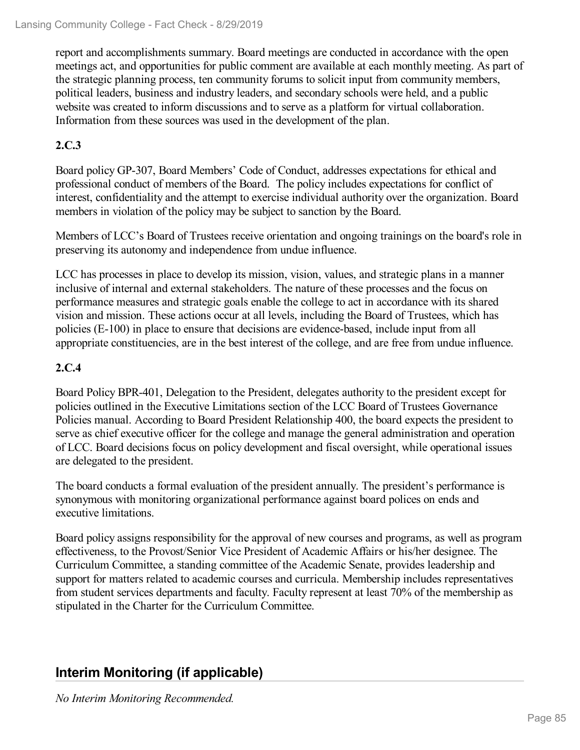report and accomplishments summary. Board meetings are conducted in accordance with the open meetings act, and opportunities for public comment are available at each monthly meeting. As part of the strategic planning process, ten community forums to solicit input from community members, political leaders, business and industry leaders, and secondary schools were held, and a public website was created to inform discussions and to serve as a platform for virtual collaboration. Information from these sources was used in the development of the plan.

### **2.C.3**

Board policy GP-307, Board Members' Code of Conduct, addresses expectations for ethical and professional conduct of members of the Board. The policy includes expectations for conflict of interest, confidentiality and the attempt to exercise individual authority over the organization. Board members in violation of the policy may be subject to sanction by the Board.

Members of LCC's Board of Trustees receive orientation and ongoing trainings on the board's role in preserving its autonomy and independence from undue influence.

LCC has processes in place to develop its mission, vision, values, and strategic plans in a manner inclusive of internal and external stakeholders. The nature of these processes and the focus on performance measures and strategic goals enable the college to act in accordance with its shared vision and mission. These actions occur at all levels, including the Board of Trustees, which has policies (E-100) in place to ensure that decisions are evidence-based, include input from all appropriate constituencies, are in the best interest of the college, and are free from undue influence.

### **2.C.4**

Board Policy BPR-401, Delegation to the President, delegates authority to the president except for policies outlined in the Executive Limitations section of the LCC Board of Trustees Governance Policies manual. According to Board President Relationship 400, the board expects the president to serve as chief executive officer for the college and manage the general administration and operation of LCC. Board decisions focus on policy development and fiscal oversight, while operational issues are delegated to the president.

The board conducts a formal evaluation of the president annually. The president's performance is synonymous with monitoring organizational performance against board polices on ends and executive limitations.

Board policy assigns responsibility for the approval of new courses and programs, as well as program effectiveness, to the Provost/Senior Vice President of Academic Affairs or his/her designee. The Curriculum Committee, a standing committee of the Academic Senate, provides leadership and support for matters related to academic courses and curricula. Membership includes representatives from student services departments and faculty. Faculty represent at least 70% of the membership as stipulated in the Charter for the Curriculum Committee.

## **Interim Monitoring (if applicable)**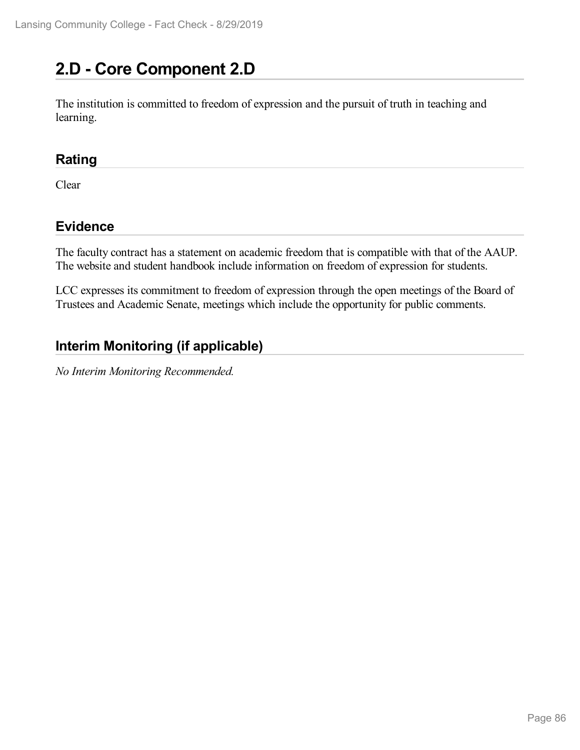# **2.D - Core Component 2.D**

The institution is committed to freedom of expression and the pursuit of truth in teaching and learning.

## **Rating**

Clear

## **Evidence**

The faculty contract has a statement on academic freedom that is compatible with that of the AAUP. The website and student handbook include information on freedom of expression for students.

LCC expresses its commitment to freedom of expression through the open meetings of the Board of Trustees and Academic Senate, meetings which include the opportunity for public comments.

## **Interim Monitoring (if applicable)**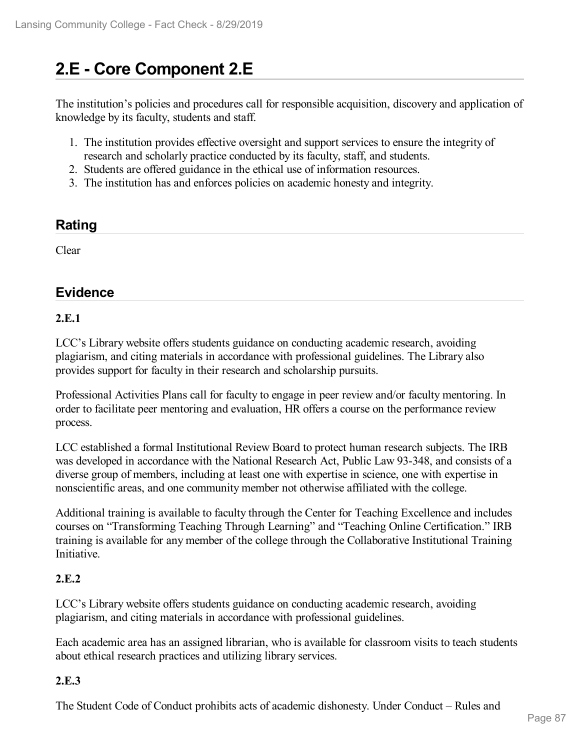# **2.E - Core Component 2.E**

The institution's policies and procedures call for responsible acquisition, discovery and application of knowledge by its faculty, students and staff.

- 1. The institution provides effective oversight and support services to ensure the integrity of research and scholarly practice conducted by its faculty, staff, and students.
- 2. Students are offered guidance in the ethical use of information resources.
- 3. The institution has and enforces policies on academic honesty and integrity.

## **Rating**

Clear

## **Evidence**

#### **2.E.1**

LCC's Library website offers students guidance on conducting academic research, avoiding plagiarism, and citing materials in accordance with professional guidelines. The Library also provides support for faculty in their research and scholarship pursuits.

Professional Activities Plans call for faculty to engage in peer review and/or faculty mentoring. In order to facilitate peer mentoring and evaluation, HR offers a course on the performance review process.

LCC established a formal Institutional Review Board to protect human research subjects. The IRB was developed in accordance with the National Research Act, Public Law 93-348, and consists of a diverse group of members, including at least one with expertise in science, one with expertise in nonscientific areas, and one community member not otherwise affiliated with the college.

Additional training is available to faculty through the Center for Teaching Excellence and includes courses on "Transforming Teaching Through Learning" and "Teaching Online Certification." IRB training is available for any member of the college through the Collaborative Institutional Training Initiative.

#### **2.E.2**

LCC's Library website offers students guidance on conducting academic research, avoiding plagiarism, and citing materials in accordance with professional guidelines.

Each academic area has an assigned librarian, who is available for classroom visits to teach students about ethical research practices and utilizing library services.

#### **2.E.3**

The Student Code of Conduct prohibits acts of academic dishonesty. Under Conduct – Rules and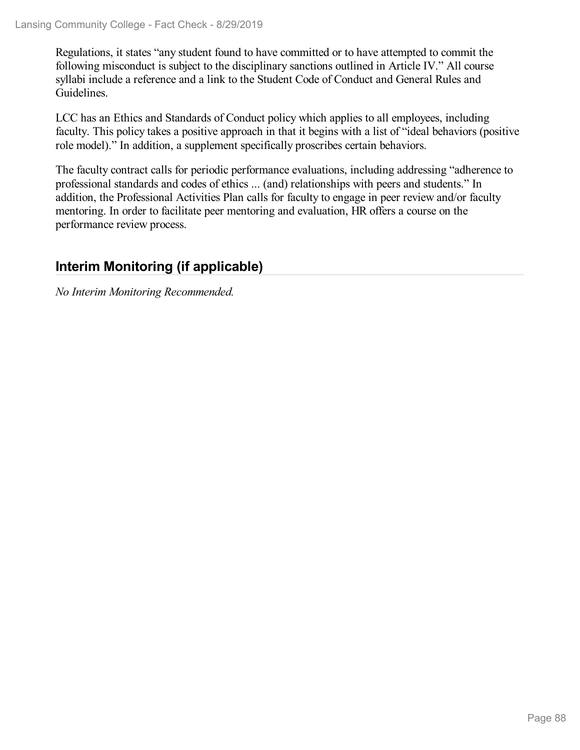Regulations, it states "any student found to have committed or to have attempted to commit the following misconduct is subject to the disciplinary sanctions outlined in Article IV." All course syllabi include a reference and a link to the Student Code of Conduct and General Rules and Guidelines.

LCC has an Ethics and Standards of Conduct policy which applies to all employees, including faculty. This policy takes a positive approach in that it begins with a list of "ideal behaviors (positive role model)." In addition, a supplement specifically proscribes certain behaviors.

The faculty contract calls for periodic performance evaluations, including addressing "adherence to professional standards and codes of ethics ... (and) relationships with peers and students." In addition, the Professional Activities Plan calls for faculty to engage in peer review and/or faculty mentoring. In order to facilitate peer mentoring and evaluation, HR offers a course on the performance review process.

## **Interim Monitoring (if applicable)**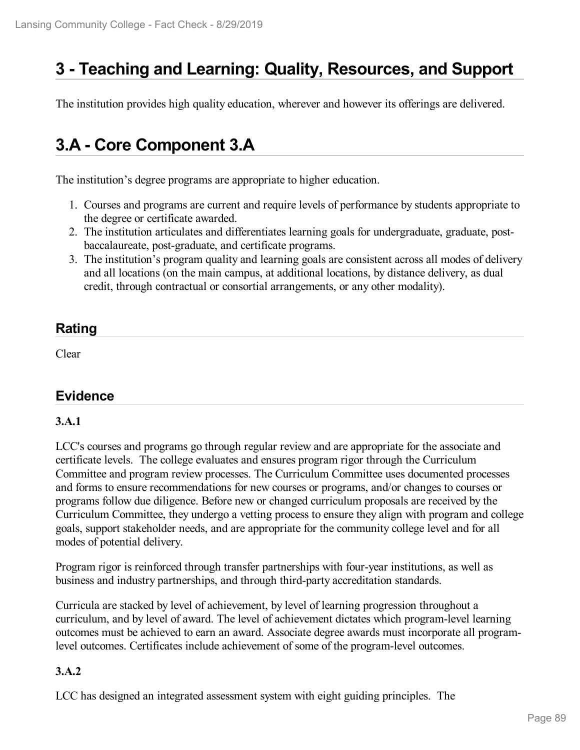## **3 -Teaching and Learning: Quality, Resources, and Support**

The institution provides high quality education, wherever and however its offerings are delivered.

## **3.A - Core Component 3.A**

The institution's degree programs are appropriate to higher education.

- 1. Courses and programs are current and require levels of performance by students appropriate to the degree or certificate awarded.
- 2. The institution articulates and differentiates learning goals for undergraduate, graduate, post baccalaureate, post-graduate, and certificate programs.
- 3. The institution's program quality and learning goals are consistent across all modes of delivery and all locations (on the main campus, at additional locations, by distance delivery, as dual credit, through contractual or consortial arrangements, or any other modality).

## **Rating**

Clear

## **Evidence**

#### **3.A.1**

LCC's courses and programs go through regular review and are appropriate for the associate and certificate levels. The college evaluates and ensures program rigor through the Curriculum Committee and program review processes. The Curriculum Committee uses documented processes and forms to ensure recommendations for new courses or programs, and/or changes to courses or programs follow due diligence. Before new orchanged curriculum proposals are received by the Curriculum Committee, they undergo a vetting process to ensure they align with program and college goals, support stakeholder needs, and are appropriate for the community college level and for all modes of potential delivery.

Program rigor is reinforced through transfer partnerships with four-year institutions, as well as business and industry partnerships, and through third-party accreditation standards.

Curricula are stacked by level of achievement, by level of learning progression throughout a curriculum, and by level of award. The level of achievement dictates which program-level learning outcomes must be achieved to earn an award. Associate degree awards must incorporate all programlevel outcomes. Certificates include achievement of some of the program-level outcomes.

#### **3.A.2**

LCC has designed an integrated assessment system with eight guiding principles. The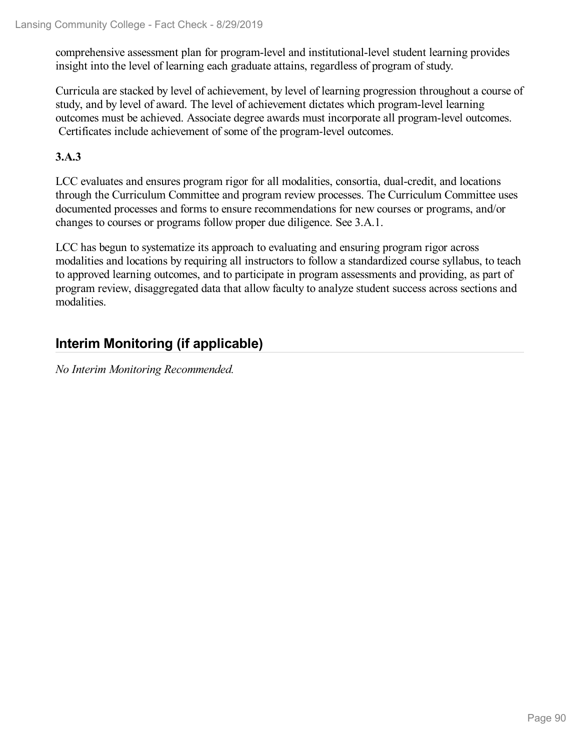comprehensive assessment plan for program-level and institutional-level student learning provides insight into the level of learning each graduate attains, regardless of program of study.

Curricula are stacked by level of achievement, by level of learning progression throughout a course of study, and by level of award. The level of achievement dictates which program-level learning outcomes must be achieved. Associate degree awards must incorporate all program-level outcomes. Certificates include achievement of some of the program-level outcomes.

#### **3.A.3**

LCC evaluates and ensures program rigor for all modalities, consortia, dual-credit, and locations through the Curriculum Committee and program review processes. The Curriculum Committee uses documented processes and forms to ensure recommendations for new courses or programs, and/or changes to courses or programs follow proper due diligence. See 3.A.1.

LCC has begun to systematize its approach to evaluating and ensuring program rigor across modalities and locations by requiring all instructors to follow a standardized course syllabus, to teach to approved learning outcomes, and to participate in program assessments and providing, as part of program review, disaggregated data that allow faculty to analyze student success across sections and modalities.

## **Interim Monitoring (if applicable)**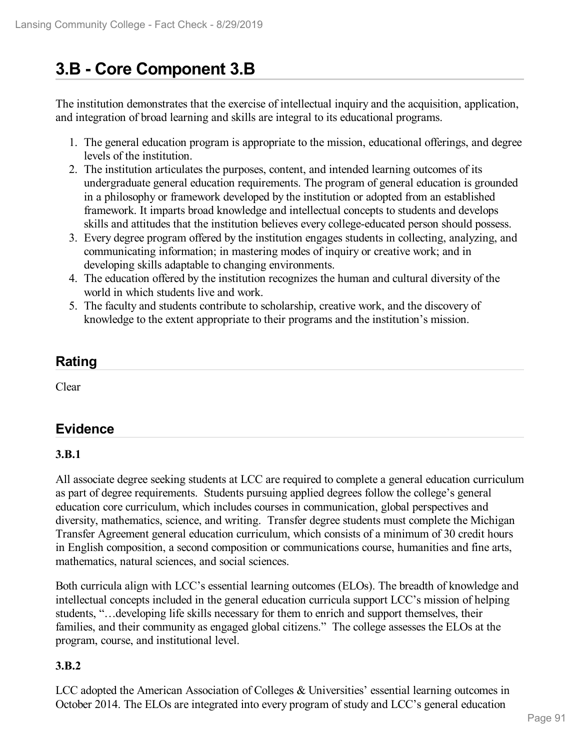# **3.B - Core Component 3.B**

The institution demonstrates that the exercise of intellectual inquiry and the acquisition, application, and integration of broad learning and skills are integral to its educational programs.

- 1. The general education program is appropriate to the mission, educational offerings, and degree levels of the institution.
- 2. The institution articulates the purposes, content, and intended learning outcomes of its undergraduate general education requirements. The program of general education is grounded in a philosophy or framework developed by the institution or adopted from an established framework. It imparts broad knowledge and intellectual concepts to students and develops skills and attitudes that the institution believes every college-educated person should possess.
- 3. Every degree program offered by the institution engages students in collecting, analyzing, and communicating information; in mastering modes of inquiry or creative work; and in developing skills adaptable to changing environments.
- 4. The education offered by the institution recognizes the human and cultural diversity of the world in which students live and work.
- 5. The faculty and students contribute to scholarship, creative work, and the discovery of knowledge to the extent appropriate to their programs and the institution's mission.

## **Rating**

Clear

## **Evidence**

## **3.B.1**

All associate degree seeking students at LCC are required to complete a general education curriculum as part of degree requirements. Students pursuing applied degrees follow the college's general education core curriculum, which includes courses in communication, global perspectives and diversity, mathematics, science, and writing. Transfer degree students must complete the Michigan Transfer Agreement general education curriculum, which consists of a minimum of 30 credit hours in English composition, a second composition or communications course, humanities and fine arts, mathematics, natural sciences, and social sciences.

Both curricula align with LCC's essential learning outcomes (ELOs). The breadth of knowledge and intellectual concepts included in the general education curricula support LCC's mission of helping students, "…developing life skills necessary for them to enrich and support themselves, their families, and their community as engaged global citizens." The college assesses the ELOs at the program, course, and institutional level.

#### **3.B.2**

LCC adopted the American Association of Colleges & Universities' essential learning outcomes in October 2014. The ELOs are integrated into every program of study and LCC's general education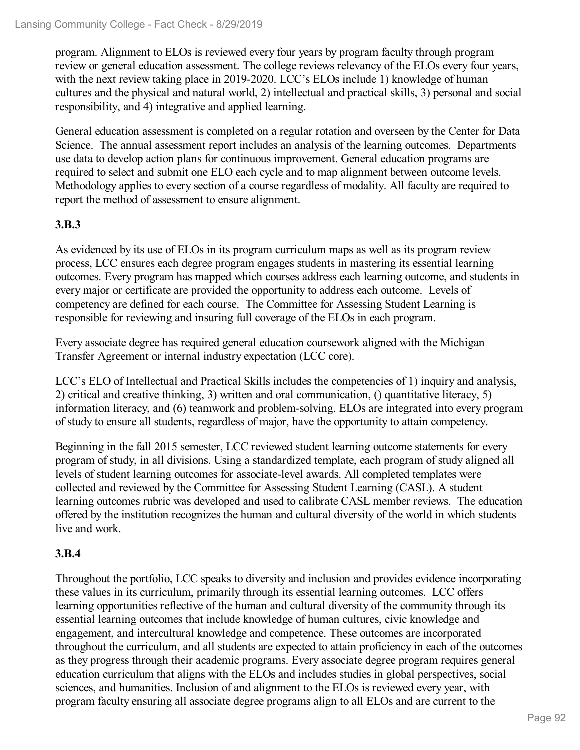program. Alignment to ELOs is reviewed every four years by program faculty through program review or general education assessment. The college reviews relevancy of the ELOs every four years, with the next review taking place in 2019-2020. LCC's ELOs include 1) knowledge of human cultures and the physical and natural world, 2) intellectual and practical skills, 3) personal and social responsibility, and 4) integrative and applied learning.

General education assessment is completed on a regular rotation and overseen by the Center for Data Science. The annual assessment report includes an analysis of the learning outcomes. Departments use data to develop action plans for continuous improvement. General education programs are required to select and submit one ELO each cycle and to map alignment between outcome levels. Methodology applies to every section of a course regardless of modality. All faculty are required to report the method of assessment to ensure alignment.

### **3.B.3**

As evidenced by its use of ELOs in its program curriculum maps as well as its program review process, LCC ensures each degree program engages students in mastering its essential learning outcomes. Every program has mapped which courses address each learning outcome, and students in every major or certificate are provided the opportunity to address each outcome. Levels of competency are defined for each course. The Committee for Assessing Student Learning is responsible for reviewing and insuring full coverage of the ELOs in each program.

Every associate degree has required general education coursework aligned with the Michigan Transfer Agreement or internal industry expectation (LCC core).

LCC's ELO of Intellectual and Practical Skills includes the competencies of 1) inquiry and analysis, 2) critical and creative thinking, 3) written and oral communication, () quantitative literacy, 5) information literacy, and (6) teamwork and problem-solving. ELOs are integrated into every program of study to ensure all students, regardless of major, have the opportunity to attain competency.

Beginning in the fall 2015 semester, LCC reviewed student learning outcome statements for every program of study, in all divisions. Using a standardized template, each program of study aligned all levels of student learning outcomes for associate-level awards. All completed templates were collected and reviewed by the Committee for Assessing Student Learning (CASL). A student learning outcomes rubric was developed and used to calibrate CASL member reviews. The education offered by the institution recognizes the human and cultural diversity of the world in which students live and work.

#### **3.B.4**

Throughout the portfolio, LCC speaks to diversity and inclusion and provides evidence incorporating these values in its curriculum, primarily through its essential learning outcomes. LCC offers learning opportunities reflective of the human and cultural diversity of the community through its essential learning outcomes that include knowledge of human cultures, civic knowledge and engagement, and intercultural knowledge and competence. These outcomes are incorporated throughout the curriculum, and all students are expected to attain proficiency in each of the outcomes as they progress through their academic programs. Every associate degree program requires general education curriculum that aligns with the ELOs and includes studies in global perspectives, social sciences, and humanities. Inclusion of and alignment to the ELOs is reviewed every year, with program faculty ensuring all associate degree programs align to all ELOs and are current to the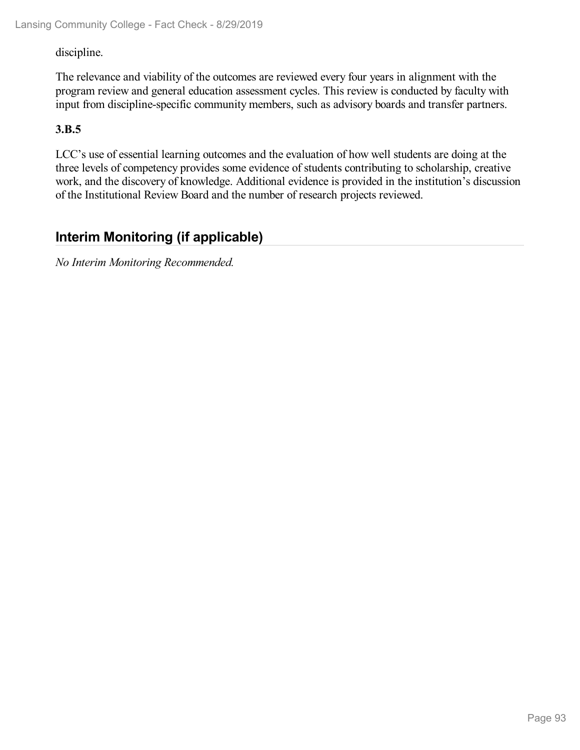#### discipline.

The relevance and viability of the outcomes are reviewed every four years in alignment with the program review and general education assessment cycles. This review is conducted by faculty with input from discipline-specific community members, such as advisory boards and transfer partners.

#### **3.B.5**

LCC's use of essential learning outcomes and the evaluation of how well students are doing at the three levels of competency provides some evidence of students contributing to scholarship, creative work, and the discovery of knowledge. Additional evidence is provided in the institution's discussion of the Institutional Review Board and the number of research projects reviewed.

## **Interim Monitoring (if applicable)**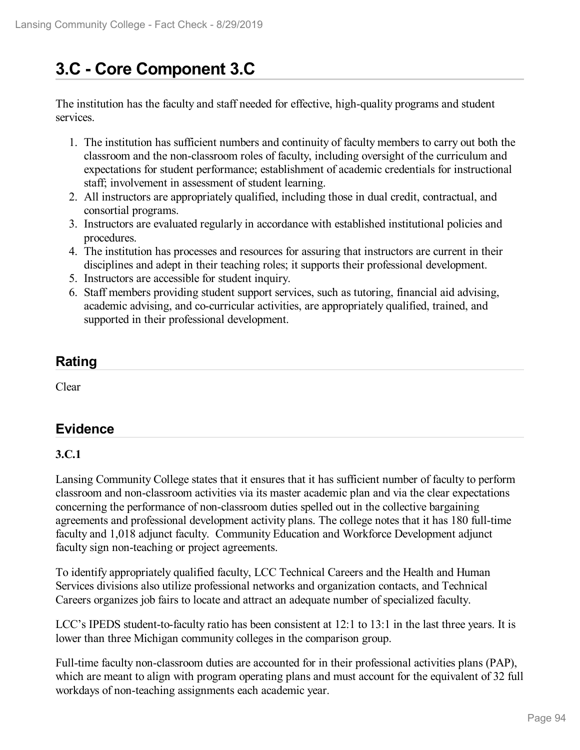# **3.C - Core Component 3.C**

The institution has the faculty and staff needed for effective, high-quality programs and student services.

- 1. The institution has sufficient numbers and continuity of faculty members to carry out both the classroom and the non-classroom roles of faculty, including oversight of the curriculum and expectations for student performance; establishment of academic credentials for instructional staff; involvement in assessment of student learning.
- 2. All instructors are appropriately qualified, including those in dual credit, contractual, and consortial programs.
- 3. Instructors are evaluated regularly in accordance with established institutional policies and procedures.
- 4. The institution has processes and resources for assuring that instructors are current in their disciplines and adept in their teaching roles; it supports their professional development.
- 5. Instructors are accessible for student inquiry.
- 6. Staff members providing student support services, such as tutoring, financial aid advising, academic advising, and co-curricular activities, are appropriately qualified, trained, and supported in their professional development.

## **Rating**

Clear

## **Evidence**

## **3.C.1**

Lansing Community College states that it ensures that it has sufficient number of faculty to perform classroom and non-classroom activities via its master academic plan and via the clear expectations concerning the performance of non-classroom duties spelled out in the collective bargaining agreements and professional development activity plans. The college notes that it has 180 full-time faculty and 1,018 adjunct faculty. Community Education and Workforce Development adjunct faculty sign non-teaching or project agreements.

To identify appropriately qualified faculty, LCC Technical Careers and the Health and Human Services divisions also utilize professional networks and organization contacts, and Technical Careers organizes job fairs to locate and attract an adequate number of specialized faculty.

LCC's IPEDS student-to-faculty ratio has been consistent at 12:1 to 13:1 in the last three years. It is lower than three Michigan community colleges in the comparison group.

Full-time faculty non-classroom duties are accounted for in their professional activities plans (PAP), which are meant to align with program operating plans and must account for the equivalent of 32 full workdays of non-teaching assignments each academic year.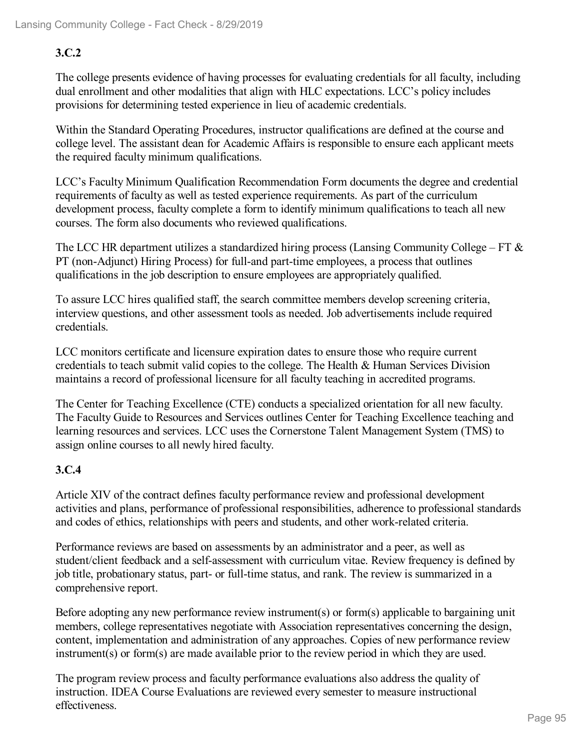## **3.C.2**

The college presents evidence of having processes for evaluating credentials for all faculty, including dual enrollment and other modalities that align with HLC expectations. LCC's policy includes provisions for determining tested experience in lieu of academic credentials.

Within the Standard Operating Procedures, instructor qualifications are defined at the course and college level. The assistant dean for Academic Affairs is responsible to ensure each applicant meets the required faculty minimum qualifications.

LCC's Faculty Minimum Qualification Recommendation Form documents the degree and credential requirements of faculty as well as tested experience requirements. As part of the curriculum development process, faculty complete a form to identify minimum qualifications to teach all new courses. The form also documents who reviewed qualifications.

The LCC HR department utilizes a standardized hiring process (Lansing Community College – FT  $\&$ PT (non‐Adjunct) Hiring Process) for full-and part-time employees, a process that outlines qualifications in the job description to ensure employees are appropriately qualified.

To assure LCC hires qualified staff, the search committee members develop screening criteria, interview questions, and other assessment tools as needed. Job advertisements include required credentials.

LCC monitors certificate and licensure expiration dates to ensure those who require current credentials to teach submit valid copies to the college. The Health & Human Services Division maintains a record of professional licensure for all faculty teaching in accredited programs.

The Center for Teaching Excellence (CTE) conducts a specialized orientation for all new faculty. The Faculty Guide to Resources and Services outlines Center for Teaching Excellence teaching and learning resources and services. LCC uses the Cornerstone Talent Management System (TMS) to assign online courses to all newly hired faculty.

## **3.C.4**

Article XIV of the contract defines faculty performance review and professional development activities and plans, performance of professional responsibilities, adherence to professional standards and codes of ethics, relationships with peers and students, and other work-related criteria.

Performance reviews are based on assessments by an administrator and a peer, as well as student/client feedback and a self-assessment with curriculum vitae. Review frequency is defined by job title, probationary status, part- or full-time status, and rank. The review is summarized in a comprehensive report.

Before adopting any new performance review instrument(s) or form(s) applicable to bargaining unit members, college representatives negotiate with Association representatives concerning the design, content, implementation and administration of any approaches. Copies of new performance review instrument(s) or form(s) are made available prior to the review period in which they are used.

The program review process and faculty performance evaluations also address the quality of instruction. IDEA Course Evaluations are reviewed every semester to measure instructional effectiveness.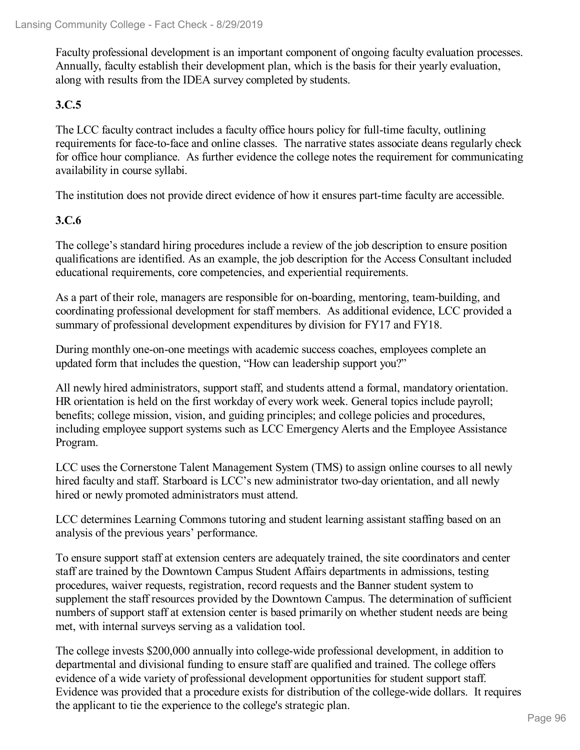Faculty professional development is an important component of ongoing faculty evaluation processes. Annually, faculty establish their development plan, which is the basis for their yearly evaluation, along with results from the IDEA survey completed by students.

### **3.C.5**

The LCC faculty contract includes a faculty office hours policy for full-time faculty, outlining requirements for face-to-face and online classes. The narrative states associate deans regularly check for office hour compliance. As further evidence the college notes the requirement for communicating availability in course syllabi.

The institution does not provide direct evidence of how it ensures part-time faculty are accessible.

#### **3.C.6**

The college's standard hiring procedures include a review of the job description to ensure position qualifications are identified. As an example, the job description for the Access Consultant included educational requirements, core competencies, and experiential requirements.

As a part of their role, managers are responsible for on-boarding, mentoring, team-building, and coordinating professional development for staff members. As additional evidence, LCC provided a summary of professional development expenditures by division for FY17 and FY18.

During monthly one-on-one meetings with academic success coaches, employees complete an updated form that includes the question, "How can leadership support you?"

All newly hired administrators, support staff, and students attend a formal, mandatory orientation. HR orientation is held on the first workday of every work week. General topics include payroll; benefits; college mission, vision, and guiding principles; and college policies and procedures, including employee support systems such as LCC Emergency Alerts and the Employee Assistance Program.

LCC uses the Cornerstone Talent Management System (TMS) to assign online courses to all newly hired faculty and staff. Starboard is LCC's new administrator two-day orientation, and all newly hired or newly promoted administrators must attend.

LCC determines Learning Commons tutoring and student learning assistant staffing based on an analysis of the previous years' performance.

To ensure support staff at extension centers are adequately trained, the site coordinators and center staff are trained by the Downtown Campus Student Affairs departments in admissions, testing procedures, waiver requests, registration, record requests and the Banner student system to supplement the staff resources provided by the Downtown Campus. The determination of sufficient numbers of support staff at extension center is based primarily on whether student needs are being met, with internal surveys serving as a validation tool.

The college invests \$200,000 annually into college-wide professional development, in addition to departmental and divisional funding to ensure staff are qualified and trained. The college offers evidence of a wide variety of professional development opportunities for student support staff. Evidence was provided that a procedure exists for distribution of the college-wide dollars. It requires the applicant to tie the experience to the college's strategic plan.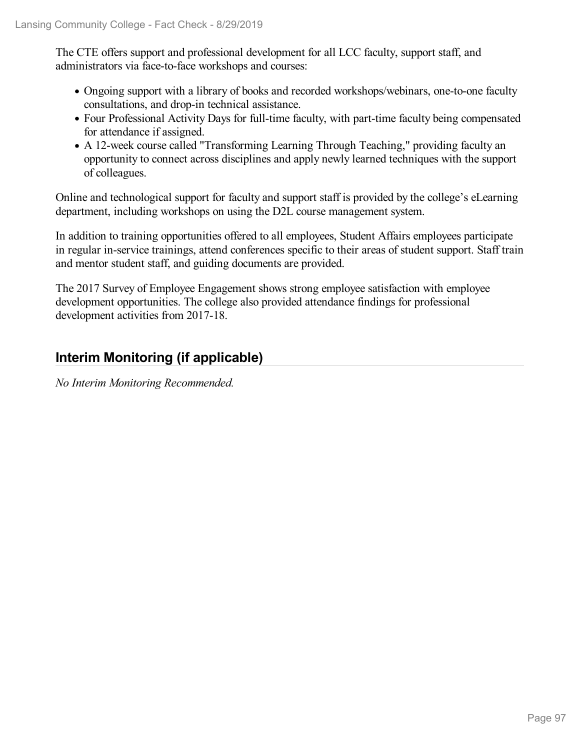The CTE offers support and professional development for all LCC faculty, support staff, and administrators via face-to-face workshops and courses:

- Ongoing support with a library of books and recorded workshops/webinars, one-to-one faculty consultations, and drop-in technical assistance.
- Four Professional Activity Days for full-time faculty, with part-time faculty being compensated for attendance if assigned.
- A 12-week course called "Transforming Learning Through Teaching," providing faculty an opportunity to connect across disciplines and apply newly learned techniques with the support of colleagues.

Online and technological support for faculty and support staff is provided by the college's eLearning department, including workshops on using the D2L course management system.

In addition to training opportunities offered to all employees, Student Affairs employees participate in regular in-service trainings, attend conferences specific to their areas of student support. Staff train and mentor student staff, and guiding documents are provided.

The 2017 Survey of Employee Engagement shows strong employee satisfaction with employee development opportunities. The college also provided attendance findings for professional development activities from 2017-18.

## **Interim Monitoring (if applicable)**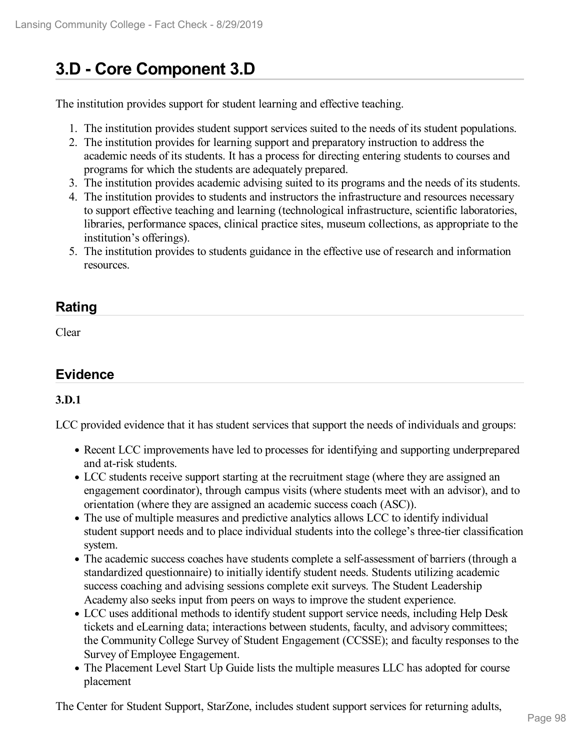# **3.D - Core Component 3.D**

The institution provides support for student learning and effective teaching.

- 1. The institution provides student support services suited to the needs of its student populations.
- 2. The institution provides for learning support and preparatory instruction to address the academic needs of its students. It has a process for directing entering students to courses and programs for which the students are adequately prepared.
- 3. The institution provides academic advising suited to its programs and the needs of its students.
- 4. The institution provides to students and instructors the infrastructure and resources necessary to support effective teaching and learning (technological infrastructure, scientific laboratories, libraries, performance spaces, clinical practice sites, museum collections, as appropriate to the institution's offerings).
- 5. The institution provides to students guidance in the effective use of research and information resources.

## **Rating**

Clear

## **Evidence**

#### **3.D.1**

LCC provided evidence that it has student services that support the needs of individuals and groups:

- Recent LCC improvements have led to processes for identifying and supporting underprepared and at-risk students.
- LCC students receive support starting at the recruitment stage (where they are assigned an engagement coordinator), through campus visits (where students meet with an advisor), and to orientation (where they are assigned an academic success coach (ASC)).
- The use of multiple measures and predictive analytics allows LCC to identify individual student support needs and to place individual students into the college's three-tier classification system.
- The academic success coaches have students complete a self-assessment of barriers (through a standardized questionnaire) to initially identify student needs. Students utilizing academic success coaching and advising sessions complete exit surveys. The Student Leadership Academy also seeks input from peers on ways to improve the student experience.
- LCC uses additional methods to identify student support service needs, including Help Desk tickets and eLearning data; interactions between students, faculty, and advisory committees; the Community College Survey of Student Engagement (CCSSE); and faculty responses to the Survey of Employee Engagement.
- The Placement Level Start Up Guide lists the multiple measures LLC has adopted for course placement

The Center for Student Support, StarZone, includes student support services for returning adults,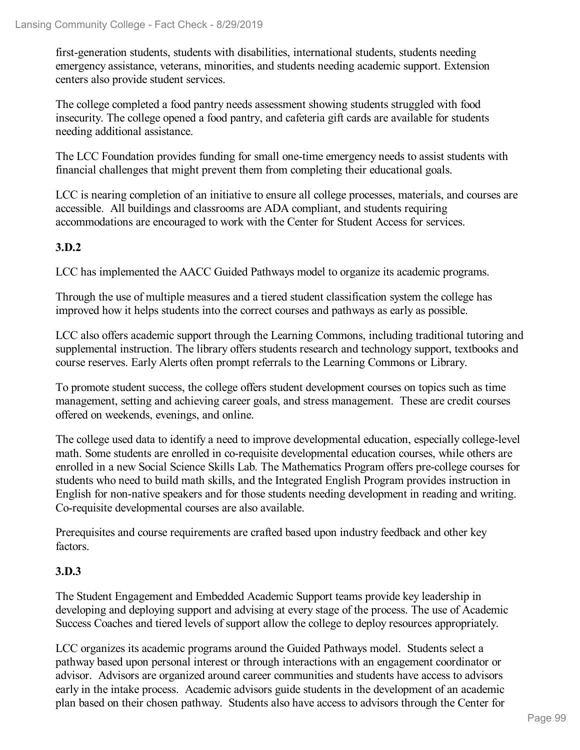first-generation students, students with disabilities, international students, students needing emergency assistance, veterans, minorities, and students needing academic support. Extension centers also provide student services.

The college completed a food pantry needs assessment showing students struggled with food insecurity. The college opened a food pantry, and cafeteria gift cards are available for students needing additional assistance.

The LCC Foundation provides funding for small one-time emergency needs to assist students with financial challenges that might prevent them from completing their educational goals.

LCC is nearing completion of an initiative to ensure all college processes, materials, and courses are accessible. All buildings and classrooms are ADA compliant, and students requiring accommodations are encouraged to work with the Center for Student Access for services.

### **3.D.2**

LCC has implemented the AACC Guided Pathways model to organize its academic programs.

Through the use of multiple measures and a tiered student classification system the college has improved how it helps students into the correct courses and pathways as early as possible.

LCC also offers academic support through the Learning Commons, including traditional tutoring and supplemental instruction. The library offers students research and technology support, textbooks and course reserves. Early Alerts often prompt referrals to the Learning Commons or Library.

To promote student success, the college offers student development courses on topics such as time management, setting and achieving career goals, and stress management. These are credit courses offered on weekends, evenings, and online.

The college used data to identify a need to improve developmental education, especially college-level math. Some students are enrolled in co-requisite developmental education courses, while others are enrolled in a new Social Science Skills Lab. The Mathematics Program offers pre-college courses for students who need to build math skills, and the Integrated English Program provides instruction in English for non-native speakers and for those students needing development in reading and writing. Co-requisite developmental courses are also available.

Prerequisites and course requirements are crafted based upon industry feedback and other key factors.

#### **3.D.3**

The Student Engagement and Embedded Academic Support teams provide key leadership in developing and deploying support and advising at every stage of the process. The use of Academic Success Coaches and tiered levels of support allow the college to deploy resources appropriately.

LCC organizes its academic programs around the Guided Pathways model. Students select a pathway based upon personal interest or through interactions with an engagement coordinator or advisor. Advisors are organized around career communities and students have access to advisors early in the intake process. Academic advisors guide students in the development of an academic plan based on their chosen pathway. Students also have access to advisors through the Center for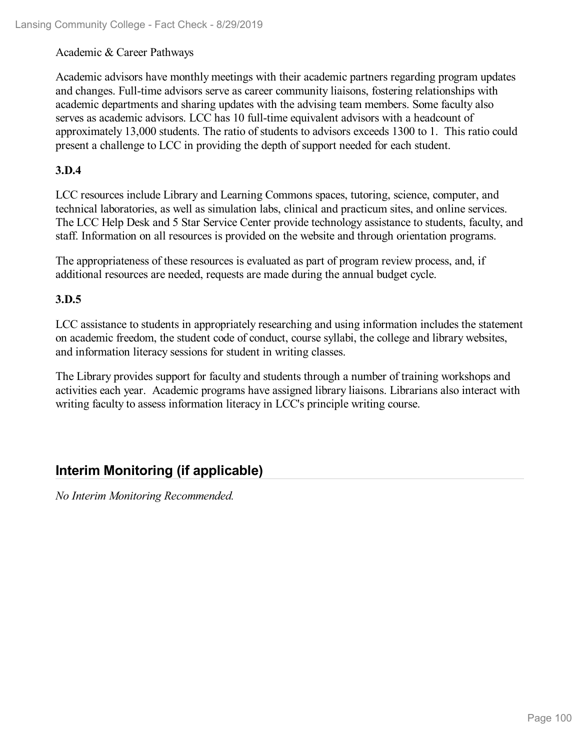#### Academic & Career Pathways

Academic advisors have monthly meetings with their academic partners regarding program updates and changes. Full-time advisors serve as career community liaisons, fostering relationships with academic departments and sharing updates with the advising team members. Some faculty also serves as academic advisors. LCC has 10 full-time equivalent advisors with a headcount of approximately 13,000 students. The ratio of students to advisors exceeds 1300 to 1. This ratio could present a challenge to LCC in providing the depth of support needed for each student.

#### **3.D.4**

LCC resources include Library and Learning Commons spaces, tutoring, science, computer, and technical laboratories, as well as simulation labs, clinical and practicum sites, and online services. The LCC Help Desk and 5 Star Service Center provide technology assistance to students, faculty, and staff. Information on all resources is provided on the website and through orientation programs.

The appropriateness of these resources is evaluated as part of program review process, and, if additional resources are needed, requests are made during the annual budget cycle.

#### **3.D.5**

LCC assistance to students in appropriately researching and using information includes the statement on academic freedom, the student code of conduct, course syllabi, the college and library websites, and information literacy sessions for student in writing classes.

The Library provides support for faculty and students through a number of training workshops and activities each year. Academic programs have assigned library liaisons. Librarians also interact with writing faculty to assess information literacy in LCC's principle writing course.

## **Interim Monitoring (if applicable)**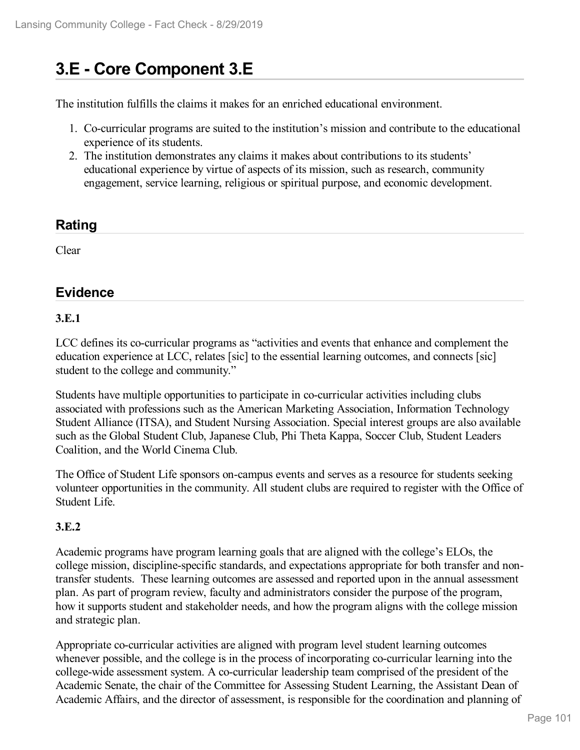# **3.E - Core Component 3.E**

The institution fulfills the claims it makes for an enriched educational environment.

- 1. Co-curricular programs are suited to the institution's mission and contribute to the educational experience of its students.
- 2. The institution demonstrates any claims it makes about contributions to its students' educational experience by virtue of aspects of its mission, such as research, community engagement, service learning, religious or spiritual purpose, and economic development.

## **Rating**

Clear

## **Evidence**

#### **3.E.1**

LCC defines its co-curricular programs as "activities and events that enhance and complement the education experience at LCC, relates [sic] to the essential learning outcomes, and connects [sic] student to the college and community."

Students have multiple opportunities to participate in co-curricular activities including clubs associated with professions such as the American Marketing Association, Information Technology Student Alliance (ITSA), and Student Nursing Association. Special interest groups are also available such as the Global Student Club, Japanese Club, Phi Theta Kappa, Soccer Club, Student Leaders Coalition, and the World Cinema Club.

The Office of Student Life sponsors on-campus events and serves as a resource for students seeking volunteer opportunities in the community. All student clubs are required to register with the Office of Student Life.

#### **3.E.2**

Academic programs have program learning goals that are aligned with the college's ELOs, the college mission, discipline-specific standards, and expectations appropriate for both transfer and nontransfer students. These learning outcomes are assessed and reported upon in the annual assessment plan. As part of program review, faculty and administrators consider the purpose of the program, how it supports student and stakeholder needs, and how the program aligns with the college mission and strategic plan.

Appropriate co-curricular activities are aligned with program level student learning outcomes whenever possible, and the college is in the process of incorporating co-curricular learning into the college-wide assessment system. A co-curricular leadership team comprised of the president of the Academic Senate, the chair of the Committee for Assessing Student Learning, the Assistant Dean of Academic Affairs, and the director of assessment, is responsible for the coordination and planning of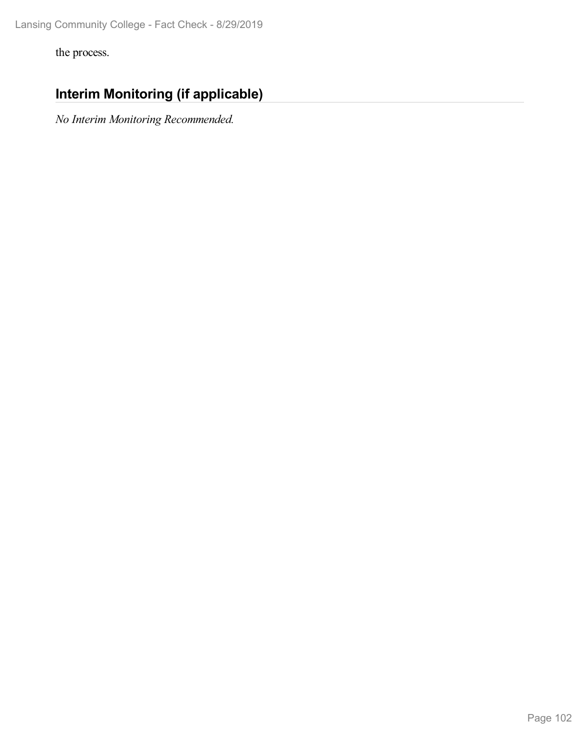the process.

## **Interim Monitoring (if applicable)**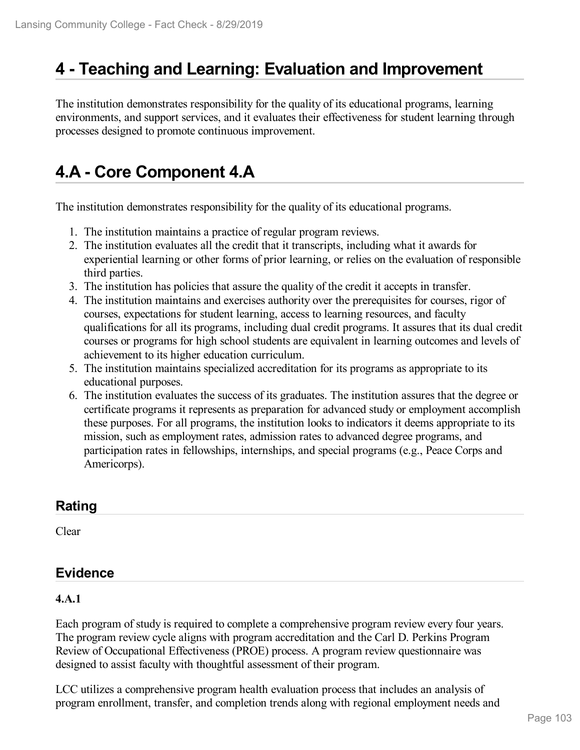## **4 -Teaching and Learning: Evaluation and Improvement**

The institution demonstrates responsibility for the quality of its educational programs, learning environments, and support services, and it evaluates their effectiveness for student learning through processes designed to promote continuous improvement.

# **4.A - Core Component 4.A**

The institution demonstrates responsibility for the quality of its educational programs.

- 1. The institution maintains a practice of regular program reviews.
- 2. The institution evaluates all the credit that it transcripts, including what it awards for experiential learning or other forms of prior learning, or relies on the evaluation of responsible third parties.
- 3. The institution has policies that assure the quality of the credit it accepts in transfer.
- 4. The institution maintains and exercises authority over the prerequisites for courses, rigor of courses, expectations for student learning, access to learning resources, and faculty qualifications for all its programs, including dual credit programs. It assures that its dual credit courses or programs for high school students are equivalent in learning outcomes and levels of achievement to its higher education curriculum.
- 5. The institution maintains specialized accreditation for its programs as appropriate to its educational purposes.
- 6. The institution evaluates the success of its graduates. The institution assures that the degree or certificate programs it represents as preparation for advanced study or employment accomplish these purposes. For all programs, the institution looks to indicators it deems appropriate to its mission, such as employment rates, admission rates to advanced degree programs, and participation rates in fellowships, internships, and special programs (e.g., Peace Corps and Americorps).

## **Rating**

Clear

## **Evidence**

#### **4.A.1**

Each program of study is required to complete a comprehensive program review every four years. The program review cycle aligns with program accreditation and the Carl D. Perkins Program Review of Occupational Effectiveness (PROE) process. A program review questionnaire was designed to assist faculty with thoughtful assessment of their program.

LCC utilizes a comprehensive program health evaluation process that includes an analysis of program enrollment, transfer, and completion trends along with regional employment needs and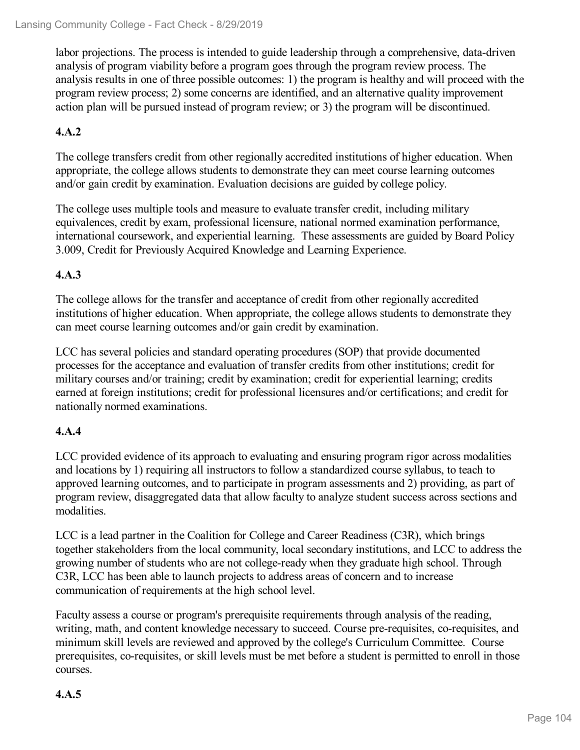labor projections. The process is intended to guide leadership through a comprehensive, data-driven analysis of program viability before a program goes through the program review process. The analysis results in one of three possible outcomes: 1) the program is healthy and will proceed with the program review process; 2) some concerns are identified, and an alternative quality improvement action plan will be pursued instead of program review; or 3) the program will be discontinued.

### **4.A.2**

The college transfers credit from other regionally accredited institutions of higher education. When appropriate, the college allows students to demonstrate they can meet course learning outcomes and/or gain credit by examination. Evaluation decisions are guided by college policy.

The college uses multiple tools and measure to evaluate transfer credit, including military equivalences, credit by exam, professional licensure, national normed examination performance, international coursework, and experiential learning. These assessments are guided by Board Policy 3.009, Credit for Previously Acquired Knowledge and Learning Experience.

#### **4.A.3**

The college allows for the transfer and acceptance of credit from other regionally accredited institutions of higher education. When appropriate, the college allows students to demonstrate they can meet course learning outcomes and/or gain credit by examination.

LCC has several policies and standard operating procedures (SOP) that provide documented processes for the acceptance and evaluation of transfer credits from other institutions; credit for military courses and/or training; credit by examination; credit for experiential learning; credits earned at foreign institutions; credit for professional licensures and/or certifications; and credit for nationally normed examinations.

#### **4.A.4**

LCC provided evidence of its approach to evaluating and ensuring program rigor across modalities and locations by 1) requiring all instructors to follow astandardized course syllabus, to teach to approved learning outcomes, and to participate in program assessments and 2) providing, as part of program review, disaggregated data that allow faculty to analyze student success across sections and modalities.

LCC is a lead partner in the Coalition for College and Career Readiness (C3R), which brings together stakeholders from the local community, local secondary institutions, and LCC to address the growing number of students who are not college-ready when they graduate high school. Through C3R, LCC has been able to launch projects to address areas of concern and to increase communication of requirements at the high school level.

Faculty assess a course or program's prerequisite requirements through analysis of the reading, writing, math, and content knowledge necessary to succeed. Course pre-requisites, co-requisites, and minimum skill levels are reviewed and approved by the college's Curriculum Committee. Course prerequisites, co-requisites, or skill levels must be met before a student is permitted to enroll in those courses.

#### **4.A.5**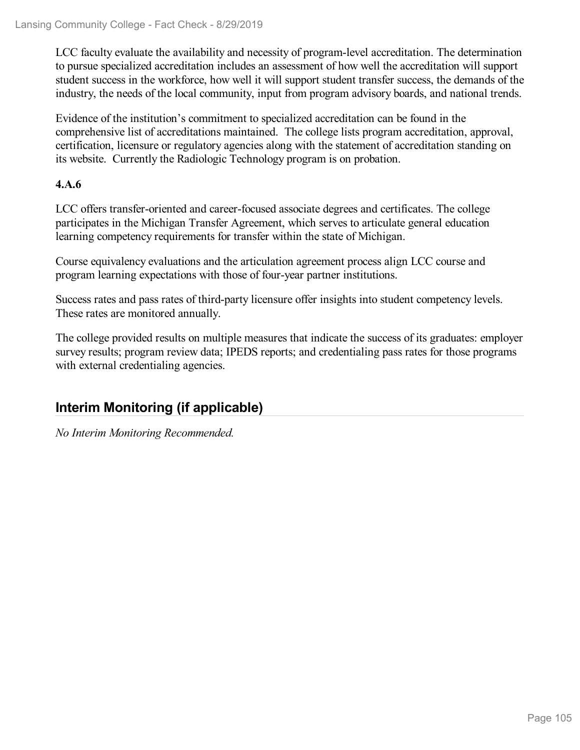LCC faculty evaluate the availability and necessity of program-level accreditation. The determination to pursue specialized accreditation includes an assessment of how well the accreditation will support student success in the workforce, how well it will support student transfer success, the demands of the industry, the needs of the local community, input from program advisory boards, and national trends.

Evidence of the institution's commitment to specialized accreditation can be found in the comprehensive list of accreditations maintained. The college lists program accreditation, approval, certification, licensure or regulatory agencies along with the statement of accreditation standing on its website. Currently the Radiologic Technology program is on probation.

#### **4.A.6**

LCC offers transfer-oriented and career-focused associate degrees and certificates. The college participates in the Michigan Transfer Agreement, which serves to articulate general education learning competency requirements for transfer within the state of Michigan.

Course equivalency evaluations and the articulation agreement process align LCC course and program learning expectations with those of four-year partner institutions.

Success rates and pass rates of third-party licensure offer insights into student competency levels. These rates are monitored annually.

The college provided results on multiple measures that indicate the success of its graduates: employer survey results; program review data; IPEDS reports; and credentialing pass rates for those programs with external credentialing agencies.

## **Interim Monitoring (if applicable)**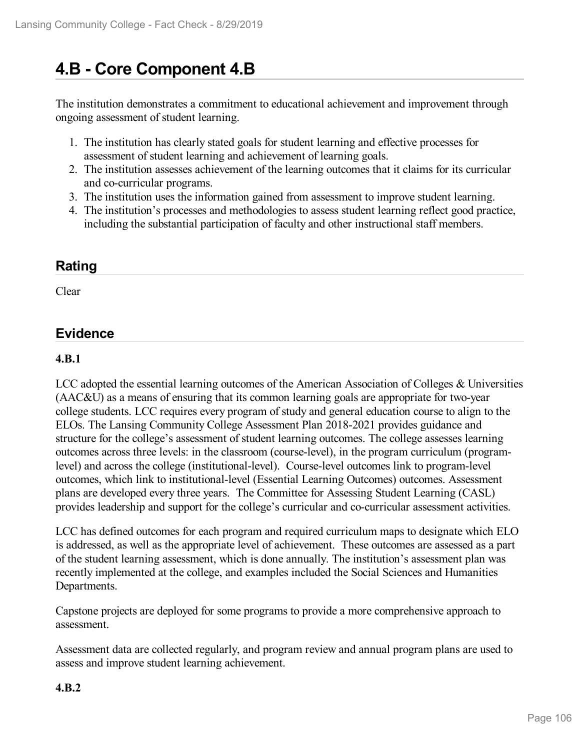# **4.B - Core Component 4.B**

The institution demonstrates a commitment to educational achievement and improvement through ongoing assessment of student learning.

- 1. The institution has clearly stated goals for student learning and effective processes for assessment of student learning and achievement of learning goals.
- 2. The institution assesses achievement of the learning outcomes that it claims for its curricular and co-curricular programs.
- 3. The institution uses the information gained from assessment to improve student learning.
- 4. The institution's processes and methodologies to assess student learning reflect good practice, including the substantial participation of faculty and other instructional staff members.

## **Rating**

Clear

## **Evidence**

#### **4.B.1**

LCC adopted the essential learning outcomes of the American Association of Colleges & Universities (AAC&U) as a means of ensuring that its common learning goals are appropriate for two-year college students. LCC requires every program of study and general education course to align to the ELOs. The Lansing Community College Assessment Plan 2018-2021 provides guidance and structure for the college's assessment of student learning outcomes. The college assesses learning outcomes across three levels: in the classroom (course-level), in the program curriculum (programlevel) and across the college (institutional-level). Course-level outcomes link to program-level outcomes, which link to institutional-level (Essential Learning Outcomes) outcomes. Assessment plans are developed every three years. The Committee for Assessing Student Learning (CASL) provides leadership and support for the college's curricular and co-curricular assessment activities.

LCC has defined outcomes for each program and required curriculum maps to designate which ELO is addressed, as well as the appropriate level of achievement. These outcomes are assessed as a part of the student learning assessment, which is done annually. The institution's assessment plan was recently implemented at the college, and examples included the Social Sciences and Humanities Departments.

Capstone projects are deployed for some programs to provide a more comprehensive approach to assessment.

Assessment data are collected regularly, and program review and annual program plans are used to assess and improve student learning achievement.

#### **4.B.2**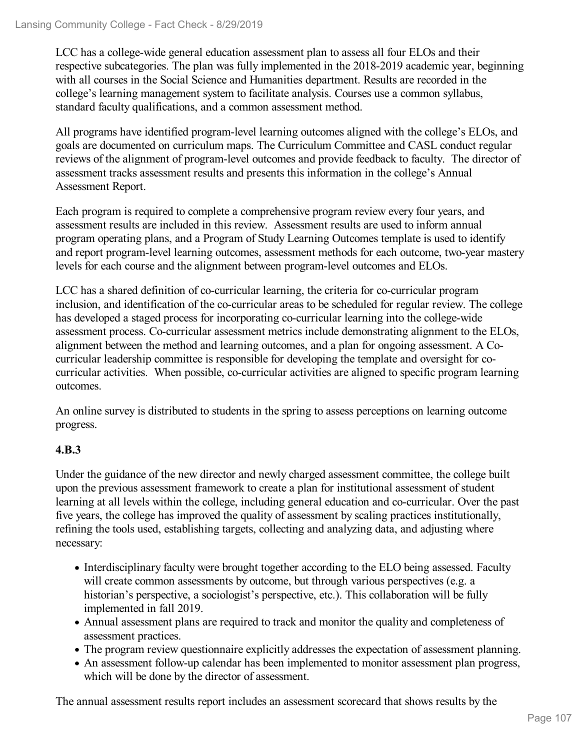LCC has a college-wide general education assessment plan to assess all four ELOs and their respective subcategories. The plan was fully implemented in the 2018-2019 academic year, beginning with all courses in the Social Science and Humanities department. Results are recorded in the college's learning management system to facilitate analysis. Courses use a common syllabus, standard faculty qualifications, and a common assessment method.

All programs have identified program-level learning outcomes aligned with the college's ELOs, and goals are documented on curriculum maps. The Curriculum Committee and CASL conduct regular reviews of the alignment of program-level outcomes and provide feedback to faculty. The director of assessment tracks assessment results and presents this information in the college's Annual Assessment Report.

Each program is required to complete a comprehensive program review every four years, and assessment results are included in this review. Assessment results are used to inform annual program operating plans, and a Program of Study Learning Outcomes template is used to identify and report program-level learning outcomes, assessment methods for each outcome, two-year mastery levels for each course and the alignment between program-level outcomes and ELOs.

LCC has a shared definition of co-curricular learning, the criteria for co-curricular program inclusion, and identification of the co-curricular areas to be scheduled for regular review. The college has developed a staged process for incorporating co-curricular learning into the college-wide assessment process. Co-curricular assessment metrics include demonstrating alignment to the ELOs, alignment between the method and learning outcomes, and a plan for ongoing assessment. A Cocurricular leadership committee is responsible for developing the template and oversight for cocurricular activities. When possible, co-curricular activities are aligned to specific program learning outcomes.

An online survey is distributed to students in the spring to assess perceptions on learning outcome progress.

#### **4.B.3**

Under the guidance of the new director and newly charged assessment committee, the college built upon the previous assessment framework to create a plan for institutional assessment of student learning at all levels within the college, including general education and co-curricular. Over the past five years, the college has improved the quality of assessment by scaling practices institutionally, refining the tools used, establishing targets, collecting and analyzing data, and adjusting where necessary:

- Interdisciplinary faculty were brought together according to the ELO being assessed. Faculty will create common assessments by outcome, but through various perspectives (e.g. a historian's perspective, a sociologist's perspective, etc.). This collaboration will be fully implemented in fall 2019.
- Annual assessment plans are required to track and monitor the quality and completeness of assessment practices.
- The program review questionnaire explicitly addresses the expectation of assessment planning.
- An assessment follow-up calendar has been implemented to monitor assessment plan progress, which will be done by the director of assessment.

The annual assessment results report includes an assessment scorecard that shows results by the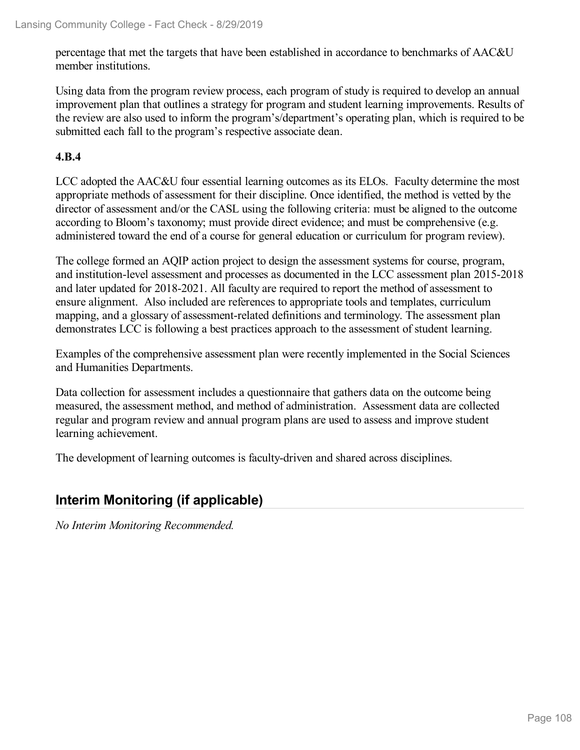percentage that met the targets that have been established in accordance to benchmarks of AAC&U member institutions.

Using data from the program review process, each program of study is required to develop an annual improvement plan that outlines a strategy for program and student learning improvements. Results of the review are also used to inform the program's/department's operating plan, which is required to be submitted each fall to the program's respective associate dean.

#### **4.B.4**

LCC adopted the AAC&U four essential learning outcomes as its ELOs. Faculty determine the most appropriate methods of assessment for their discipline. Once identified, the method is vetted by the director of assessment and/or the CASL using the following criteria: must be aligned to the outcome according to Bloom's taxonomy; must provide direct evidence; and must be comprehensive (e.g. administered toward the end of a course for general education or curriculum for program review).

The college formed an AQIP action project to design the assessment systems for course, program, and institution-level assessment and processes as documented in the LCC assessment plan 2015-2018 and later updated for 2018-2021. All faculty are required to report the method of assessment to ensure alignment. Also included are references to appropriate tools and templates, curriculum mapping, and a glossary of assessment-related definitions and terminology. The assessment plan demonstrates LCC is following a best practices approach to the assessment of student learning.

Examples of the comprehensive assessment plan were recently implemented in the Social Sciences and Humanities Departments.

Data collection for assessment includes a questionnaire that gathers data on the outcome being measured, the assessment method, and method of administration. Assessment data are collected regular and program review and annual program plans are used to assess and improve student learning achievement.

The development of learning outcomes is faculty-driven and shared across disciplines.

## **Interim Monitoring (if applicable)**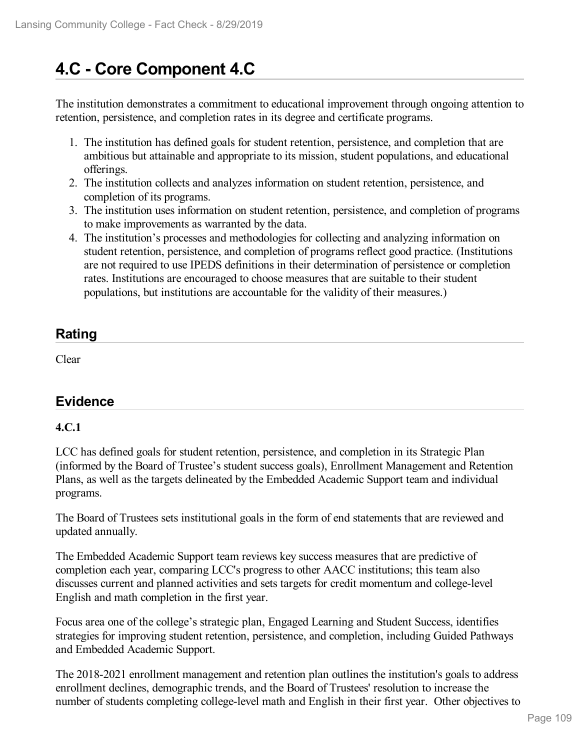# **4.C - Core Component 4.C**

The institution demonstrates a commitment to educational improvement through ongoing attention to retention, persistence, and completion rates in its degree and certificate programs.

- 1. The institution has defined goals for student retention, persistence, and completion that are ambitious but attainable and appropriate to its mission, student populations, and educational offerings.
- 2. The institution collects and analyzes information on student retention, persistence, and completion of its programs.
- 3. The institution uses information on student retention, persistence, and completion of programs to make improvements as warranted by the data.
- 4. The institution's processes and methodologies for collecting and analyzing information on student retention, persistence, and completion of programs reflect good practice. (Institutions are not required to use IPEDS definitions in their determination of persistence or completion rates. Institutions are encouraged to choose measures that are suitable to their student populations, but institutions are accountable for the validity of their measures.)

## **Rating**

Clear

## **Evidence**

### **4.C.1**

LCC has defined goals for student retention, persistence, and completion in its Strategic Plan (informed by the Board of Trustee's student success goals), Enrollment Management and Retention Plans, as well as the targets delineated by the Embedded Academic Support team and individual programs.

The Board of Trustees sets institutional goals in the form of end statements that are reviewed and updated annually.

The Embedded Academic Support team reviews key success measures that are predictive of completion each year, comparing LCC's progress to other AACC institutions; this team also discusses current and planned activities and sets targets for credit momentum and college-level English and math completion in the first year.

Focus area one of the college's strategic plan, Engaged Learning and Student Success, identifies strategies for improving student retention, persistence, and completion, including Guided Pathways and Embedded Academic Support.

The 2018-2021 enrollment management and retention plan outlines the institution's goals to address enrollment declines, demographic trends, and the Board of Trustees' resolution to increase the number of students completing college-level math and English in their first year. Other objectives to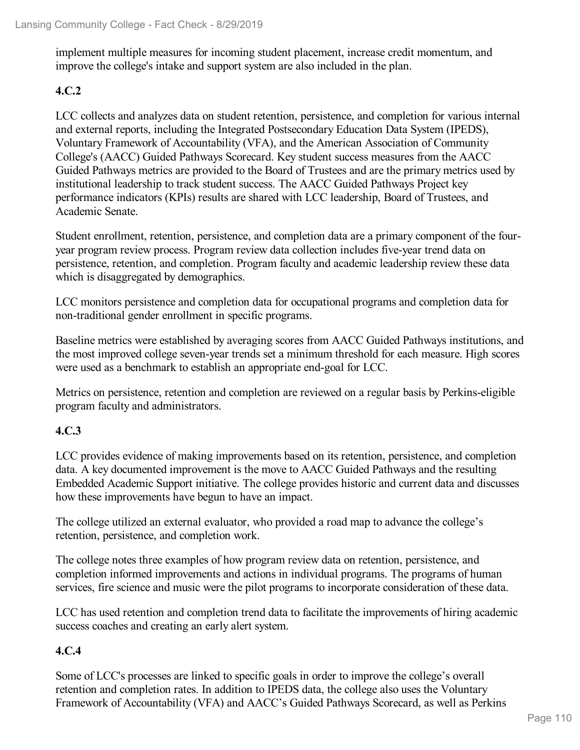implement multiple measures for incoming student placement, increase credit momentum, and improve the college's intake and support system are also included in the plan.

### **4.C.2**

LCC collects and analyzes data on student retention, persistence, and completion for various internal and external reports, including the Integrated Postsecondary Education Data System (IPEDS), Voluntary Framework of Accountability (VFA), and the American Association of Community College's (AACC) Guided Pathways Scorecard. Key student success measures from the AACC Guided Pathways metrics are provided to the Board of Trustees and are the primary metrics used by institutional leadership to track student success. The AACC Guided Pathways Project key performance indicators (KPIs) results are shared with LCC leadership, Board of Trustees, and Academic Senate.

Student enrollment, retention, persistence, and completion data are a primary component of the four year program review process. Program review data collection includes five-year trend data on persistence, retention, and completion. Program faculty and academic leadership review these data which is disaggregated by demographics.

LCC monitors persistence and completion data for occupational programs and completion data for non-traditional gender enrollment in specific programs.

Baseline metrics were established by averaging scores from AACC Guided Pathways institutions, and the most improved college seven-year trends set a minimum threshold for each measure. High scores were used as a benchmark to establish an appropriate end-goal for LCC.

Metrics on persistence, retention and completion are reviewed on a regular basis by Perkins-eligible program faculty and administrators.

### **4.C.3**

LCC provides evidence of making improvements based on its retention, persistence, and completion data. A key documented improvement is the move to AACC Guided Pathways and the resulting Embedded Academic Support initiative. The college provides historic and current data and discusses how these improvements have begun to have an impact.

The college utilized an external evaluator, who provided a road map to advance the college's retention, persistence, and completion work.

The college notes three examples of how program review data on retention, persistence, and completion informed improvements and actions in individual programs. The programs of human services, fire science and music were the pilot programs to incorporate consideration of these data.

LCC has used retention and completion trend data to facilitate the improvements of hiring academic success coaches and creating an early alert system.

### **4.C.4**

Some of LCC's processes are linked to specific goals in order to improve the college's overall retention and completion rates. In addition to IPEDS data, the college also uses the Voluntary Framework of Accountability (VFA) and AACC's Guided Pathways Scorecard, as well as Perkins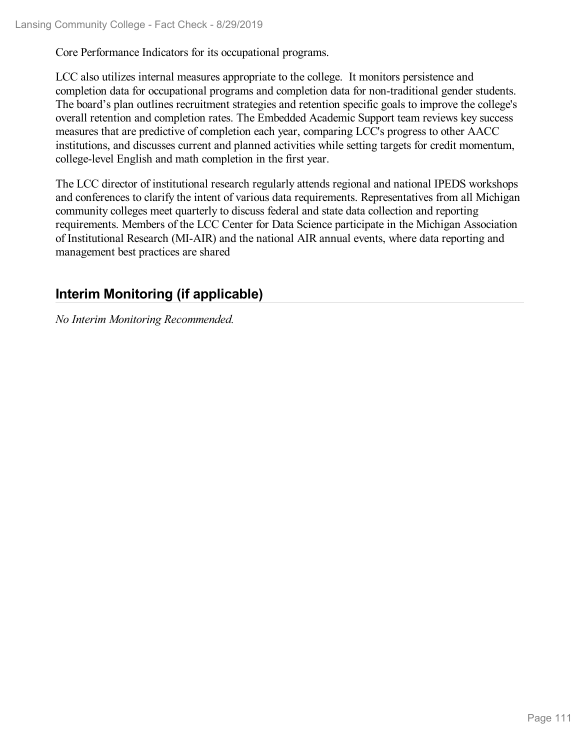Core Performance Indicators for its occupational programs.

LCC also utilizes internal measures appropriate to the college. It monitors persistence and completion data for occupational programs and completion data for non-traditional gender students. The board's plan outlines recruitment strategies and retention specific goals to improve the college's overall retention and completion rates. The Embedded Academic Support team reviews key success measures that are predictive of completion each year, comparing LCC's progress to other AACC institutions, and discusses current and planned activities while setting targets for credit momentum, college-level English and math completion in the first year.

The LCC director of institutional research regularly attends regional and national IPEDS workshops and conferences to clarify the intent of various data requirements. Representatives from all Michigan community colleges meet quarterly to discuss federal and state data collection and reporting requirements. Members of the LCC Center for Data Science participate in the Michigan Association of Institutional Research (MI-AIR) and the national AIR annual events, where data reporting and management best practices are shared

## **Interim Monitoring (if applicable)**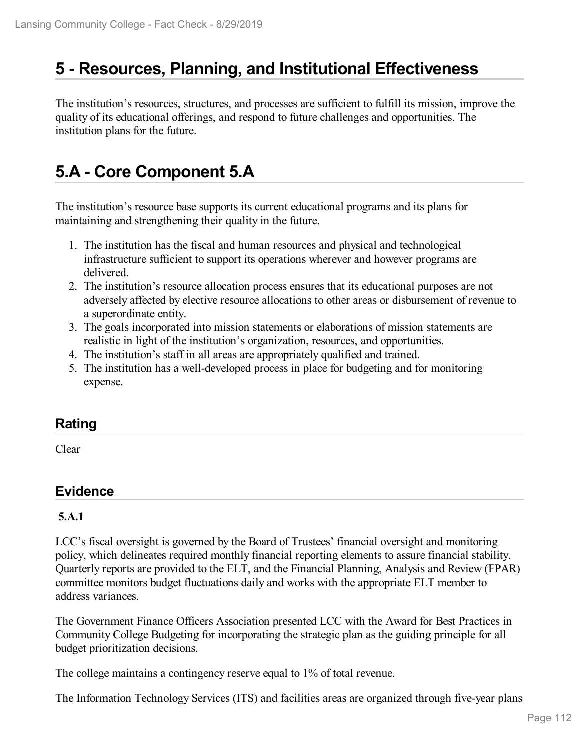# **5 -Resources, Planning, and Institutional Effectiveness**

The institution's resources, structures, and processes are sufficient to fulfill its mission, improve the quality of its educational offerings, and respond to future challenges and opportunities. The institution plans for the future.

# **5.A - Core Component 5.A**

The institution's resource base supports its current educational programs and its plans for maintaining and strengthening their quality in the future.

- 1. The institution has the fiscal and human resources and physical and technological infrastructure sufficient to support its operations wherever and however programs are delivered.
- 2. The institution's resource allocation process ensures that its educational purposes are not adversely affected by elective resource allocations to other areas or disbursement of revenue to a superordinate entity.
- 3. The goals incorporated into mission statements or elaborations of mission statements are realistic in light of the institution's organization, resources, and opportunities.
- 4. The institution's staff in all areas are appropriately qualified and trained.
- 5. The institution has a well-developed process in place for budgeting and for monitoring expense.

### **Rating**

Clear

### **Evidence**

### **5.A.1**

LCC's fiscal oversight is governed by the Board of Trustees' financial oversight and monitoring policy, which delineates required monthly financial reporting elements to assure financial stability. Quarterly reports are provided to the ELT, and the Financial Planning, Analysis and Review (FPAR) committee monitors budget fluctuations daily and works with the appropriate ELT member to address variances.

The Government Finance Officers Association presented LCC with the Award for Best Practices in Community College Budgeting for incorporating the strategic plan as the guiding principle for all budget prioritization decisions.

The college maintains a contingency reserve equal to 1% of total revenue.

The Information Technology Services (ITS) and facilities areas are organized through five-year plans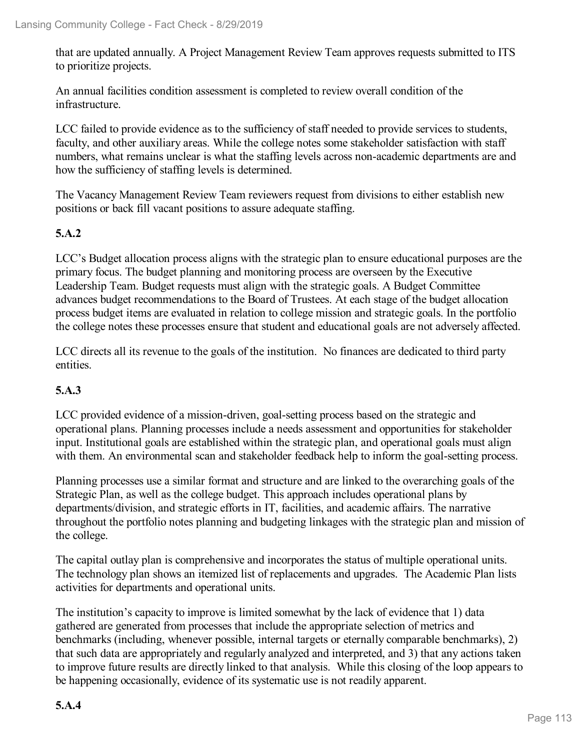that are updated annually. A Project Management Review Team approves requests submitted to ITS to prioritize projects.

An annual facilities condition assessment is completed to review overall condition of the infrastructure.

LCC failed to provide evidence as to the sufficiency of staff needed to provide services to students, faculty, and other auxiliary areas. While the college notes some stakeholder satisfaction with staff numbers, what remains unclear is what the staffing levels across non-academic departments are and how the sufficiency of staffing levels is determined.

The Vacancy Management Review Team reviewers request from divisions to either establish new positions or back fill vacant positions to assure adequate staffing.

### **5.A.2**

LCC's Budget allocation process aligns with the strategic plan to ensure educational purposes are the primary focus. The budget planning and monitoring process are overseen by the Executive Leadership Team. Budget requests must align with the strategic goals. A Budget Committee advances budget recommendations to the Board of Trustees. At each stage of the budget allocation process budget items are evaluated in relation to college mission and strategic goals. In the portfolio the college notes these processes ensure that student and educational goals are not adversely affected.

LCC directs all its revenue to the goals of the institution. No finances are dedicated to third party entities.

### **5.A.3**

LCC provided evidence of a mission-driven, goal-setting process based on the strategic and operational plans. Planning processes include a needs assessment and opportunities for stakeholder input. Institutional goals are established within the strategic plan, and operational goals must align with them. An environmental scan and stakeholder feedback help to inform the goal-setting process.

Planning processes use a similar format and structure and are linked to the overarching goals of the Strategic Plan, as well as the college budget. This approach includes operational plans by departments/division, and strategic efforts in IT, facilities, and academic affairs. The narrative throughout the portfolio notes planning and budgeting linkages with the strategic plan and mission of the college.

The capital outlay plan is comprehensive and incorporates the status of multiple operational units. The technology plan shows an itemized list of replacements and upgrades. The Academic Plan lists activities for departments and operational units.

The institution's capacity to improve is limited somewhat by the lack of evidence that 1) data gathered are generated from processes that include the appropriate selection of metrics and benchmarks (including, whenever possible, internal targets or eternally comparable benchmarks), 2) that such data are appropriately and regularly analyzed and interpreted, and 3) that any actions taken to improve future results are directly linked to that analysis. While this closing of the loop appears to be happening occasionally, evidence of its systematic use is not readily apparent.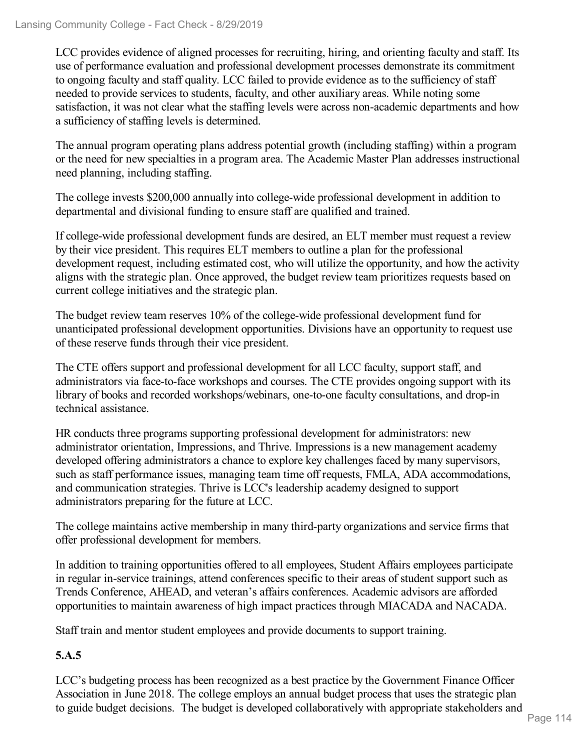LCC provides evidence of aligned processes for recruiting, hiring, and orienting faculty and staff. Its use of performance evaluation and professional development processes demonstrate its commitment to ongoing faculty and staff quality. LCC failed to provide evidence as to the sufficiency of staff needed to provide services to students, faculty, and other auxiliary areas. While noting some satisfaction, it was not clear what the staffing levels were across non-academic departments and how a sufficiency of staffing levels is determined.

The annual program operating plans address potential growth (including staffing) within a program or the need for new specialties in a program area. The Academic Master Plan addresses instructional need planning, including staffing.

The college invests \$200,000 annually into college-wide professional development in addition to departmental and divisional funding to ensure staff are qualified and trained.

If college-wide professional development funds are desired, an ELT member must request a review by their vice president. This requires ELT members to outline a plan for the professional development request, including estimated cost, who will utilize the opportunity, and how the activity aligns with the strategic plan. Once approved, the budget review team prioritizes requests based on current college initiatives and the strategic plan.

The budget review team reserves 10% of the college-wide professional development fund for unanticipated professional development opportunities. Divisions have an opportunity to request use of these reserve funds through their vice president.

The CTE offers support and professional development for all LCC faculty, support staff, and administrators via face-to-face workshops and courses. The CTE provides ongoing support with its library of books and recorded workshops/webinars, one-to-one faculty consultations, and drop-in technical assistance.

HR conducts three programs supporting professional development for administrators: new administrator orientation, Impressions, and Thrive. Impressions is a new management academy developed offering administrators a chance to explore key challenges faced by many supervisors, such as staff performance issues, managing team time off requests, FMLA, ADA accommodations, and communication strategies. Thrive is LCC's leadership academy designed to support administrators preparing for the future at LCC.

The college maintains active membership in many third-party organizations and service firms that offer professional development for members.

In addition to training opportunities offered to all employees, Student Affairs employees participate in regular in-service trainings, attend conferences specific to their areas of student support such as Trends Conference, AHEAD, and veteran's affairs conferences. Academic advisors are afforded opportunities to maintain awareness of high impact practices through MIACADA and NACADA.

Staff train and mentor student employees and provide documents to support training.

## **5.A.5**

LCC's budgeting process has been recognized as a best practice by the Government Finance Officer Association in June 2018. The college employs an annual budget process that uses the strategic plan to guide budget decisions. The budget is developed collaboratively with appropriate stakeholders and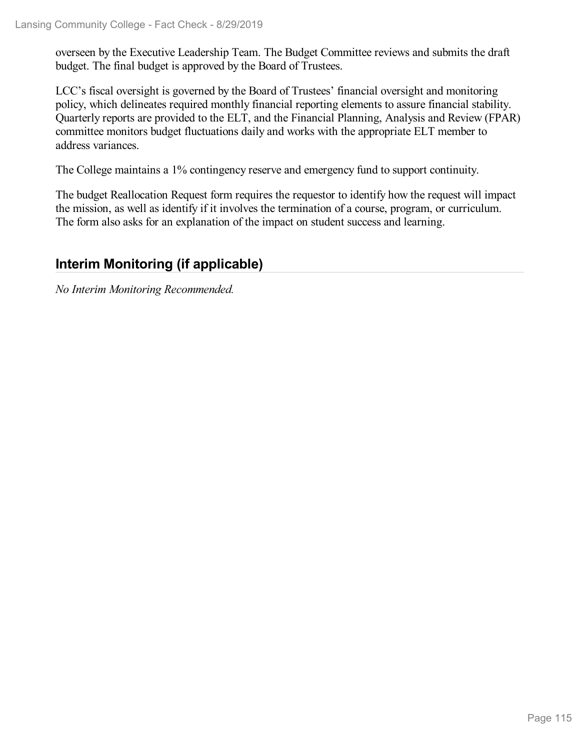overseen by the Executive Leadership Team. The Budget Committee reviews and submits the draft budget. The final budget is approved by the Board of Trustees.

LCC's fiscal oversight is governed by the Board of Trustees' financial oversight and monitoring policy, which delineates required monthly financial reporting elements to assure financial stability. Quarterly reports are provided to the ELT, and the Financial Planning, Analysis and Review (FPAR) committee monitors budget fluctuations daily and works with the appropriate ELT member to address variances.

The College maintains a 1% contingency reserve and emergency fund to support continuity.

The budget Reallocation Request form requires the requestor to identify how the request will impact the mission, as well as identify if it involves the termination of a course, program, or curriculum. The form also asks for an explanation of the impact on student success and learning.

## **Interim Monitoring (if applicable)**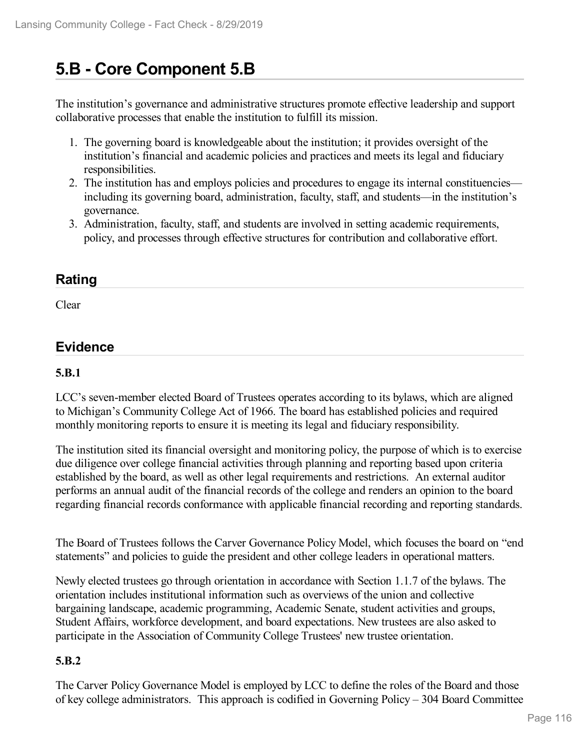# **5.B - Core Component 5.B**

The institution's governance and administrative structures promote effective leadership and support collaborative processes that enable the institution to fulfill its mission.

- 1. The governing board is knowledgeable about the institution; it provides oversight of the institution's financial and academic policies and practices and meets its legal and fiduciary responsibilities.
- 2. The institution has and employs policies and procedures to engage its internal constituencies including its governing board, administration, faculty, staff, and students—in the institution's governance.
- 3. Administration, faculty, staff, and students are involved in setting academic requirements, policy, and processes through effective structures for contribution and collaborative effort.

### **Rating**

Clear

### **Evidence**

### **5.B.1**

LCC's seven-member elected Board of Trustees operates according to its bylaws, which are aligned to Michigan's Community College Act of 1966. The board has established policies and required monthly monitoring reports to ensure it is meeting its legal and fiduciary responsibility.

The institution sited its financial oversight and monitoring policy, the purpose of which is to exercise due diligence over college financial activities through planning and reporting based upon criteria established by the board, as well as other legal requirements and restrictions. An external auditor performs an annual audit of the financial records of the college and renders an opinion to the board regarding financial records conformance with applicable financial recording and reporting standards.

The Board of Trustees follows the Carver Governance Policy Model, which focuses the board on "end statements" and policies to guide the president and other college leaders in operational matters.

Newly elected trustees go through orientation in accordance with Section 1.1.7 of the bylaws. The orientation includes institutional information such as overviews of the union and collective bargaining landscape, academic programming, Academic Senate, student activities and groups, Student Affairs, workforce development, and board expectations. New trustees are also asked to participate in the Association of Community College Trustees' new trustee orientation.

### **5.B.2**

The Carver Policy Governance Model is employed by LCC to define the roles of the Board and those of key college administrators. This approach is codified in Governing Policy – 304 Board Committee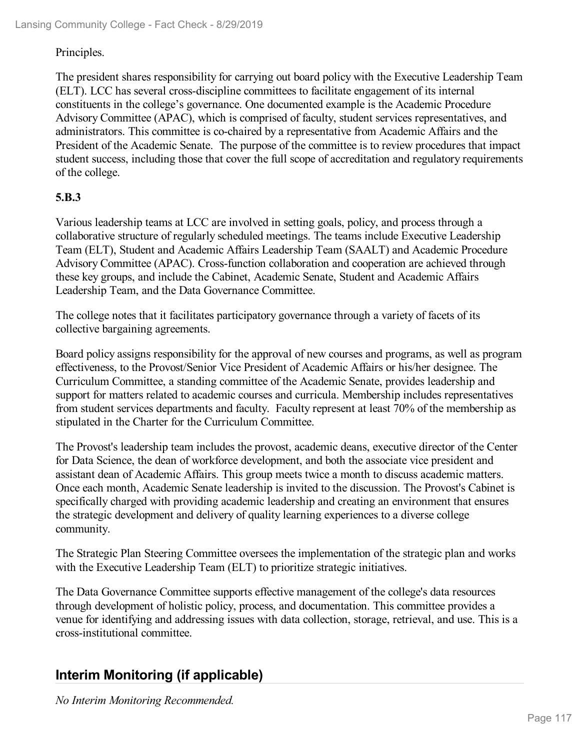#### Principles.

The president shares responsibility for carrying out board policy with the Executive Leadership Team (ELT). LCC has several cross-discipline committees to facilitate engagement of its internal constituents in the college's governance. One documented example is the Academic Procedure Advisory Committee (APAC), which is comprised of faculty, student services representatives, and administrators. This committee is co-chaired by a representative from Academic Affairs and the President of the Academic Senate. The purpose of the committee is to review procedures that impact student success, including those that cover the full scope of accreditation and regulatory requirements of the college.

#### **5.B.3**

Various leadership teams at LCC are involved in setting goals, policy, and process through a collaborative structure of regularly scheduled meetings. The teams include Executive Leadership Team (ELT), Student and Academic Affairs Leadership Team (SAALT) and Academic Procedure Advisory Committee (APAC). Cross-function collaboration and cooperation are achieved through these key groups, and include the Cabinet, Academic Senate, Student and Academic Affairs Leadership Team, and the Data Governance Committee.

The college notes that it facilitates participatory governance through a variety of facets of its collective bargaining agreements.

Board policy assigns responsibility for the approval of new courses and programs, as well as program effectiveness, to the Provost/Senior Vice President of Academic Affairs or his/her designee. The Curriculum Committee, a standing committee of the Academic Senate, provides leadership and support for matters related to academic courses and curricula. Membership includes representatives from student services departments and faculty. Faculty represent at least 70% of the membership as stipulated in the Charter for the Curriculum Committee.

The Provost's leadership team includes the provost, academic deans, executive director of the Center for Data Science, the dean of workforce development, and both the associate vice president and assistant dean of Academic Affairs. This group meets twice a month to discuss academic matters. Once each month, Academic Senate leadership is invited to the discussion. The Provost's Cabinet is specifically charged with providing academic leadership and creating an environment that ensures the strategic development and delivery of quality learning experiences to a diverse college community.

The Strategic Plan Steering Committee oversees the implementation of the strategic plan and works with the Executive Leadership Team (ELT) to prioritize strategic initiatives.

The Data Governance Committee supports effective management of the college's data resources through development of holistic policy, process, and documentation. This committee provides a venue for identifying and addressing issues with data collection, storage, retrieval, and use. This is a cross-institutional committee.

## **Interim Monitoring (if applicable)**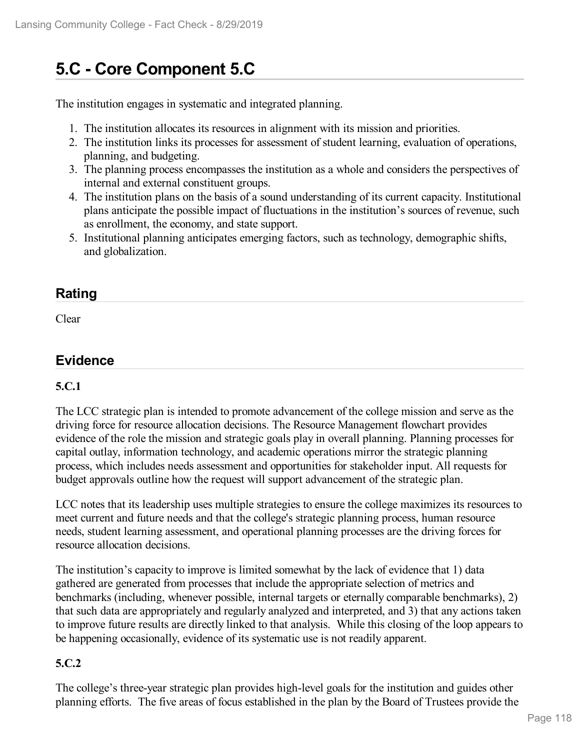# **5.C - Core Component 5.C**

The institution engages in systematic and integrated planning.

- 1. The institution allocates its resources in alignment with its mission and priorities.
- 2. The institution links its processes for assessment of student learning, evaluation of operations, planning, and budgeting.
- 3. The planning process encompasses the institution as a whole and considers the perspectives of internal and external constituent groups.
- 4. The institution plans on the basis of a sound understanding of its current capacity. Institutional plans anticipate the possible impact of fluctuations in the institution's sources of revenue, such as enrollment, the economy, and state support.
- 5. Institutional planning anticipates emerging factors, such as technology, demographic shifts, and globalization.

### **Rating**

Clear

## **Evidence**

### **5.C.1**

The LCC strategic plan is intended to promote advancement of the college mission and serve as the driving force for resource allocation decisions. The Resource Management flowchart provides evidence of the role the mission and strategic goals play in overall planning. Planning processes for capital outlay, information technology, and academic operations mirror the strategic planning process, which includes needs assessment and opportunities for stakeholder input. All requests for budget approvals outline how the request will support advancement of the strategic plan.

LCC notes that its leadership uses multiple strategies to ensure the college maximizes its resources to meet current and future needs and that the college's strategic planning process, human resource needs, student learning assessment, and operational planning processes are the driving forces for resource allocation decisions.

The institution's capacity to improve is limited somewhat by the lack of evidence that 1) data gathered are generated from processes that include the appropriate selection of metrics and benchmarks (including, whenever possible, internal targets or eternally comparable benchmarks), 2) that such data are appropriately and regularly analyzed and interpreted, and 3) that any actions taken to improve future results are directly linked to that analysis. While this closing of the loop appears to be happening occasionally, evidence of its systematic use is not readily apparent.

### **5.C.2**

The college's three-year strategic plan provides high-level goals for the institution and guides other planning efforts. The five areas of focus established in the plan by the Board of Trustees provide the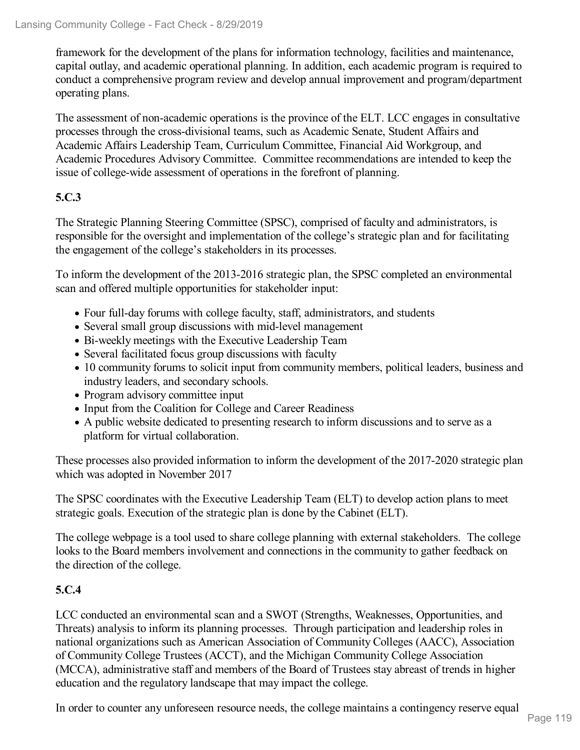framework for the development of the plans for information technology, facilities and maintenance, capital outlay, and academic operational planning. In addition, each academic program isrequired to conduct a comprehensive program review and develop annual improvement and program/department operating plans.

The assessment of non-academic operations is the province of the ELT. LCC engages in consultative processes through the cross-divisional teams, such as Academic Senate, Student Affairs and Academic Affairs Leadership Team, Curriculum Committee, Financial Aid Workgroup, and Academic Procedures Advisory Committee. Committee recommendations are intended to keep the issue of college-wide assessment of operations in the forefront of planning.

### **5.C.3**

The Strategic Planning Steering Committee (SPSC), comprised of faculty and administrators, is responsible for the oversight and implementation of the college's strategic plan and for facilitating the engagement of the college's stakeholders in its processes.

To inform the development of the 2013-2016 strategic plan, the SPSC completed an environmental scan and offered multiple opportunities for stakeholder input:

- Four full-day forums with college faculty, staff, administrators, and students
- Several small group discussions with mid-level management
- Bi-weekly meetings with the Executive Leadership Team
- Several facilitated focus group discussions with faculty
- 10 community forums to solicit input from community members, political leaders, business and industry leaders, and secondary schools.
- Program advisory committee input
- Input from the Coalition for College and Career Readiness
- A public website dedicated to presenting research to inform discussions and to serve as a platform for virtual collaboration.

These processes also provided information to inform the development of the 2017-2020 strategic plan which was adopted in November 2017

The SPSC coordinates with the Executive Leadership Team (ELT) to develop action plans to meet strategic goals. Execution of the strategic plan is done by the Cabinet (ELT).

The college webpage is a tool used to share college planning with external stakeholders. The college looks to the Board members involvement and connections in the community to gather feedback on the direction of the college.

### **5.C.4**

LCC conducted an environmental scan and a SWOT (Strengths, Weaknesses, Opportunities, and Threats) analysis to inform its planning processes. Through participation and leadership roles in national organizations such as American Association of Community Colleges (AACC), Association of Community College Trustees (ACCT), and the Michigan Community College Association (MCCA), administrative staff and members of the Board of Trustees stay abreast of trends in higher education and the regulatory landscape that may impact the college.

In order to counter any unforeseen resource needs, the college maintains a contingency reserve equal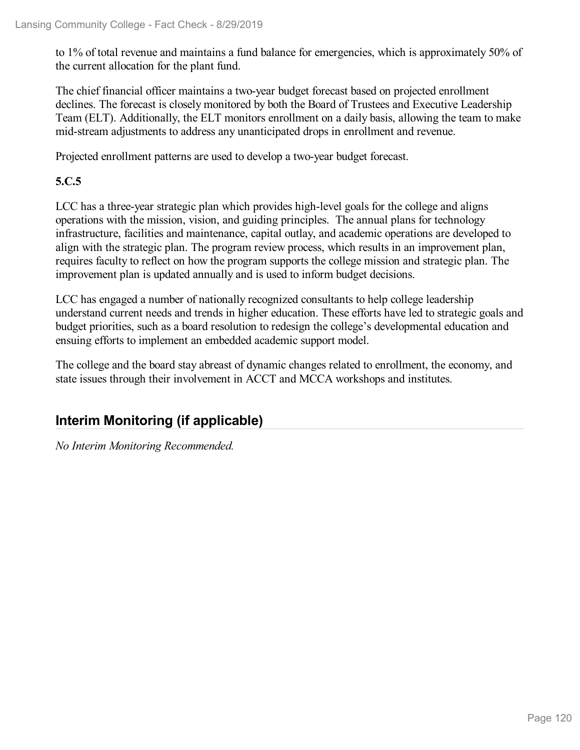to 1% of total revenue and maintains a fund balance for emergencies, which is approximately 50% of the current allocation for the plant fund.

The chief financial officer maintains a two-year budget forecast based on projected enrollment declines. The forecast is closely monitored by both the Board of Trustees and Executive Leadership Team (ELT). Additionally, the ELT monitors enrollment on a daily basis, allowing the team to make mid-stream adjustments to address any unanticipated drops in enrollment and revenue.

Projected enrollment patterns are used to develop a two-year budget forecast.

### **5.C.5**

LCC has a three-year strategic plan which provides high-level goals for the college and aligns operations with the mission, vision, and guiding principles. The annual plans for technology infrastructure, facilities and maintenance, capital outlay, and academic operations are developed to align with the strategic plan. The program review process, which results in an improvement plan, requires faculty to reflect on how the program supports the college mission and strategic plan. The improvement plan is updated annually and is used to inform budget decisions.

LCC has engaged a number of nationally recognized consultants to help college leadership understand current needs and trends in higher education. These efforts have led to strategic goals and budget priorities, such as a board resolution to redesign the college's developmental education and ensuing efforts to implement an embedded academic support model.

The college and the board stay abreast of dynamic changes related to enrollment, the economy, and state issues through their involvement in ACCT and MCCA workshops and institutes.

## **Interim Monitoring (if applicable)**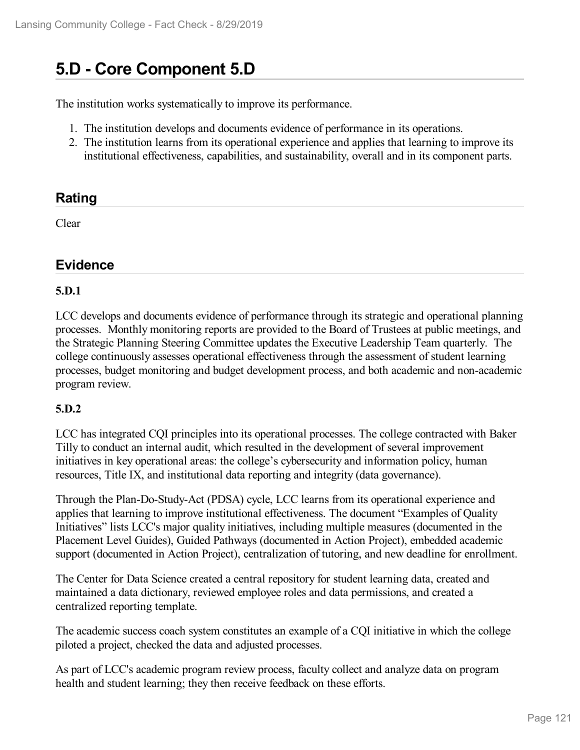# **5.D - Core Component 5.D**

The institution works systematically to improve its performance.

- 1. The institution develops and documents evidence of performance in its operations.
- 2. The institution learns from its operational experience and applies that learning to improve its institutional effectiveness, capabilities, and sustainability, overall and in its component parts.

### **Rating**

Clear

### **Evidence**

### **5.D.1**

LCC develops and documents evidence of performance through its strategic and operational planning processes. Monthly monitoring reports are provided to the Board of Trustees at public meetings, and the Strategic Planning Steering Committee updates the Executive Leadership Team quarterly. The college continuously assesses operational effectiveness through the assessment of student learning processes, budget monitoring and budget development process, and both academic and non-academic program review.

### **5.D.2**

LCC has integrated CQI principles into its operational processes. The college contracted with Baker Tilly to conduct an internal audit, which resulted in the development of several improvement initiatives in key operational areas: the college's cybersecurity and information policy, human resources, Title IX, and institutional data reporting and integrity (data governance).

Through the Plan-Do-Study-Act (PDSA) cycle, LCC learns from its operational experience and applies that learning to improve institutional effectiveness. The document "Examples of Quality Initiatives" lists LCC's major quality initiatives, including multiple measures (documented in the Placement Level Guides), Guided Pathways (documented in Action Project), embedded academic support (documented in Action Project), centralization of tutoring, and new deadline for enrollment.

The Center for Data Science created a central repository for student learning data, created and maintained a data dictionary, reviewed employee roles and data permissions, and created a centralized reporting template.

The academic success coach system constitutes an example of a CQI initiative in which the college piloted a project, checked the data and adjusted processes.

As part of LCC's academic program review process, faculty collect and analyze data on program health and student learning; they then receive feedback on these efforts.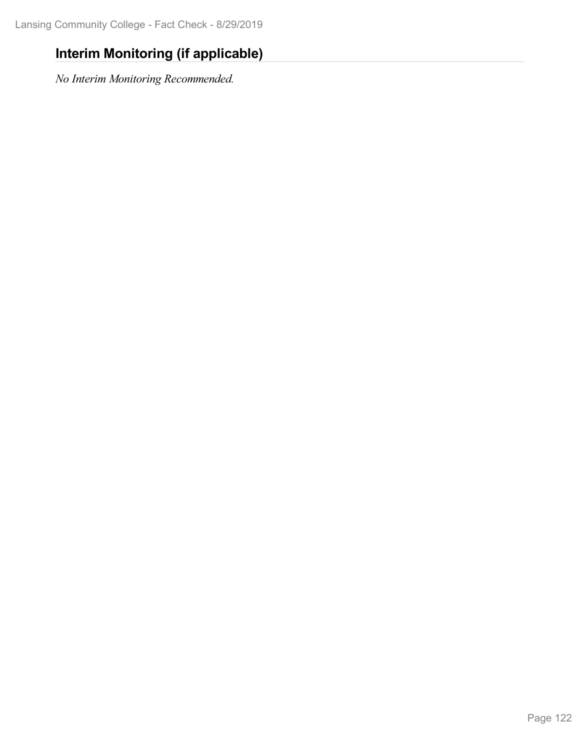## **Interim Monitoring (if applicable)**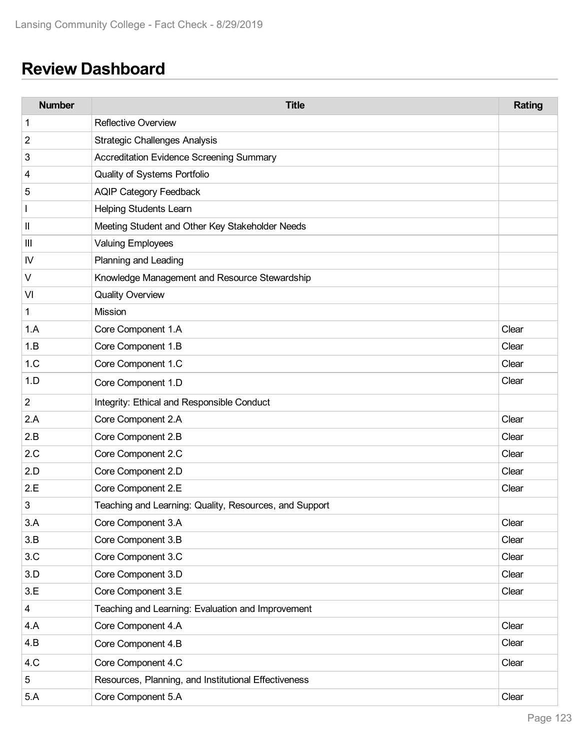# **Review Dashboard**

| <b>Number</b>  | <b>Title</b>                                           | Rating |
|----------------|--------------------------------------------------------|--------|
| 1              | <b>Reflective Overview</b>                             |        |
| 2              | <b>Strategic Challenges Analysis</b>                   |        |
| 3              | <b>Accreditation Evidence Screening Summary</b>        |        |
| 4              | Quality of Systems Portfolio                           |        |
| 5              | <b>AQIP Category Feedback</b>                          |        |
|                | <b>Helping Students Learn</b>                          |        |
| Ш              | Meeting Student and Other Key Stakeholder Needs        |        |
| Ш              | <b>Valuing Employees</b>                               |        |
| IV             | Planning and Leading                                   |        |
| V              | Knowledge Management and Resource Stewardship          |        |
| VI             | <b>Quality Overview</b>                                |        |
| $\mathbf 1$    | Mission                                                |        |
| 1.A            | Core Component 1.A                                     | Clear  |
| 1.B            | Core Component 1.B                                     | Clear  |
| 1.C            | Core Component 1.C                                     | Clear  |
| 1.D            | Core Component 1.D                                     | Clear  |
| $\overline{2}$ | Integrity: Ethical and Responsible Conduct             |        |
| 2.A            | Core Component 2.A                                     | Clear  |
| 2.B            | Core Component 2.B                                     | Clear  |
| 2.C            | Core Component 2.C                                     | Clear  |
| 2.D            | Core Component 2.D                                     | Clear  |
| 2.E            | Core Component 2.E                                     | Clear  |
| 3              | Teaching and Learning: Quality, Resources, and Support |        |
| 3.A            | Core Component 3.A                                     | Clear  |
| 3.B            | Core Component 3.B                                     | Clear  |
| 3.C            | Core Component 3.C                                     | Clear  |
| 3.D            | Core Component 3.D                                     | Clear  |
| 3.E            | Core Component 3.E                                     | Clear  |
| 4              | Teaching and Learning: Evaluation and Improvement      |        |
| 4.A            | Core Component 4.A                                     | Clear  |
| 4.B            | Core Component 4.B                                     | Clear  |
| 4.C            | Core Component 4.C                                     | Clear  |
| 5              | Resources, Planning, and Institutional Effectiveness   |        |
| 5.A            | Core Component 5.A                                     | Clear  |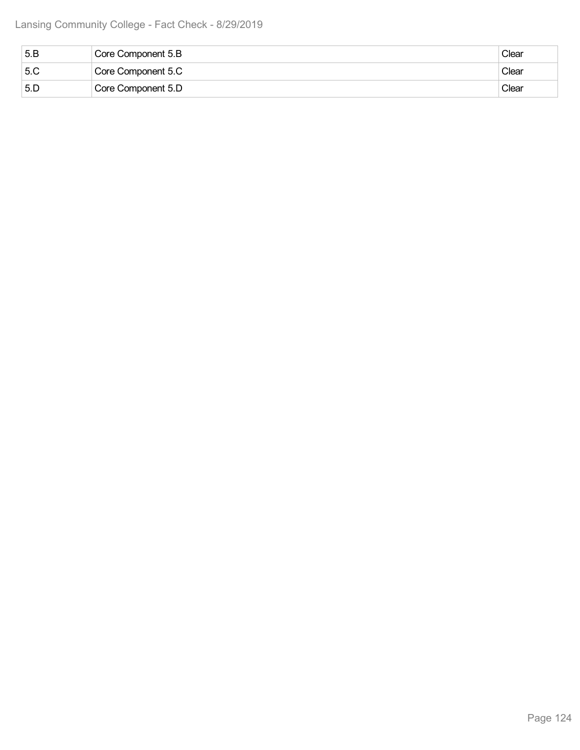| 5.B | Core Component 5.B | Clear |
|-----|--------------------|-------|
| 5.C | Core Component 5.C | Clear |
| 5.5 | Core Component 5.D | Clear |